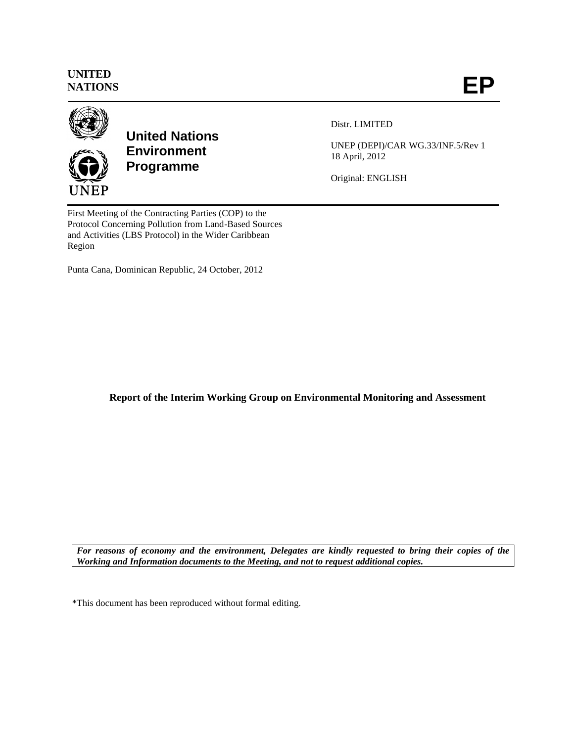## **UNITED NATIONS**



**United Nations Environment Programme**

Distr. LIMITED

UNEP (DEPI)/CAR WG.33/INF.5/Rev 1 18 April, 2012

Original: ENGLISH

First Meeting of the Contracting Parties (COP) to the Protocol Concerning Pollution from Land-Based Sources and Activities (LBS Protocol) in the Wider Caribbean Region

Punta Cana, Dominican Republic, 24 October, 2012

**Report of the Interim Working Group on Environmental Monitoring and Assessment**

*For reasons of economy and the environment, Delegates are kindly requested to bring their copies of the Working and Information documents to the Meeting, and not to request additional copies.*

\*This document has been reproduced without formal editing.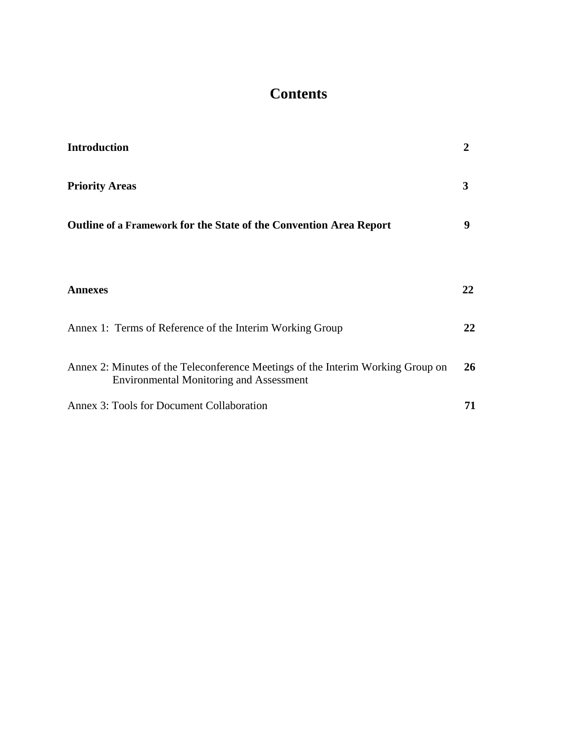# **Contents**

| <b>Introduction</b>                                                                                                               | 2  |
|-----------------------------------------------------------------------------------------------------------------------------------|----|
| <b>Priority Areas</b>                                                                                                             | 3  |
| <b>Outline of a Framework for the State of the Convention Area Report</b>                                                         | 9  |
|                                                                                                                                   |    |
| <b>Annexes</b>                                                                                                                    | 22 |
| Annex 1: Terms of Reference of the Interim Working Group                                                                          | 22 |
| Annex 2: Minutes of the Teleconference Meetings of the Interim Working Group on<br><b>Environmental Monitoring and Assessment</b> | 26 |
| Annex 3: Tools for Document Collaboration                                                                                         | 71 |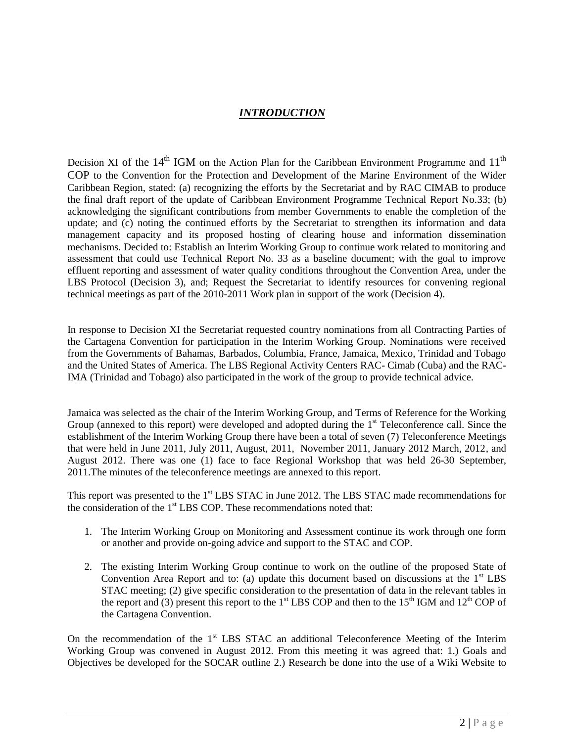## *INTRODUCTION*

Decision XI of the  $14<sup>th</sup>$  IGM on the Action Plan for the Caribbean Environment Programme and  $11<sup>th</sup>$ COP to the Convention for the Protection and Development of the Marine Environment of the Wider Caribbean Region, stated: (a) recognizing the efforts by the Secretariat and by RAC CIMAB to produce the final draft report of the update of Caribbean Environment Programme Technical Report No.33; (b) acknowledging the significant contributions from member Governments to enable the completion of the update; and (c) noting the continued efforts by the Secretariat to strengthen its information and data management capacity and its proposed hosting of clearing house and information dissemination mechanisms. Decided to: Establish an Interim Working Group to continue work related to monitoring and assessment that could use Technical Report No. 33 as a baseline document; with the goal to improve effluent reporting and assessment of water quality conditions throughout the Convention Area, under the LBS Protocol (Decision 3), and; Request the Secretariat to identify resources for convening regional technical meetings as part of the 2010-2011 Work plan in support of the work (Decision 4).

In response to Decision XI the Secretariat requested country nominations from all Contracting Parties of the Cartagena Convention for participation in the Interim Working Group. Nominations were received from the Governments of Bahamas, Barbados, Columbia, France, Jamaica, Mexico, Trinidad and Tobago and the United States of America. The LBS Regional Activity Centers RAC- Cimab (Cuba) and the RAC-IMA (Trinidad and Tobago) also participated in the work of the group to provide technical advice.

Jamaica was selected as the chair of the Interim Working Group, and Terms of Reference for the Working Group (annexed to this report) were developed and adopted during the 1<sup>st</sup> Teleconference call. Since the establishment of the Interim Working Group there have been a total of seven (7) Teleconference Meetings that were held in June 2011, July 2011, August, 2011, November 2011, January 2012 March, 2012, and August 2012. There was one (1) face to face Regional Workshop that was held 26-30 September, 2011.The minutes of the teleconference meetings are annexed to this report.

This report was presented to the 1<sup>st</sup> LBS STAC in June 2012. The LBS STAC made recommendations for the consideration of the 1<sup>st</sup> LBS COP. These recommendations noted that:

- 1. The Interim Working Group on Monitoring and Assessment continue its work through one form or another and provide on-going advice and support to the STAC and COP.
- 2. The existing Interim Working Group continue to work on the outline of the proposed State of Convention Area Report and to: (a) update this document based on discussions at the  $1<sup>st</sup>$  LBS STAC meeting; (2) give specific consideration to the presentation of data in the relevant tables in the report and (3) present this report to the  $1<sup>st</sup>$  LBS COP and then to the  $15<sup>th</sup>$  IGM and  $12<sup>th</sup>$  COP of the Cartagena Convention.

On the recommendation of the  $1<sup>st</sup>$  LBS STAC an additional Teleconference Meeting of the Interim Working Group was convened in August 2012. From this meeting it was agreed that: 1.) Goals and Objectives be developed for the SOCAR outline 2.) Research be done into the use of a Wiki Website to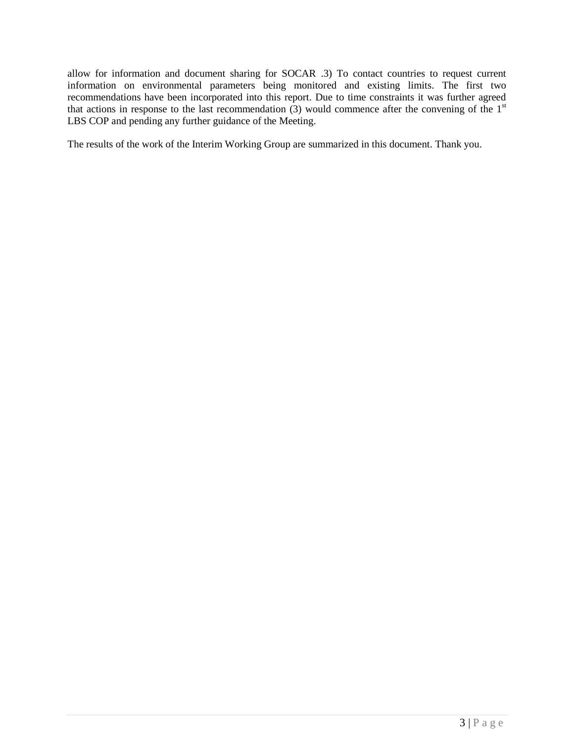allow for information and document sharing for SOCAR .3) To contact countries to request current information on environmental parameters being monitored and existing limits. The first two recommendations have been incorporated into this report. Due to time constraints it was further agreed that actions in response to the last recommendation  $(3)$  would commence after the convening of the 1<sup>st</sup> LBS COP and pending any further guidance of the Meeting.

The results of the work of the Interim Working Group are summarized in this document. Thank you.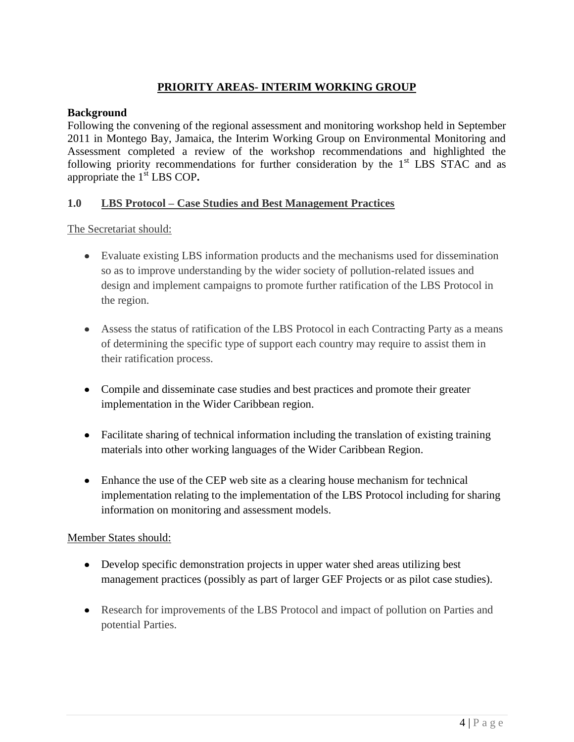## **PRIORITY AREAS- INTERIM WORKING GROUP**

## **Background**

Following the convening of the regional assessment and monitoring workshop held in September 2011 in Montego Bay, Jamaica, the Interim Working Group on Environmental Monitoring and Assessment completed a review of the workshop recommendations and highlighted the following priority recommendations for further consideration by the  $1<sup>st</sup>$  LBS STAC and as appropriate the 1<sup>st</sup> LBS COP.

### **1.0 LBS Protocol – Case Studies and Best Management Practices**

The Secretariat should:

- Evaluate existing LBS information products and the mechanisms used for dissemination so as to improve understanding by the wider society of pollution-related issues and design and implement campaigns to promote further ratification of the LBS Protocol in the region.
- Assess the status of ratification of the LBS Protocol in each Contracting Party as a means of determining the specific type of support each country may require to assist them in their ratification process.
- Compile and disseminate case studies and best practices and promote their greater implementation in the Wider Caribbean region.
- Facilitate sharing of technical information including the translation of existing training materials into other working languages of the Wider Caribbean Region.
- Enhance the use of the CEP web site as a clearing house mechanism for technical implementation relating to the implementation of the LBS Protocol including for sharing information on monitoring and assessment models.

### Member States should:

- Develop specific demonstration projects in upper water shed areas utilizing best management practices (possibly as part of larger GEF Projects or as pilot case studies).
- Research for improvements of the LBS Protocol and impact of pollution on Parties and potential Parties.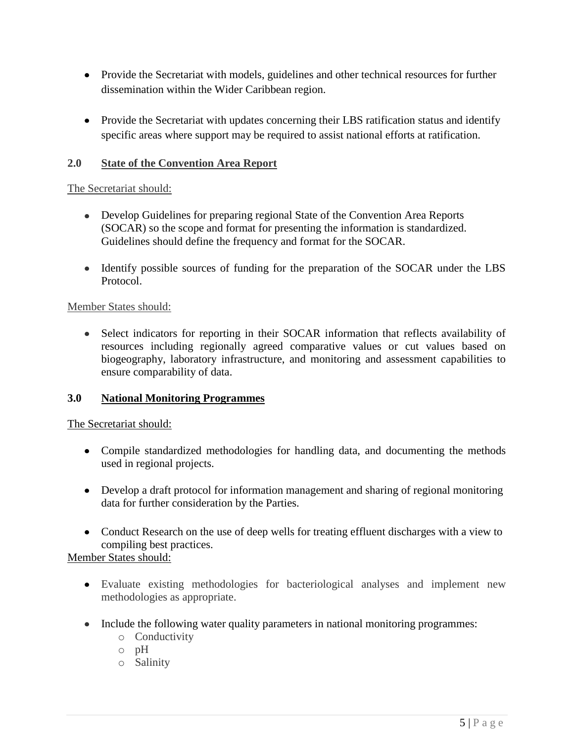- Provide the Secretariat with models, guidelines and other technical resources for further dissemination within the Wider Caribbean region.
- Provide the Secretariat with updates concerning their LBS ratification status and identify specific areas where support may be required to assist national efforts at ratification.

## **2.0 State of the Convention Area Report**

### The Secretariat should:

- Develop Guidelines for preparing regional State of the Convention Area Reports (SOCAR) so the scope and format for presenting the information is standardized. Guidelines should define the frequency and format for the SOCAR.
- Identify possible sources of funding for the preparation of the SOCAR under the LBS Protocol.

### Member States should:

• Select indicators for reporting in their SOCAR information that reflects availability of resources including regionally agreed comparative values or cut values based on biogeography, laboratory infrastructure, and monitoring and assessment capabilities to ensure comparability of data.

### **3.0 National Monitoring Programmes**

### The Secretariat should:

- Compile standardized methodologies for handling data, and documenting the methods used in regional projects.
- Develop a draft protocol for information management and sharing of regional monitoring data for further consideration by the Parties.
- Conduct Research on the use of deep wells for treating effluent discharges with a view to compiling best practices.

Member States should:

- Evaluate existing methodologies for bacteriological analyses and implement new methodologies as appropriate.
- Include the following water quality parameters in national monitoring programmes:
	- o Conductivity
	- o pH
	- o Salinity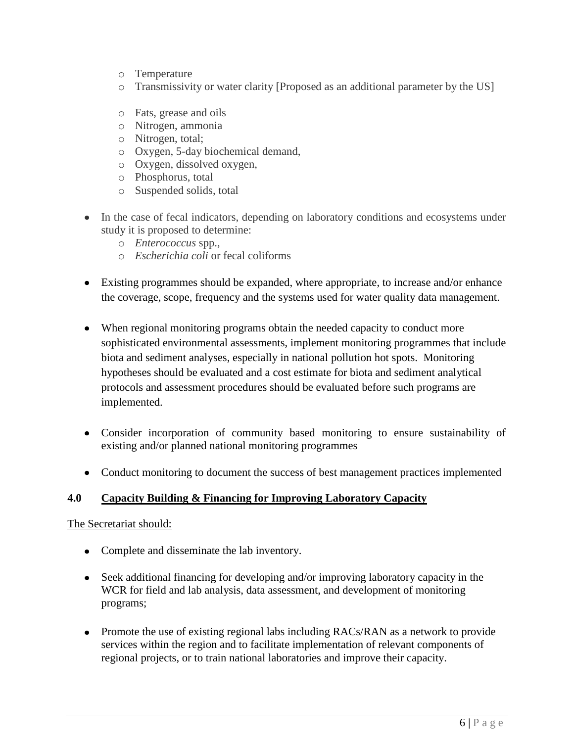- o Temperature
- o Transmissivity or water clarity [Proposed as an additional parameter by the US]
- o Fats, grease and oils
- o Nitrogen, ammonia
- o Nitrogen, total;
- o Oxygen, 5-day biochemical demand,
- o Oxygen, dissolved oxygen,
- o Phosphorus, total
- o Suspended solids, total
- In the case of fecal indicators, depending on laboratory conditions and ecosystems under study it is proposed to determine:
	- o *Enterococcus* spp.,
	- o *Escherichia coli* or fecal coliforms
- Existing programmes should be expanded, where appropriate, to increase and/or enhance the coverage, scope, frequency and the systems used for water quality data management.
- When regional monitoring programs obtain the needed capacity to conduct more sophisticated environmental assessments, implement monitoring programmes that include biota and sediment analyses, especially in national pollution hot spots. Monitoring hypotheses should be evaluated and a cost estimate for biota and sediment analytical protocols and assessment procedures should be evaluated before such programs are implemented.
- Consider incorporation of community based monitoring to ensure sustainability of existing and/or planned national monitoring programmes
- Conduct monitoring to document the success of best management practices implemented

## **4.0 Capacity Building & Financing for Improving Laboratory Capacity**

## The Secretariat should:

- Complete and disseminate the lab inventory.
- Seek additional financing for developing and/or improving laboratory capacity in the WCR for field and lab analysis, data assessment, and development of monitoring programs;
- Promote the use of existing regional labs including RACs/RAN as a network to provide services within the region and to facilitate implementation of relevant components of regional projects, or to train national laboratories and improve their capacity.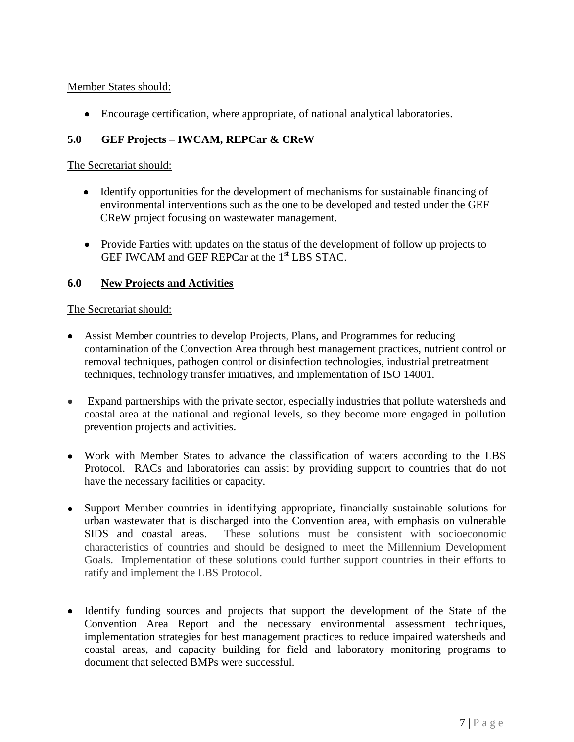Member States should:

Encourage certification, where appropriate, of national analytical laboratories.

## **5.0 GEF Projects – IWCAM, REPCar & CReW**

## The Secretariat should:

- Identify opportunities for the development of mechanisms for sustainable financing of environmental interventions such as the one to be developed and tested under the GEF CReW project focusing on wastewater management.
- Provide Parties with updates on the status of the development of follow up projects to GEF IWCAM and GEF REPCar at the 1<sup>st</sup> LBS STAC.

## **6.0 New Projects and Activities**

## The Secretariat should:

- Assist Member countries to develop Projects, Plans, and Programmes for reducing contamination of the Convection Area through best management practices, nutrient control or removal techniques, pathogen control or disinfection technologies, industrial pretreatment techniques, technology transfer initiatives, and implementation of ISO 14001.
- Expand partnerships with the private sector, especially industries that pollute watersheds and  $\bullet$ coastal area at the national and regional levels, so they become more engaged in pollution prevention projects and activities.
- Work with Member States to advance the classification of waters according to the LBS Protocol. RACs and laboratories can assist by providing support to countries that do not have the necessary facilities or capacity.
- Support Member countries in identifying appropriate, financially sustainable solutions for urban wastewater that is discharged into the Convention area, with emphasis on vulnerable SIDS and coastal areas. These solutions must be consistent with socioeconomic characteristics of countries and should be designed to meet the Millennium Development Goals. Implementation of these solutions could further support countries in their efforts to ratify and implement the LBS Protocol.
- Identify funding sources and projects that support the development of the State of the Convention Area Report and the necessary environmental assessment techniques, implementation strategies for best management practices to reduce impaired watersheds and coastal areas, and capacity building for field and laboratory monitoring programs to document that selected BMPs were successful.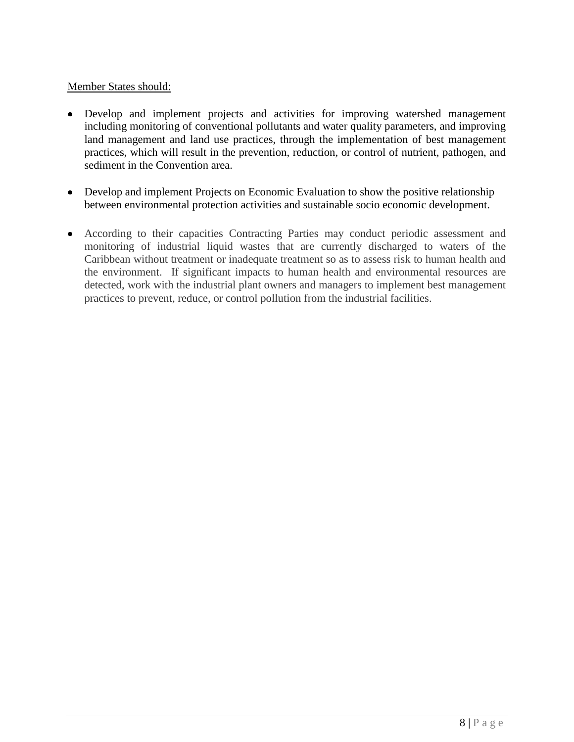## Member States should:

- Develop and implement projects and activities for improving watershed management including monitoring of conventional pollutants and water quality parameters, and improving land management and land use practices, through the implementation of best management practices, which will result in the prevention, reduction, or control of nutrient, pathogen, and sediment in the Convention area.
- Develop and implement Projects on Economic Evaluation to show the positive relationship between environmental protection activities and sustainable socio economic development.
- According to their capacities Contracting Parties may conduct periodic assessment and monitoring of industrial liquid wastes that are currently discharged to waters of the Caribbean without treatment or inadequate treatment so as to assess risk to human health and the environment. If significant impacts to human health and environmental resources are detected, work with the industrial plant owners and managers to implement best management practices to prevent, reduce, or control pollution from the industrial facilities.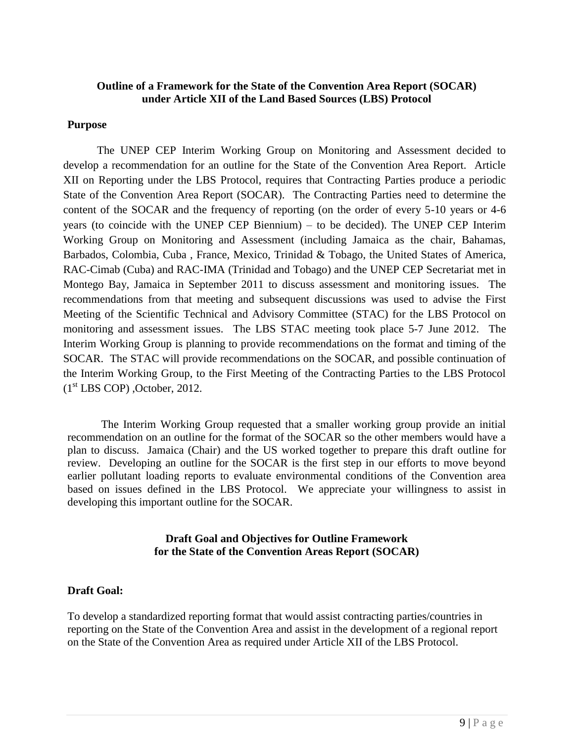### **Outline of a Framework for the State of the Convention Area Report (SOCAR) under Article XII of the Land Based Sources (LBS) Protocol**

#### **Purpose**

The UNEP CEP Interim Working Group on Monitoring and Assessment decided to develop a recommendation for an outline for the State of the Convention Area Report. Article XII on Reporting under the LBS Protocol, requires that Contracting Parties produce a periodic State of the Convention Area Report (SOCAR). The Contracting Parties need to determine the content of the SOCAR and the frequency of reporting (on the order of every 5-10 years or 4-6 years (to coincide with the UNEP CEP Biennium) – to be decided). The UNEP CEP Interim Working Group on Monitoring and Assessment (including Jamaica as the chair, Bahamas, Barbados, Colombia, Cuba , France, Mexico, Trinidad & Tobago, the United States of America, RAC-Cimab (Cuba) and RAC-IMA (Trinidad and Tobago) and the UNEP CEP Secretariat met in Montego Bay, Jamaica in September 2011 to discuss assessment and monitoring issues. The recommendations from that meeting and subsequent discussions was used to advise the First Meeting of the Scientific Technical and Advisory Committee (STAC) for the LBS Protocol on monitoring and assessment issues. The LBS STAC meeting took place 5-7 June 2012. The Interim Working Group is planning to provide recommendations on the format and timing of the SOCAR. The STAC will provide recommendations on the SOCAR, and possible continuation of the Interim Working Group, to the First Meeting of the Contracting Parties to the LBS Protocol  $(1<sup>st</sup> LBS COP)$ , October, 2012.

The Interim Working Group requested that a smaller working group provide an initial recommendation on an outline for the format of the SOCAR so the other members would have a plan to discuss. Jamaica (Chair) and the US worked together to prepare this draft outline for review. Developing an outline for the SOCAR is the first step in our efforts to move beyond earlier pollutant loading reports to evaluate environmental conditions of the Convention area based on issues defined in the LBS Protocol. We appreciate your willingness to assist in developing this important outline for the SOCAR.

## **Draft Goal and Objectives for Outline Framework for the State of the Convention Areas Report (SOCAR)**

### **Draft Goal:**

To develop a standardized reporting format that would assist contracting parties/countries in reporting on the State of the Convention Area and assist in the development of a regional report on the State of the Convention Area as required under Article XII of the LBS Protocol.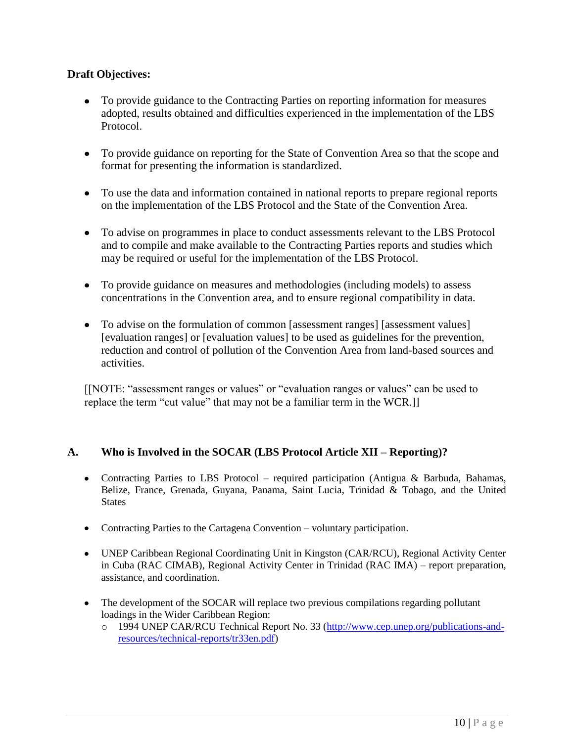## **Draft Objectives:**

- To provide guidance to the Contracting Parties on reporting information for measures adopted, results obtained and difficulties experienced in the implementation of the LBS Protocol.
- To provide guidance on reporting for the State of Convention Area so that the scope and format for presenting the information is standardized.
- To use the data and information contained in national reports to prepare regional reports on the implementation of the LBS Protocol and the State of the Convention Area.
- To advise on programmes in place to conduct assessments relevant to the LBS Protocol and to compile and make available to the Contracting Parties reports and studies which may be required or useful for the implementation of the LBS Protocol.
- To provide guidance on measures and methodologies (including models) to assess concentrations in the Convention area, and to ensure regional compatibility in data.
- To advise on the formulation of common [assessment ranges] [assessment values] [evaluation ranges] or [evaluation values] to be used as guidelines for the prevention, reduction and control of pollution of the Convention Area from land-based sources and activities.

[[NOTE: "assessment ranges or values" or "evaluation ranges or values" can be used to replace the term "cut value" that may not be a familiar term in the WCR.]]

## **A. Who is Involved in the SOCAR (LBS Protocol Article XII – Reporting)?**

- Contracting Parties to LBS Protocol required participation (Antigua & Barbuda, Bahamas, Belize, France, Grenada, Guyana, Panama, Saint Lucia, Trinidad & Tobago, and the United **States**
- Contracting Parties to the Cartagena Convention voluntary participation.
- UNEP Caribbean Regional Coordinating Unit in Kingston (CAR/RCU), Regional Activity Center in Cuba (RAC CIMAB), Regional Activity Center in Trinidad (RAC IMA) – report preparation, assistance, and coordination.
- The development of the SOCAR will replace two previous compilations regarding pollutant loadings in the Wider Caribbean Region:
	- o 1994 UNEP CAR/RCU Technical Report No. 33 [\(http://www.cep.unep.org/publications-and](http://www.cep.unep.org/publications-and-resources/technical-reports/tr33en.pdf)[resources/technical-reports/tr33en.pdf\)](http://www.cep.unep.org/publications-and-resources/technical-reports/tr33en.pdf)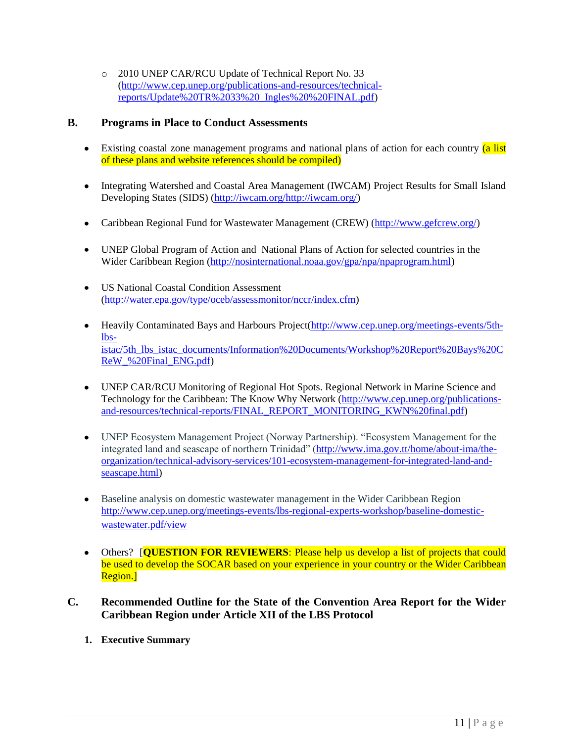o 2010 UNEP CAR/RCU Update of Technical Report No. 33 [\(http://www.cep.unep.org/publications-and-resources/technical](http://www.cep.unep.org/publications-and-resources/technical-reports/Update%20TR%2033%20_Ingles%20%20FINAL.pdf)[reports/Update%20TR%2033%20\\_Ingles%20%20FINAL.pdf\)](http://www.cep.unep.org/publications-and-resources/technical-reports/Update%20TR%2033%20_Ingles%20%20FINAL.pdf)

## **B. Programs in Place to Conduct Assessments**

- Existing coastal zone management programs and national plans of action for each country (a list of these plans and website references should be compiled)
- Integrating Watershed and Coastal Area Management (IWCAM) Project Results for Small Island Developing States (SIDS) [\(http://iwcam.org/http://iwcam.org/\)](http://iwcam.org/)
- Caribbean Regional Fund for Wastewater Management (CREW) [\(http://www.gefcrew.org/\)](http://www.gefcrew.org/)
- UNEP Global Program of Action and National Plans of Action for selected countries in the Wider Caribbean Region [\(http://nosinternational.noaa.gov/gpa/npa/npaprogram.html\)](http://nosinternational.noaa.gov/gpa/npa/npaprogram.html)
- US National Coastal Condition Assessment [\(http://water.epa.gov/type/oceb/assessmonitor/nccr/index.cfm\)](http://water.epa.gov/type/oceb/assessmonitor/nccr/index.cfm)
- Heavily Contaminated Bays and Harbours Project[\(http://www.cep.unep.org/meetings-events/5th](http://www.cep.unep.org/meetings-events/5th-lbs-istac/5th_lbs_istac_documents/Information%20Documents/Workshop%20Report%20Bays%20CReW_%20Final_ENG.pdf)[lbs](http://www.cep.unep.org/meetings-events/5th-lbs-istac/5th_lbs_istac_documents/Information%20Documents/Workshop%20Report%20Bays%20CReW_%20Final_ENG.pdf)[istac/5th\\_lbs\\_istac\\_documents/Information%20Documents/Workshop%20Report%20Bays%20C](http://www.cep.unep.org/meetings-events/5th-lbs-istac/5th_lbs_istac_documents/Information%20Documents/Workshop%20Report%20Bays%20CReW_%20Final_ENG.pdf) [ReW\\_%20Final\\_ENG.pdf\)](http://www.cep.unep.org/meetings-events/5th-lbs-istac/5th_lbs_istac_documents/Information%20Documents/Workshop%20Report%20Bays%20CReW_%20Final_ENG.pdf)
- UNEP CAR/RCU Monitoring of Regional Hot Spots. Regional Network in Marine Science and Technology for the Caribbean: The Know Why Network [\(http://www.cep.unep.org/publications](http://www.cep.unep.org/publications-and-resources/technical-reports/FINAL_REPORT_MONITORING_KWN%20final.pdf)[and-resources/technical-reports/FINAL\\_REPORT\\_MONITORING\\_KWN%20final.pdf\)](http://www.cep.unep.org/publications-and-resources/technical-reports/FINAL_REPORT_MONITORING_KWN%20final.pdf)
- UNEP Ecosystem Management Project (Norway Partnership). "Ecosystem Management for the integrated land and seascape of northern Trinidad" [\(http://www.ima.gov.tt/home/about-ima/the](http://www.ima.gov.tt/home/about-ima/the-organization/technical-advisory-services/101-ecosystem-management-for-integrated-land-and-seascape.html)[organization/technical-advisory-services/101-ecosystem-management-for-integrated-land-and](http://www.ima.gov.tt/home/about-ima/the-organization/technical-advisory-services/101-ecosystem-management-for-integrated-land-and-seascape.html)[seascape.html\)](http://www.ima.gov.tt/home/about-ima/the-organization/technical-advisory-services/101-ecosystem-management-for-integrated-land-and-seascape.html)
- Baseline analysis on domestic wastewater management in the Wider Caribbean Region [http://www.cep.unep.org/meetings-events/lbs-regional-experts-workshop/baseline-domestic](http://www.cep.unep.org/meetings-events/lbs-regional-experts-workshop/baseline-domestic-wastewater.pdf/view)[wastewater.pdf/view](http://www.cep.unep.org/meetings-events/lbs-regional-experts-workshop/baseline-domestic-wastewater.pdf/view)
- Others? **[QUESTION FOR REVIEWERS**: Please help us develop a list of projects that could be used to develop the SOCAR based on your experience in your country or the Wider Caribbean Region.]
- **C. Recommended Outline for the State of the Convention Area Report for the Wider Caribbean Region under Article XII of the LBS Protocol**
	- **1. Executive Summary**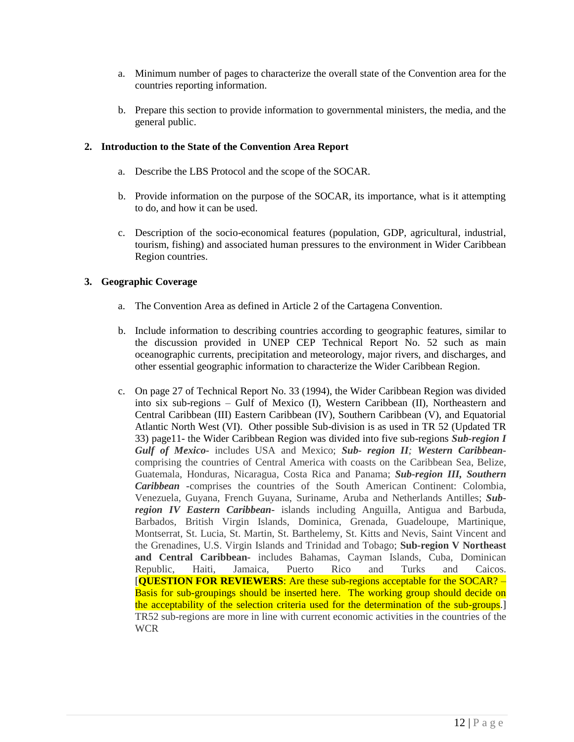- a. Minimum number of pages to characterize the overall state of the Convention area for the countries reporting information.
- b. Prepare this section to provide information to governmental ministers, the media, and the general public.

#### **2. Introduction to the State of the Convention Area Report**

- a. Describe the LBS Protocol and the scope of the SOCAR.
- b. Provide information on the purpose of the SOCAR, its importance, what is it attempting to do, and how it can be used.
- c. Description of the socio-economical features (population, GDP, agricultural, industrial, tourism, fishing) and associated human pressures to the environment in Wider Caribbean Region countries.

#### **3. Geographic Coverage**

- a. The Convention Area as defined in Article 2 of the Cartagena Convention.
- b. Include information to describing countries according to geographic features, similar to the discussion provided in UNEP CEP Technical Report No. 52 such as main oceanographic currents, precipitation and meteorology, major rivers, and discharges, and other essential geographic information to characterize the Wider Caribbean Region.
- c. On page 27 of Technical Report No. 33 (1994), the Wider Caribbean Region was divided into six sub-regions – Gulf of Mexico (I), Western Caribbean (II), Northeastern and Central Caribbean (III) Eastern Caribbean (IV), Southern Caribbean (V), and Equatorial Atlantic North West (VI). Other possible Sub-division is as used in TR 52 (Updated TR 33) page11- the Wider Caribbean Region was divided into five sub-regions *Sub-region I Gulf of Mexico-* includes USA and Mexico; *Sub- region II; Western Caribbean*comprising the countries of Central America with coasts on the Caribbean Sea, Belize, Guatemala, Honduras, Nicaragua, Costa Rica and Panama; *Sub-region III, Southern Caribbean* **-**comprises the countries of the South American Continent: Colombia, Venezuela, Guyana, French Guyana, Suriname, Aruba and Netherlands Antilles; *Subregion IV Eastern Caribbean***-** islands including Anguilla, Antigua and Barbuda, Barbados, British Virgin Islands, Dominica, Grenada, Guadeloupe, Martinique, Montserrat, St. Lucia, St. Martin, St. Barthelemy, St. Kitts and Nevis, Saint Vincent and the Grenadines, U.S. Virgin Islands and Trinidad and Tobago; **Sub-region V Northeast and Central Caribbean-** includes Bahamas, Cayman Islands, Cuba, Dominican Republic, Haiti, Jamaica, Puerto Rico and Turks and Caicos. [**QUESTION FOR REVIEWERS**: Are these sub-regions acceptable for the SOCAR? – Basis for sub-groupings should be inserted here. The working group should decide on the acceptability of the selection criteria used for the determination of the sub-groups.] TR52 sub-regions are more in line with current economic activities in the countries of the **WCR**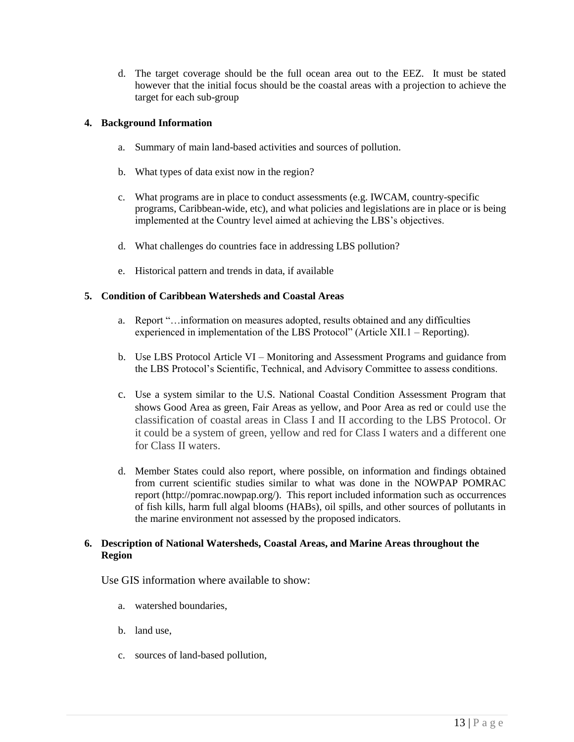d. The target coverage should be the full ocean area out to the EEZ. It must be stated however that the initial focus should be the coastal areas with a projection to achieve the target for each sub-group

#### **4. Background Information**

- a. Summary of main land-based activities and sources of pollution.
- b. What types of data exist now in the region?
- c. What programs are in place to conduct assessments (e.g. IWCAM, country-specific programs, Caribbean-wide, etc), and what policies and legislations are in place or is being implemented at the Country level aimed at achieving the LBS's objectives.
- d. What challenges do countries face in addressing LBS pollution?
- e. Historical pattern and trends in data, if available

#### **5. Condition of Caribbean Watersheds and Coastal Areas**

- a. Report "…information on measures adopted, results obtained and any difficulties experienced in implementation of the LBS Protocol" (Article XII.1 – Reporting).
- b. Use LBS Protocol Article VI Monitoring and Assessment Programs and guidance from the LBS Protocol's Scientific, Technical, and Advisory Committee to assess conditions.
- c. Use a system similar to the U.S. National Coastal Condition Assessment Program that shows Good Area as green, Fair Areas as yellow, and Poor Area as red or could use the classification of coastal areas in Class I and II according to the LBS Protocol. Or it could be a system of green, yellow and red for Class I waters and a different one for Class II waters.
- d. Member States could also report, where possible, on information and findings obtained from current scientific studies similar to what was done in the NOWPAP POMRAC report (http://pomrac.nowpap.org/). This report included information such as occurrences of fish kills, harm full algal blooms (HABs), oil spills, and other sources of pollutants in the marine environment not assessed by the proposed indicators.

#### **6. Description of National Watersheds, Coastal Areas, and Marine Areas throughout the Region**

Use GIS information where available to show:

- a. watershed boundaries,
- b. land use,
- c. sources of land-based pollution,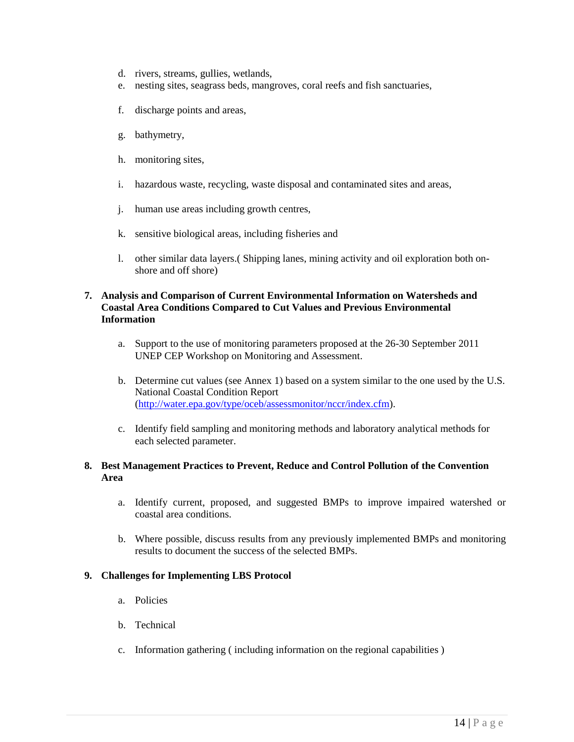- d. rivers, streams, gullies, wetlands,
- e. nesting sites, seagrass beds, mangroves, coral reefs and fish sanctuaries,
- f. discharge points and areas,
- g. bathymetry,
- h. monitoring sites,
- i. hazardous waste, recycling, waste disposal and contaminated sites and areas,
- j. human use areas including growth centres,
- k. sensitive biological areas, including fisheries and
- l. other similar data layers.( Shipping lanes, mining activity and oil exploration both onshore and off shore)

#### **7. Analysis and Comparison of Current Environmental Information on Watersheds and Coastal Area Conditions Compared to Cut Values and Previous Environmental Information**

- a. Support to the use of monitoring parameters proposed at the 26-30 September 2011 UNEP CEP Workshop on Monitoring and Assessment.
- b. Determine cut values (see Annex 1) based on a system similar to the one used by the U.S. National Coastal Condition Report [\(http://water.epa.gov/type/oceb/assessmonitor/nccr/index.cfm\)](http://water.epa.gov/type/oceb/assessmonitor/nccr/index.cfm).
- c. Identify field sampling and monitoring methods and laboratory analytical methods for each selected parameter.

#### **8. Best Management Practices to Prevent, Reduce and Control Pollution of the Convention Area**

- a. Identify current, proposed, and suggested BMPs to improve impaired watershed or coastal area conditions.
- b. Where possible, discuss results from any previously implemented BMPs and monitoring results to document the success of the selected BMPs.

#### **9. Challenges for Implementing LBS Protocol**

- a. Policies
- b. Technical
- c. Information gathering ( including information on the regional capabilities )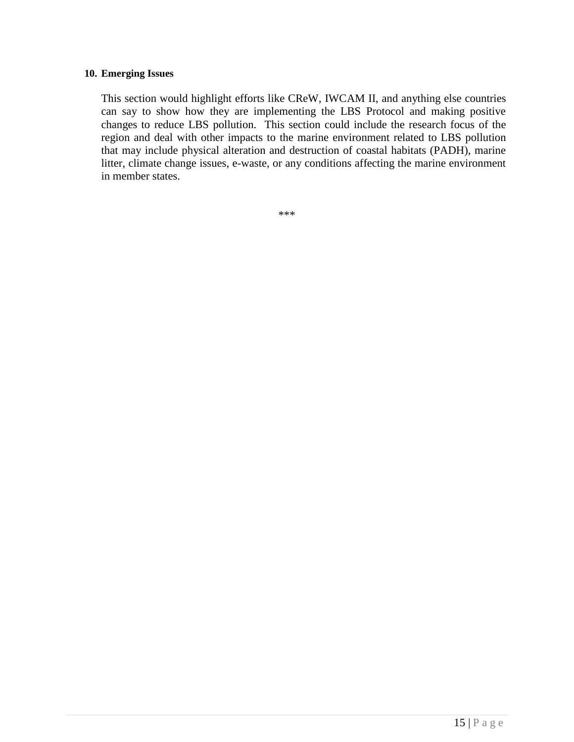#### **10. Emerging Issues**

This section would highlight efforts like CReW, IWCAM II, and anything else countries can say to show how they are implementing the LBS Protocol and making positive changes to reduce LBS pollution. This section could include the research focus of the region and deal with other impacts to the marine environment related to LBS pollution that may include physical alteration and destruction of coastal habitats (PADH), marine litter, climate change issues, e-waste, or any conditions affecting the marine environment in member states.

\*\*\*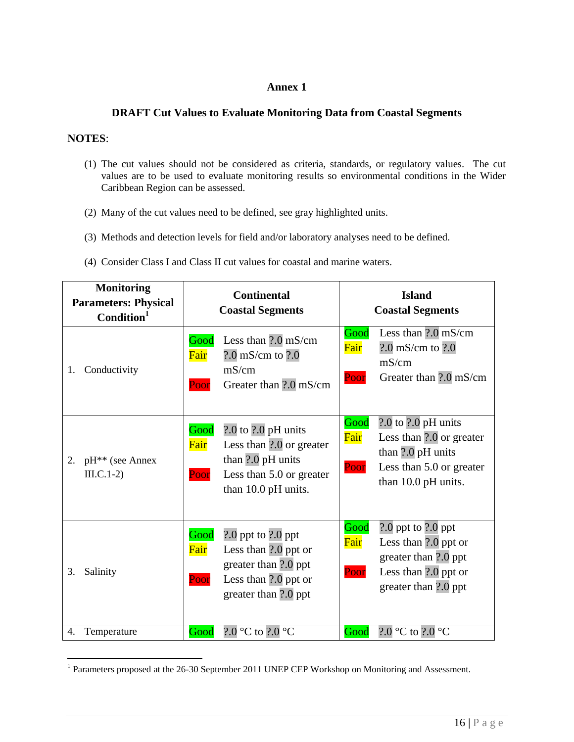## **Annex 1**

## **DRAFT Cut Values to Evaluate Monitoring Data from Coastal Segments**

## **NOTES**:

 $\overline{a}$ 

- (1) The cut values should not be considered as criteria, standards, or regulatory values. The cut values are to be used to evaluate monitoring results so environmental conditions in the Wider Caribbean Region can be assessed.
- (2) Many of the cut values need to be defined, see gray highlighted units.
- (3) Methods and detection levels for field and/or laboratory analyses need to be defined.
- (4) Consider Class I and Class II cut values for coastal and marine waters.

| <b>Monitoring</b><br><b>Parameters: Physical</b><br>Condition <sup>1</sup> | <b>Continental</b><br><b>Coastal Segments</b>                                                                                                       | <b>Island</b><br><b>Coastal Segments</b>                                                                                                            |  |
|----------------------------------------------------------------------------|-----------------------------------------------------------------------------------------------------------------------------------------------------|-----------------------------------------------------------------------------------------------------------------------------------------------------|--|
| Conductivity<br>1.                                                         | Less than $2.0 \text{ mS/cm}$<br>Good<br>Fair<br>$?0$ mS/cm to $?0$<br>mS/cm<br>Greater than ?.0 mS/cm<br>Poor                                      | Less than $?0 \text{ mS/cm}$<br>Good<br>Fair<br>$?0$ mS/cm to $?0$<br>mS/cm<br>Poor<br>Greater than ?.0 mS/cm                                       |  |
| 2.<br>pH <sup>**</sup> (see Annex<br>$III.C.1-2)$                          | Good<br>$2.0$ to $2.0$ pH units<br>Fair<br>Less than ?.0 or greater<br>than ?.0 pH units<br>Less than 5.0 or greater<br>Poor<br>than 10.0 pH units. | $2.0$ to $2.0$ pH units<br>Good<br>Fair<br>Less than ?.0 or greater<br>than ?.0 pH units<br>Poor<br>Less than 5.0 or greater<br>than 10.0 pH units. |  |
| 3.<br>Salinity                                                             | Good<br>$2.0$ ppt to $2.0$ ppt<br>Fair<br>Less than ?.0 ppt or<br>greater than ?.0 ppt<br>Less than ?.0 ppt or<br>Poor<br>greater than ?.0 ppt      | Good<br>$2.0$ ppt to $2.0$ ppt<br>Fair<br>Less than ?.0 ppt or<br>greater than ?.0 ppt<br>Less than ?.0 ppt or<br>Poor<br>greater than ?.0 ppt      |  |
| 4.<br>Temperature                                                          | ?.0 $\mathrm{^{\circ}C}$ to ?.0 $\mathrm{^{\circ}C}$<br>Good                                                                                        | ?.0 °C to ?.0 °C<br>Good                                                                                                                            |  |

<sup>&</sup>lt;sup>1</sup> Parameters proposed at the 26-30 September 2011 UNEP CEP Workshop on Monitoring and Assessment.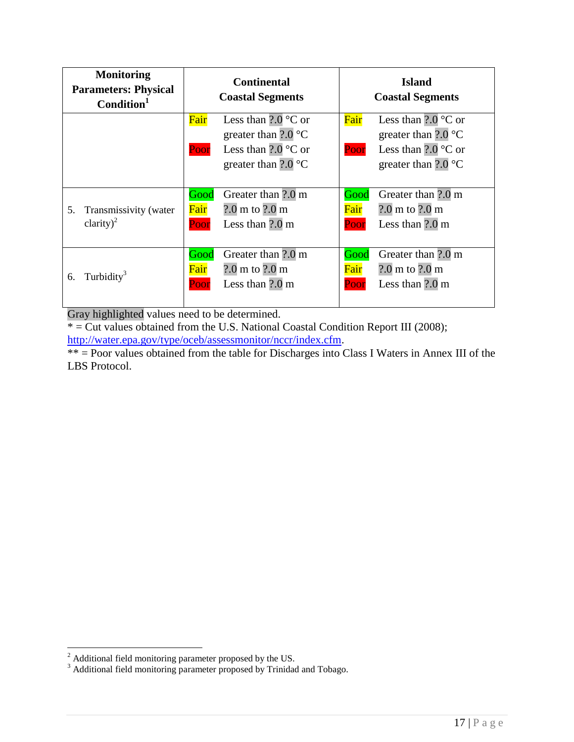| <b>Monitoring</b><br><b>Parameters: Physical</b><br>Condition <sup>1</sup> | <b>Continental</b><br><b>Coastal Segments</b> |                                  |      | <b>Island</b><br><b>Coastal Segments</b> |
|----------------------------------------------------------------------------|-----------------------------------------------|----------------------------------|------|------------------------------------------|
|                                                                            | Fair                                          | Less than $?0^{\circ}$ C or      | Fair | Less than $2.0\degree$ C or              |
|                                                                            |                                               | greater than $?0^{\circ}$ C      |      | greater than $2.0\textdegree C$          |
|                                                                            | Poor                                          | Less than $?0^{\circ}$ C or      | Poor | Less than $?0^{\circ}$ C or              |
|                                                                            |                                               | greater than $?0^{\circ}$ C      |      | greater than $2.0 \degree$ C             |
|                                                                            |                                               |                                  |      |                                          |
|                                                                            | Good                                          | Greater than ?.0 m               | Good | Greater than ?.0 m                       |
| 5.<br>Transmissivity (water                                                | Fair                                          | $?0$ m to $?0$ m                 | Fair | $?0 \text{ m}$ to $?0 \text{ m}$         |
| clarity) <sup>2</sup>                                                      | Poor                                          | Less than $2.0 \text{ m}$        | Poor | Less than $2.0 \text{ m}$                |
|                                                                            |                                               |                                  |      |                                          |
|                                                                            | Good                                          | Greater than ?.0 m               | Good | Greater than ?.0 m                       |
| Turbidity <sup>3</sup><br>6.                                               | Fair                                          | $?0 \text{ m}$ to $?0 \text{ m}$ | Fair | $?0 \text{ m}$ to $?0 \text{ m}$         |
|                                                                            | Poor                                          | Less than $2.0 \text{ m}$        | Poor | Less than $2.0 \text{ m}$                |
|                                                                            |                                               |                                  |      |                                          |

Gray highlighted values need to be determined.

 $* =$  Cut values obtained from the U.S. National Coastal Condition Report III (2008); [http://water.epa.gov/type/oceb/assessmonitor/nccr/index.cfm.](http://water.epa.gov/type/oceb/assessmonitor/nccr/index.cfm)

\*\* = Poor values obtained from the table for Discharges into Class I Waters in Annex III of the LBS Protocol.

 $\overline{a}$ 

 $2^2$  Additional field monitoring parameter proposed by the US.

<sup>&</sup>lt;sup>3</sup> Additional field monitoring parameter proposed by Trinidad and Tobago.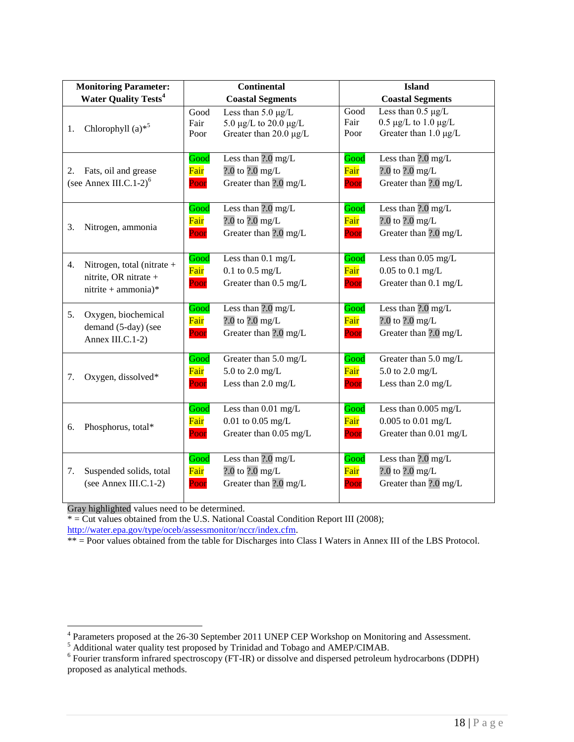| <b>Monitoring Parameter:</b>                                                     |                      | <b>Continental</b>                                                              |                      | <b>Island</b>                                                                           |
|----------------------------------------------------------------------------------|----------------------|---------------------------------------------------------------------------------|----------------------|-----------------------------------------------------------------------------------------|
| <b>Water Quality Tests<sup>4</sup></b>                                           |                      | <b>Coastal Segments</b>                                                         |                      | <b>Coastal Segments</b>                                                                 |
| Chlorophyll $(a)$ <sup>*5</sup><br>1.                                            | Good<br>Fair<br>Poor | Less than $5.0 \mu g/L$<br>5.0 μg/L to 20.0 μg/L<br>Greater than $20.0 \mu g/L$ | Good<br>Fair<br>Poor | Less than $0.5 \mu g/L$<br>$0.5 \mu g/L$ to $1.0 \mu g/L$<br>Greater than $1.0 \mu g/L$ |
| Fats, oil and grease<br>2.<br>(see Annex III.C.1-2) $6$                          | Good<br>Fair<br>Poor | Less than $?0 \text{ mg/L}$<br>$2.0$ to $2.0$ mg/L<br>Greater than ?.0 mg/L     | Good<br>Fair<br>Poor | Less than $?0 \text{ mg/L}$<br>$2.0$ to $2.0$ mg/L<br>Greater than ?.0 mg/L             |
| 3.<br>Nitrogen, ammonia                                                          | Good<br>Fair<br>Poor | Less than $?0 \text{ mg/L}$<br>$2.0$ to $2.0$ mg/L<br>Greater than ?.0 mg/L     | Good<br>Fair<br>Poor | Less than ?.0 mg/L<br>$2.0$ to $2.0$ mg/L<br>Greater than ?.0 mg/L                      |
| Nitrogen, total (nitrate +<br>4.<br>nitrite, OR nitrate +<br>nitrite + ammonia)* | Good<br>Fair<br>Poor | Less than 0.1 mg/L<br>$0.1$ to $0.5$ mg/L<br>Greater than 0.5 mg/L              | Good<br>Fair<br>Poor | Less than 0.05 mg/L<br>$0.05$ to $0.1$ mg/L<br>Greater than 0.1 mg/L                    |
| 5.<br>Oxygen, biochemical<br>demand (5-day) (see<br>Annex III.C.1-2)             | Good<br>Fair<br>Poor | Less than $\overline{?0}$ mg/L<br>$2.0$ to $2.0$ mg/L<br>Greater than ?.0 mg/L  | Good<br>Fair<br>Poor | Less than $?0 \text{ mg/L}$<br>$2.0$ to $2.0$ mg/L<br>Greater than ?.0 mg/L             |
| Oxygen, dissolved*<br>7.                                                         | Good<br>Fair<br>Poor | Greater than 5.0 mg/L<br>5.0 to 2.0 mg/L<br>Less than $2.0 \text{ mg/L}$        | Good<br>Fair<br>Poor | Greater than 5.0 mg/L<br>5.0 to 2.0 mg/L<br>Less than $2.0 \text{ mg/L}$                |
| Phosphorus, total*<br>6.                                                         | Good<br>Fair<br>Poor | Less than 0.01 mg/L<br>$0.01$ to $0.05$ mg/L<br>Greater than 0.05 mg/L          | Good<br>Fair<br>Poor | Less than $0.005$ mg/L<br>$0.005$ to $0.01$ mg/L<br>Greater than 0.01 mg/L              |
| Suspended solids, total<br>7.<br>(see Annex III.C.1-2)                           | Good<br>Fair<br>Poor | Less than $?0 \text{ mg/L}$<br>$2.0$ to $2.0$ mg/L<br>Greater than ?.0 mg/L     | Good<br>Fair<br>Poor | Less than $?0 \text{ mg/L}$<br>$2.0$ to $2.0$ mg/L<br>Greater than ?.0 mg/L             |

Gray highlighted values need to be determined.

 $* =$  Cut values obtained from the U.S. National Coastal Condition Report III (2008); [http://water.epa.gov/type/oceb/assessmonitor/nccr/index.cfm.](http://water.epa.gov/type/oceb/assessmonitor/nccr/index.cfm)

\*\* = Poor values obtained from the table for Discharges into Class I Waters in Annex III of the LBS Protocol.

<sup>5</sup> Additional water quality test proposed by Trinidad and Tobago and AMEP/CIMAB.

<sup>&</sup>lt;sup>4</sup> Parameters proposed at the 26-30 September 2011 UNEP CEP Workshop on Monitoring and Assessment.

<sup>&</sup>lt;sup>6</sup> Fourier transform infrared spectroscopy (FT-IR) or dissolve and dispersed petroleum hydrocarbons (DDPH) proposed as analytical methods.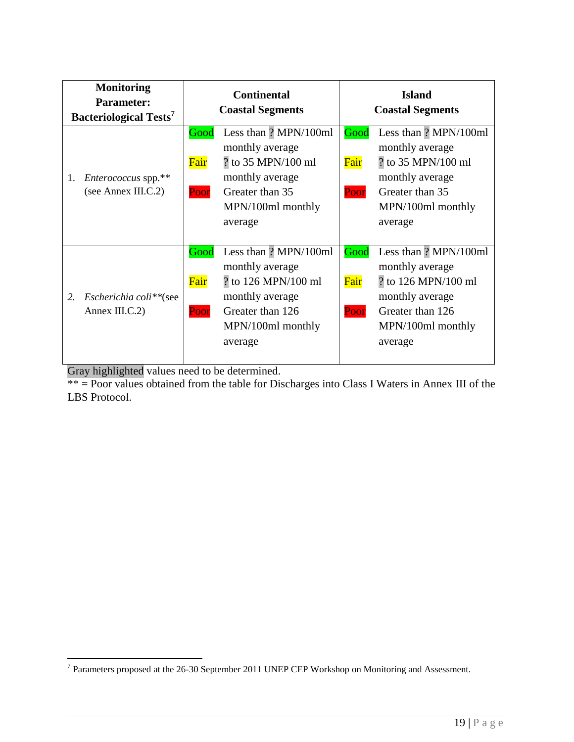| <b>Monitoring</b><br><b>Parameter:</b><br><b>Bacteriological Tests<sup>7</sup></b> | <b>Continental</b><br><b>Coastal Segments</b> |                                                                                                                                        | <b>Island</b><br><b>Coastal Segments</b> |                                                                                                                                        |
|------------------------------------------------------------------------------------|-----------------------------------------------|----------------------------------------------------------------------------------------------------------------------------------------|------------------------------------------|----------------------------------------------------------------------------------------------------------------------------------------|
| Enterococcus spp.**<br>1.<br>(see Annex III.C.2)                                   | Good<br>Fair<br>Poor                          | Less than ? MPN/100ml<br>monthly average<br>? to 35 MPN/100 ml<br>monthly average<br>Greater than 35<br>MPN/100ml monthly<br>average   | Good<br>Fair<br>Poor                     | Less than ? MPN/100ml<br>monthly average<br>? to 35 MPN/100 ml<br>monthly average<br>Greater than 35<br>MPN/100ml monthly<br>average   |
| 2.<br>Escherichia coli**(see<br>Annex III.C.2)                                     | Good<br>Fair<br>Poor                          | Less than ? MPN/100ml<br>monthly average<br>? to 126 MPN/100 ml<br>monthly average<br>Greater than 126<br>MPN/100ml monthly<br>average | Good<br>Fair<br>Poor                     | Less than ? MPN/100ml<br>monthly average<br>? to 126 MPN/100 ml<br>monthly average<br>Greater than 126<br>MPN/100ml monthly<br>average |

Gray highlighted values need to be determined.

\*\* = Poor values obtained from the table for Discharges into Class I Waters in Annex III of the LBS Protocol.

<sup>&</sup>lt;sup>7</sup> Parameters proposed at the 26-30 September 2011 UNEP CEP Workshop on Monitoring and Assessment.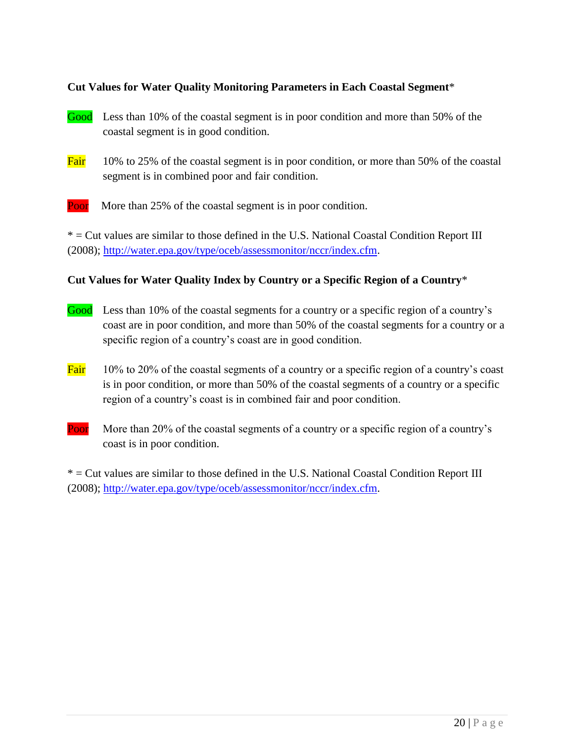## **Cut Values for Water Quality Monitoring Parameters in Each Coastal Segment**\*

- Good Less than 10% of the coastal segment is in poor condition and more than 50% of the coastal segment is in good condition.
- Fair 10% to 25% of the coastal segment is in poor condition, or more than 50% of the coastal segment is in combined poor and fair condition.
- **Poor** More than 25% of the coastal segment is in poor condition.

\* = Cut values are similar to those defined in the U.S. National Coastal Condition Report III (2008); [http://water.epa.gov/type/oceb/assessmonitor/nccr/index.cfm.](http://water.epa.gov/type/oceb/assessmonitor/nccr/index.cfm)

## **Cut Values for Water Quality Index by Country or a Specific Region of a Country**\*

- Good Less than 10% of the coastal segments for a country or a specific region of a country's coast are in poor condition, and more than 50% of the coastal segments for a country or a specific region of a country's coast are in good condition.
- Fair  $10\%$  to 20% of the coastal segments of a country or a specific region of a country's coast is in poor condition, or more than 50% of the coastal segments of a country or a specific region of a country's coast is in combined fair and poor condition.
- Poor More than 20% of the coastal segments of a country or a specific region of a country's coast is in poor condition.

\* = Cut values are similar to those defined in the U.S. National Coastal Condition Report III (2008); [http://water.epa.gov/type/oceb/assessmonitor/nccr/index.cfm.](http://water.epa.gov/type/oceb/assessmonitor/nccr/index.cfm)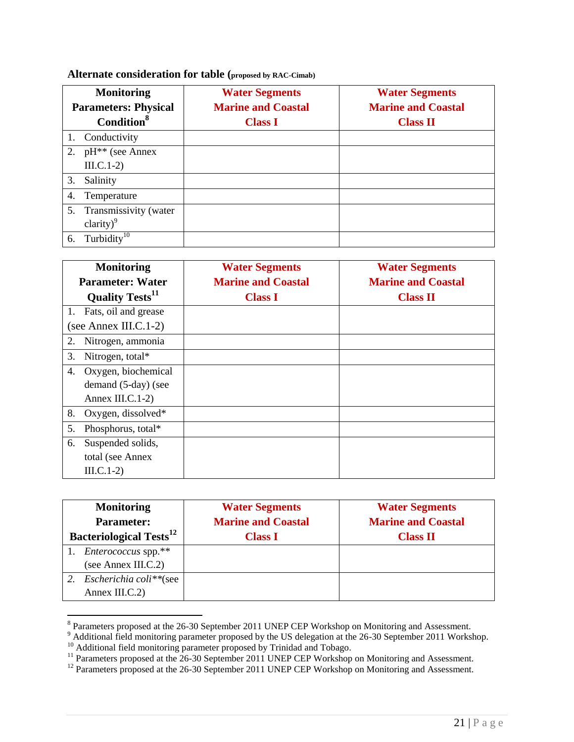## **Alternate consideration for table (proposed by RAC-Cimab)**

| <b>Monitoring</b>                  | <b>Water Segments</b>     | <b>Water Segments</b>     |
|------------------------------------|---------------------------|---------------------------|
| <b>Parameters: Physical</b>        | <b>Marine and Coastal</b> | <b>Marine and Coastal</b> |
| <b>Condition</b> <sup>8</sup>      | <b>Class I</b>            | <b>Class II</b>           |
| Conductivity                       |                           |                           |
| $pH^{**}$ (see Annex<br>2.         |                           |                           |
| $\text{III.C.1-2}$                 |                           |                           |
| Salinity<br>3.                     |                           |                           |
| Temperature<br>4.                  |                           |                           |
| 5. Transmissivity (water           |                           |                           |
| clarity) $^{9}$                    |                           |                           |
| Turbidity $\overline{^{10}}$<br>6. |                           |                           |

| <b>Monitoring</b>                  | <b>Water Segments</b>     | <b>Water Segments</b>     |
|------------------------------------|---------------------------|---------------------------|
| <b>Parameter: Water</b>            | <b>Marine and Coastal</b> | <b>Marine and Coastal</b> |
| <b>Quality Tests</b> <sup>11</sup> | <b>Class I</b>            | <b>Class II</b>           |
| Fats, oil and grease<br>1.         |                           |                           |
| (see Annex III.C.1-2)              |                           |                           |
| Nitrogen, ammonia<br>2.            |                           |                           |
| 3.<br>Nitrogen, total*             |                           |                           |
| Oxygen, biochemical<br>4.          |                           |                           |
| demand (5-day) (see                |                           |                           |
| Annex III.C.1-2)                   |                           |                           |
| 8.<br>Oxygen, dissolved $*$        |                           |                           |
| 5.<br>Phosphorus, total*           |                           |                           |
| Suspended solids,<br>6.            |                           |                           |
| total (see Annex                   |                           |                           |
| $\text{III.C.1-2}$                 |                           |                           |

| <b>Monitoring</b>                          | <b>Water Segments</b>     | <b>Water Segments</b>     |
|--------------------------------------------|---------------------------|---------------------------|
| <b>Parameter:</b>                          | <b>Marine and Coastal</b> | <b>Marine and Coastal</b> |
| <b>Bacteriological Tests</b> <sup>12</sup> | <b>Class I</b>            | <b>Class II</b>           |
| <i>Enterococcus</i> spp.**                 |                           |                           |
| (see Annex III.C.2)                        |                           |                           |
| <i>Escherichia coli**</i> (see             |                           |                           |
| Annex III.C.2)                             |                           |                           |

<sup>&</sup>lt;sup>8</sup> Parameters proposed at the 26-30 September 2011 UNEP CEP Workshop on Monitoring and Assessment.

 $9$  Additional field monitoring parameter proposed by the US delegation at the 26-30 September 2011 Workshop.

<sup>&</sup>lt;sup>10</sup> Additional field monitoring parameter proposed by Trinidad and Tobago.

<sup>&</sup>lt;sup>11</sup> Parameters proposed at the 26-30 September 2011 UNEP CEP Workshop on Monitoring and Assessment.

<sup>&</sup>lt;sup>12</sup> Parameters proposed at the 26-30 September 2011 UNEP CEP Workshop on Monitoring and Assessment.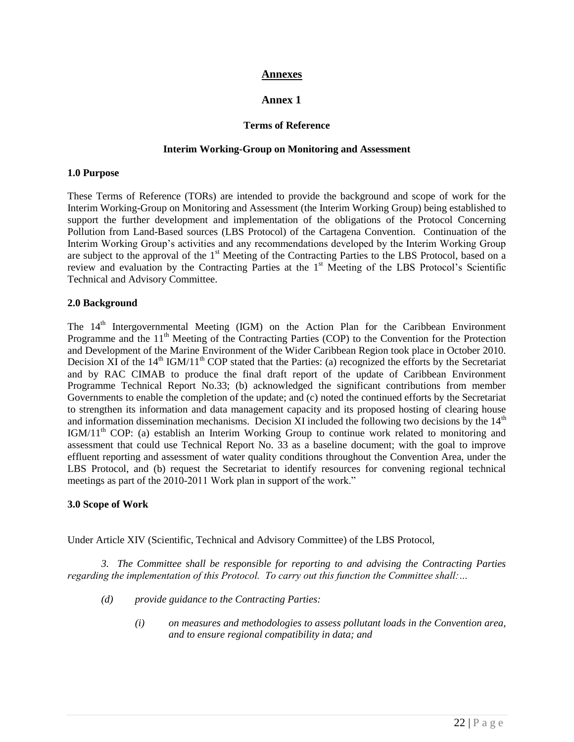#### **Annexes**

## **Annex 1**

#### **Terms of Reference**

#### **Interim Working-Group on Monitoring and Assessment**

#### **1.0 Purpose**

These Terms of Reference (TORs) are intended to provide the background and scope of work for the Interim Working-Group on Monitoring and Assessment (the Interim Working Group) being established to support the further development and implementation of the obligations of the Protocol Concerning Pollution from Land-Based sources (LBS Protocol) of the Cartagena Convention. Continuation of the Interim Working Group's activities and any recommendations developed by the Interim Working Group are subject to the approval of the 1<sup>st</sup> Meeting of the Contracting Parties to the LBS Protocol, based on a review and evaluation by the Contracting Parties at the 1<sup>st</sup> Meeting of the LBS Protocol's Scientific Technical and Advisory Committee.

#### **2.0 Background**

The  $14<sup>th</sup>$  Intergovernmental Meeting (IGM) on the Action Plan for the Caribbean Environment Programme and the 11<sup>th</sup> Meeting of the Contracting Parties (COP) to the Convention for the Protection and Development of the Marine Environment of the Wider Caribbean Region took place in October 2010. Decision  $X\bar{I}$  of the 14<sup>th</sup> IGM/11<sup>th</sup> COP stated that the Parties: (a) recognized the efforts by the Secretariat and by RAC CIMAB to produce the final draft report of the update of Caribbean Environment Programme Technical Report No.33; (b) acknowledged the significant contributions from member Governments to enable the completion of the update; and (c) noted the continued efforts by the Secretariat to strengthen its information and data management capacity and its proposed hosting of clearing house and information dissemination mechanisms. Decision XI included the following two decisions by the  $14<sup>th</sup>$ IGM/11<sup>th</sup> COP: (a) establish an Interim Working Group to continue work related to monitoring and assessment that could use Technical Report No. 33 as a baseline document; with the goal to improve effluent reporting and assessment of water quality conditions throughout the Convention Area, under the LBS Protocol, and (b) request the Secretariat to identify resources for convening regional technical meetings as part of the 2010-2011 Work plan in support of the work."

#### **3.0 Scope of Work**

Under Article XIV (Scientific, Technical and Advisory Committee) of the LBS Protocol,

*3. The Committee shall be responsible for reporting to and advising the Contracting Parties regarding the implementation of this Protocol. To carry out this function the Committee shall:…*

- *(d) provide guidance to the Contracting Parties:*
	- *(i) on measures and methodologies to assess pollutant loads in the Convention area, and to ensure regional compatibility in data; and*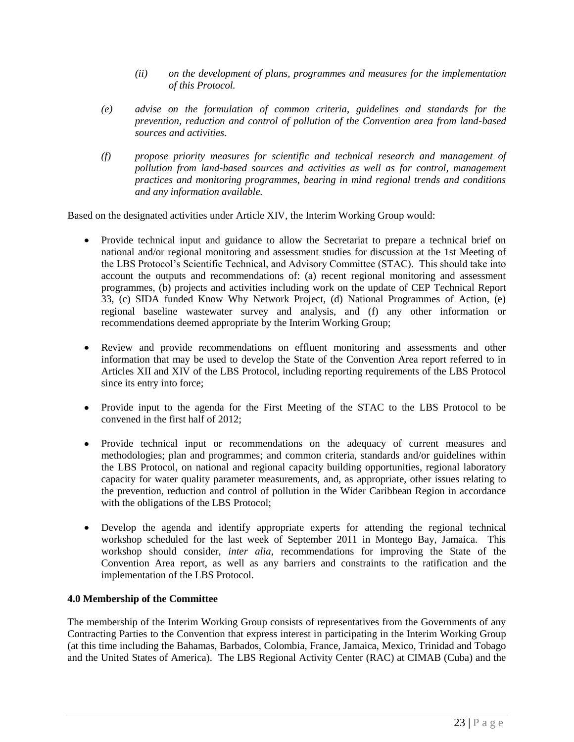- *(ii) on the development of plans, programmes and measures for the implementation of this Protocol.*
- *(e) advise on the formulation of common criteria, guidelines and standards for the prevention, reduction and control of pollution of the Convention area from land-based sources and activities.*
- *(f) propose priority measures for scientific and technical research and management of pollution from land-based sources and activities as well as for control, management practices and monitoring programmes, bearing in mind regional trends and conditions and any information available.*

Based on the designated activities under Article XIV, the Interim Working Group would:

- Provide technical input and guidance to allow the Secretariat to prepare a technical brief on national and/or regional monitoring and assessment studies for discussion at the 1st Meeting of the LBS Protocol's Scientific Technical, and Advisory Committee (STAC). This should take into account the outputs and recommendations of: (a) recent regional monitoring and assessment programmes, (b) projects and activities including work on the update of CEP Technical Report 33, (c) SIDA funded Know Why Network Project, (d) National Programmes of Action, (e) regional baseline wastewater survey and analysis, and (f) any other information or recommendations deemed appropriate by the Interim Working Group;
- Review and provide recommendations on effluent monitoring and assessments and other information that may be used to develop the State of the Convention Area report referred to in Articles XII and XIV of the LBS Protocol, including reporting requirements of the LBS Protocol since its entry into force;
- Provide input to the agenda for the First Meeting of the STAC to the LBS Protocol to be convened in the first half of 2012;
- Provide technical input or recommendations on the adequacy of current measures and methodologies; plan and programmes; and common criteria, standards and/or guidelines within the LBS Protocol, on national and regional capacity building opportunities, regional laboratory capacity for water quality parameter measurements, and, as appropriate, other issues relating to the prevention, reduction and control of pollution in the Wider Caribbean Region in accordance with the obligations of the LBS Protocol;
- Develop the agenda and identify appropriate experts for attending the regional technical workshop scheduled for the last week of September 2011 in Montego Bay, Jamaica. This workshop should consider, *inter alia*, recommendations for improving the State of the Convention Area report, as well as any barriers and constraints to the ratification and the implementation of the LBS Protocol.

#### **4.0 Membership of the Committee**

The membership of the Interim Working Group consists of representatives from the Governments of any Contracting Parties to the Convention that express interest in participating in the Interim Working Group (at this time including the Bahamas, Barbados, Colombia, France, Jamaica, Mexico, Trinidad and Tobago and the United States of America). The LBS Regional Activity Center (RAC) at CIMAB (Cuba) and the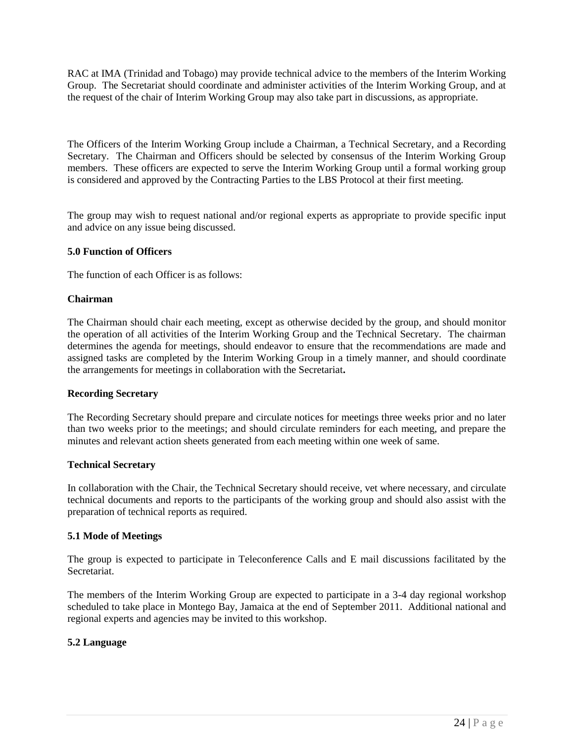RAC at IMA (Trinidad and Tobago) may provide technical advice to the members of the Interim Working Group. The Secretariat should coordinate and administer activities of the Interim Working Group, and at the request of the chair of Interim Working Group may also take part in discussions, as appropriate.

The Officers of the Interim Working Group include a Chairman, a Technical Secretary, and a Recording Secretary. The Chairman and Officers should be selected by consensus of the Interim Working Group members. These officers are expected to serve the Interim Working Group until a formal working group is considered and approved by the Contracting Parties to the LBS Protocol at their first meeting.

The group may wish to request national and/or regional experts as appropriate to provide specific input and advice on any issue being discussed.

#### **5.0 Function of Officers**

The function of each Officer is as follows:

#### **Chairman**

The Chairman should chair each meeting, except as otherwise decided by the group, and should monitor the operation of all activities of the Interim Working Group and the Technical Secretary. The chairman determines the agenda for meetings, should endeavor to ensure that the recommendations are made and assigned tasks are completed by the Interim Working Group in a timely manner, and should coordinate the arrangements for meetings in collaboration with the Secretariat**.**

#### **Recording Secretary**

The Recording Secretary should prepare and circulate notices for meetings three weeks prior and no later than two weeks prior to the meetings; and should circulate reminders for each meeting, and prepare the minutes and relevant action sheets generated from each meeting within one week of same.

#### **Technical Secretary**

In collaboration with the Chair, the Technical Secretary should receive, vet where necessary, and circulate technical documents and reports to the participants of the working group and should also assist with the preparation of technical reports as required.

#### **5.1 Mode of Meetings**

The group is expected to participate in Teleconference Calls and E mail discussions facilitated by the Secretariat.

The members of the Interim Working Group are expected to participate in a 3-4 day regional workshop scheduled to take place in Montego Bay, Jamaica at the end of September 2011. Additional national and regional experts and agencies may be invited to this workshop.

#### **5.2 Language**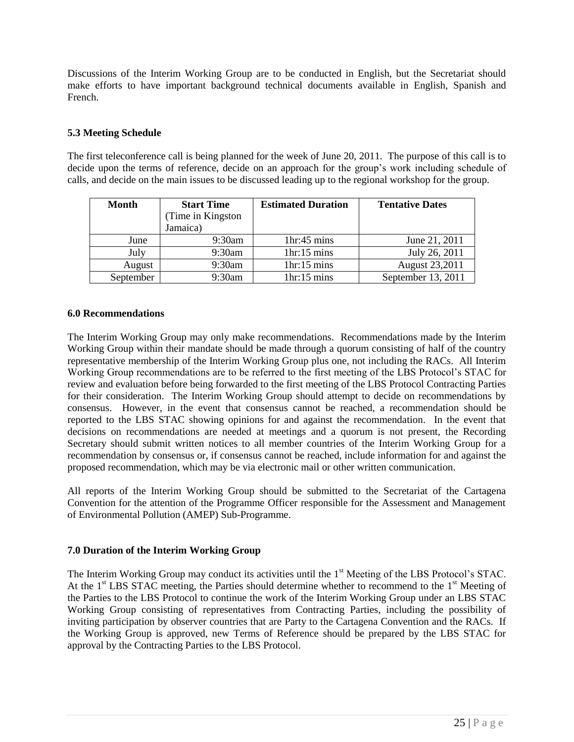Discussions of the Interim Working Group are to be conducted in English, but the Secretariat should make efforts to have important background technical documents available in English, Spanish and French.

#### **5.3 Meeting Schedule**

The first teleconference call is being planned for the week of June 20, 2011. The purpose of this call is to decide upon the terms of reference, decide on an approach for the group's work including schedule of calls, and decide on the main issues to be discussed leading up to the regional workshop for the group.

| <b>Month</b> | <b>Start Time</b>  | <b>Estimated Duration</b> | <b>Tentative Dates</b> |
|--------------|--------------------|---------------------------|------------------------|
|              | (Time in Kingston) |                           |                        |
|              | Jamaica)           |                           |                        |
| June         | 9:30am             | 1hr:45 mins               | June 21, 2011          |
| July         | 9:30am             | 1hr:15 mins               | July 26, 2011          |
| August       | 9:30am             | 1hr:15 mins               | August 23,2011         |
| September    | 9:30am             | 1hr:15 mins               | September 13, 2011     |

#### **6.0 Recommendations**

The Interim Working Group may only make recommendations. Recommendations made by the Interim Working Group within their mandate should be made through a quorum consisting of half of the country representative membership of the Interim Working Group plus one, not including the RACs. All Interim Working Group recommendations are to be referred to the first meeting of the LBS Protocol's STAC for review and evaluation before being forwarded to the first meeting of the LBS Protocol Contracting Parties for their consideration. The Interim Working Group should attempt to decide on recommendations by consensus. However, in the event that consensus cannot be reached, a recommendation should be reported to the LBS STAC showing opinions for and against the recommendation. In the event that decisions on recommendations are needed at meetings and a quorum is not present, the Recording Secretary should submit written notices to all member countries of the Interim Working Group for a recommendation by consensus or, if consensus cannot be reached, include information for and against the proposed recommendation, which may be via electronic mail or other written communication.

All reports of the Interim Working Group should be submitted to the Secretariat of the Cartagena Convention for the attention of the Programme Officer responsible for the Assessment and Management of Environmental Pollution (AMEP) Sub-Programme.

#### **7.0 Duration of the Interim Working Group**

The Interim Working Group may conduct its activities until the 1<sup>st</sup> Meeting of the LBS Protocol's STAC. At the  $1<sup>st</sup>$  LBS STAC meeting, the Parties should determine whether to recommend to the  $1<sup>st</sup>$  Meeting of the Parties to the LBS Protocol to continue the work of the Interim Working Group under an LBS STAC Working Group consisting of representatives from Contracting Parties, including the possibility of inviting participation by observer countries that are Party to the Cartagena Convention and the RACs. If the Working Group is approved, new Terms of Reference should be prepared by the LBS STAC for approval by the Contracting Parties to the LBS Protocol.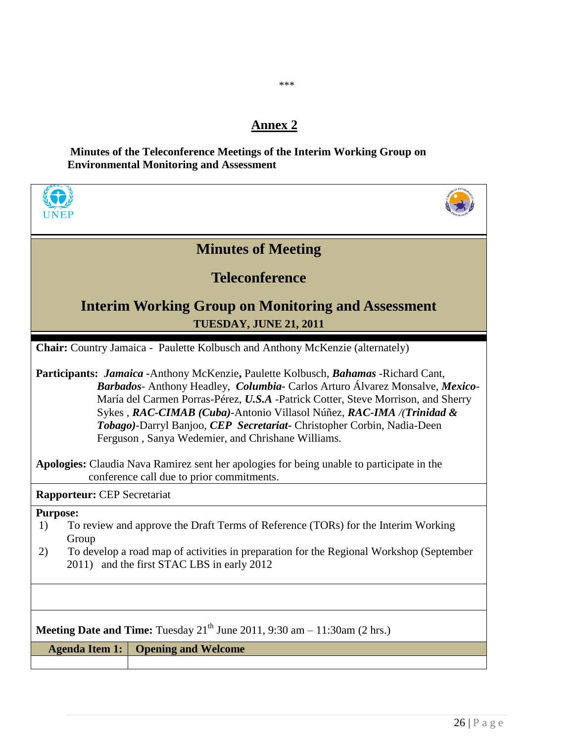## **Annex 2**

\*\*\*

## **Minutes of the Teleconference Meetings of the Interim Working Group on Environmental Monitoring and Assessment**

| <b>Minutes of Meeting</b>                                                                                                                                                                                                                                                                                                                                                                                                                                                                                                                                                |  |  |
|--------------------------------------------------------------------------------------------------------------------------------------------------------------------------------------------------------------------------------------------------------------------------------------------------------------------------------------------------------------------------------------------------------------------------------------------------------------------------------------------------------------------------------------------------------------------------|--|--|
| <b>Teleconference</b>                                                                                                                                                                                                                                                                                                                                                                                                                                                                                                                                                    |  |  |
| <b>Interim Working Group on Monitoring and Assessment</b><br><b>TUESDAY, JUNE 21, 2011</b>                                                                                                                                                                                                                                                                                                                                                                                                                                                                               |  |  |
| Chair: Country Jamaica - Paulette Kolbusch and Anthony McKenzie (alternately)                                                                                                                                                                                                                                                                                                                                                                                                                                                                                            |  |  |
| Participants: <i>Jamaica</i> - Anthony McKenzie, Paulette Kolbusch, <i>Bahamas</i> - Richard Cant,<br>Barbados-Anthony Headley, Columbia-Carlos Arturo Álvarez Monsalve, Mexico-<br>María del Carmen Porras-Pérez, U.S.A -Patrick Cotter, Steve Morrison, and Sherry<br>Sykes, RAC-CIMAB (Cuba)-Antonio Villasol Núñez, RAC-IMA /(Trinidad &<br>Tobago)-Darryl Banjoo, CEP Secretariat- Christopher Corbin, Nadia-Deen<br>Ferguson, Sanya Wedemier, and Chrishane Williams.<br>Apologies: Claudia Nava Ramirez sent her apologies for being unable to participate in the |  |  |
| conference call due to prior commitments.                                                                                                                                                                                                                                                                                                                                                                                                                                                                                                                                |  |  |
| <b>Rapporteur:</b> CEP Secretariat                                                                                                                                                                                                                                                                                                                                                                                                                                                                                                                                       |  |  |
| <b>Purpose:</b><br>To review and approve the Draft Terms of Reference (TORs) for the Interim Working<br>1)<br>Group<br>To develop a road map of activities in preparation for the Regional Workshop (September<br>2)<br>2011) and the first STAC LBS in early 2012                                                                                                                                                                                                                                                                                                       |  |  |
|                                                                                                                                                                                                                                                                                                                                                                                                                                                                                                                                                                          |  |  |
| <b>Meeting Date and Time:</b> Tuesday $21th$ June 2011, 9:30 am $- 11:30$ am (2 hrs.)                                                                                                                                                                                                                                                                                                                                                                                                                                                                                    |  |  |
| <b>Opening and Welcome</b><br><b>Agenda Item 1:</b>                                                                                                                                                                                                                                                                                                                                                                                                                                                                                                                      |  |  |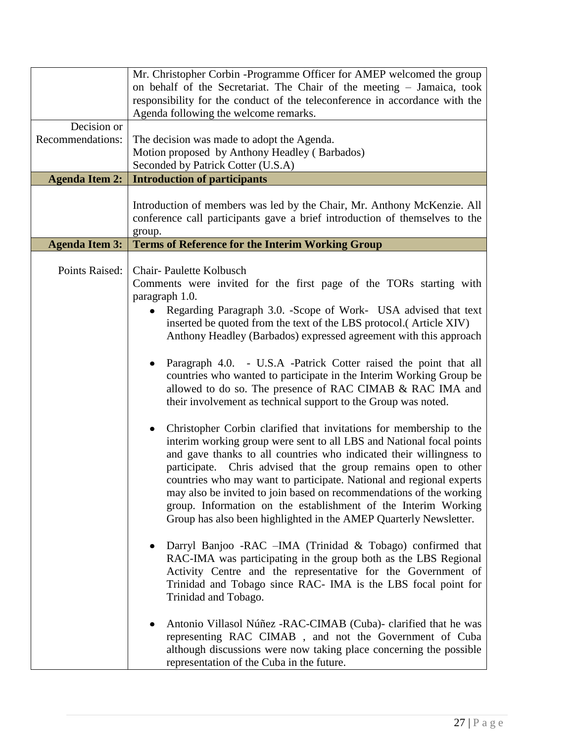|                                 | Mr. Christopher Corbin -Programme Officer for AMEP welcomed the group<br>on behalf of the Secretariat. The Chair of the meeting - Jamaica, took<br>responsibility for the conduct of the teleconference in accordance with the<br>Agenda following the welcome remarks.                                                                                                                                                                                                                                                                                                                                                                                                                                                                                                                                                                                                                                                                                                                                                                                                                                                                                                                                                                                                                                                                                                                                                                                                                                                                                                                                                                                                                                                                   |
|---------------------------------|-------------------------------------------------------------------------------------------------------------------------------------------------------------------------------------------------------------------------------------------------------------------------------------------------------------------------------------------------------------------------------------------------------------------------------------------------------------------------------------------------------------------------------------------------------------------------------------------------------------------------------------------------------------------------------------------------------------------------------------------------------------------------------------------------------------------------------------------------------------------------------------------------------------------------------------------------------------------------------------------------------------------------------------------------------------------------------------------------------------------------------------------------------------------------------------------------------------------------------------------------------------------------------------------------------------------------------------------------------------------------------------------------------------------------------------------------------------------------------------------------------------------------------------------------------------------------------------------------------------------------------------------------------------------------------------------------------------------------------------------|
| Decision or<br>Recommendations: | The decision was made to adopt the Agenda.<br>Motion proposed by Anthony Headley (Barbados)<br>Seconded by Patrick Cotter (U.S.A)                                                                                                                                                                                                                                                                                                                                                                                                                                                                                                                                                                                                                                                                                                                                                                                                                                                                                                                                                                                                                                                                                                                                                                                                                                                                                                                                                                                                                                                                                                                                                                                                         |
| <b>Agenda Item 2:</b>           | <b>Introduction of participants</b>                                                                                                                                                                                                                                                                                                                                                                                                                                                                                                                                                                                                                                                                                                                                                                                                                                                                                                                                                                                                                                                                                                                                                                                                                                                                                                                                                                                                                                                                                                                                                                                                                                                                                                       |
|                                 | Introduction of members was led by the Chair, Mr. Anthony McKenzie. All<br>conference call participants gave a brief introduction of themselves to the<br>group.                                                                                                                                                                                                                                                                                                                                                                                                                                                                                                                                                                                                                                                                                                                                                                                                                                                                                                                                                                                                                                                                                                                                                                                                                                                                                                                                                                                                                                                                                                                                                                          |
| <b>Agenda Item 3:</b>           | <b>Terms of Reference for the Interim Working Group</b>                                                                                                                                                                                                                                                                                                                                                                                                                                                                                                                                                                                                                                                                                                                                                                                                                                                                                                                                                                                                                                                                                                                                                                                                                                                                                                                                                                                                                                                                                                                                                                                                                                                                                   |
| Points Raised:                  | <b>Chair-Paulette Kolbusch</b><br>Comments were invited for the first page of the TORs starting with<br>paragraph 1.0.<br>Regarding Paragraph 3.0. - Scope of Work- USA advised that text<br>inserted be quoted from the text of the LBS protocol.(Article XIV)<br>Anthony Headley (Barbados) expressed agreement with this approach<br>Paragraph 4.0. - U.S.A -Patrick Cotter raised the point that all<br>countries who wanted to participate in the Interim Working Group be<br>allowed to do so. The presence of RAC CIMAB & RAC IMA and<br>their involvement as technical support to the Group was noted.<br>Christopher Corbin clarified that invitations for membership to the<br>interim working group were sent to all LBS and National focal points<br>and gave thanks to all countries who indicated their willingness to<br>participate. Chris advised that the group remains open to other<br>countries who may want to participate. National and regional experts<br>may also be invited to join based on recommendations of the working<br>group. Information on the establishment of the Interim Working<br>Group has also been highlighted in the AMEP Quarterly Newsletter.<br>Darryl Banjoo -RAC -IMA (Trinidad & Tobago) confirmed that<br>RAC-IMA was participating in the group both as the LBS Regional<br>Activity Centre and the representative for the Government of<br>Trinidad and Tobago since RAC- IMA is the LBS focal point for<br>Trinidad and Tobago.<br>Antonio Villasol Núñez - RAC-CIMAB (Cuba) - clarified that he was<br>representing RAC CIMAB, and not the Government of Cuba<br>although discussions were now taking place concerning the possible<br>representation of the Cuba in the future. |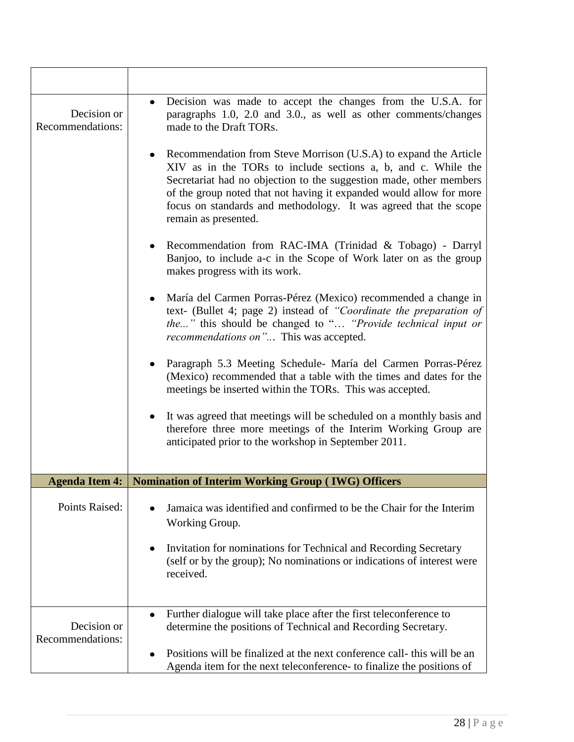| Decision or<br>Recommendations: | Decision was made to accept the changes from the U.S.A. for<br>paragraphs 1.0, 2.0 and 3.0., as well as other comments/changes<br>made to the Draft TORs.                                                                                                                                                                                                                  |
|---------------------------------|----------------------------------------------------------------------------------------------------------------------------------------------------------------------------------------------------------------------------------------------------------------------------------------------------------------------------------------------------------------------------|
|                                 | Recommendation from Steve Morrison (U.S.A) to expand the Article<br>XIV as in the TORs to include sections a, b, and c. While the<br>Secretariat had no objection to the suggestion made, other members<br>of the group noted that not having it expanded would allow for more<br>focus on standards and methodology. It was agreed that the scope<br>remain as presented. |
|                                 | Recommendation from RAC-IMA (Trinidad & Tobago) - Darryl<br>Banjoo, to include a-c in the Scope of Work later on as the group<br>makes progress with its work.                                                                                                                                                                                                             |
|                                 | María del Carmen Porras-Pérez (Mexico) recommended a change in<br>text- (Bullet 4; page 2) instead of "Coordinate the preparation of<br>the" this should be changed to " "Provide technical input or<br>recommendations on" This was accepted.                                                                                                                             |
|                                 | Paragraph 5.3 Meeting Schedule- María del Carmen Porras-Pérez<br>(Mexico) recommended that a table with the times and dates for the<br>meetings be inserted within the TORs. This was accepted.                                                                                                                                                                            |
|                                 | It was agreed that meetings will be scheduled on a monthly basis and<br>therefore three more meetings of the Interim Working Group are<br>anticipated prior to the workshop in September 2011.                                                                                                                                                                             |
|                                 |                                                                                                                                                                                                                                                                                                                                                                            |
|                                 | Agenda Item 4:   Nomination of Interim Working Group (IWG) Officers                                                                                                                                                                                                                                                                                                        |
| Points Raised:                  | Jamaica was identified and confirmed to be the Chair for the Interim<br>Working Group.                                                                                                                                                                                                                                                                                     |
|                                 | Invitation for nominations for Technical and Recording Secretary<br>(self or by the group); No nominations or indications of interest were<br>received.                                                                                                                                                                                                                    |
| Decision or<br>Recommendations: | Further dialogue will take place after the first teleconference to<br>$\bullet$<br>determine the positions of Technical and Recording Secretary.                                                                                                                                                                                                                           |
|                                 | Positions will be finalized at the next conference call-this will be an<br>Agenda item for the next teleconference- to finalize the positions of                                                                                                                                                                                                                           |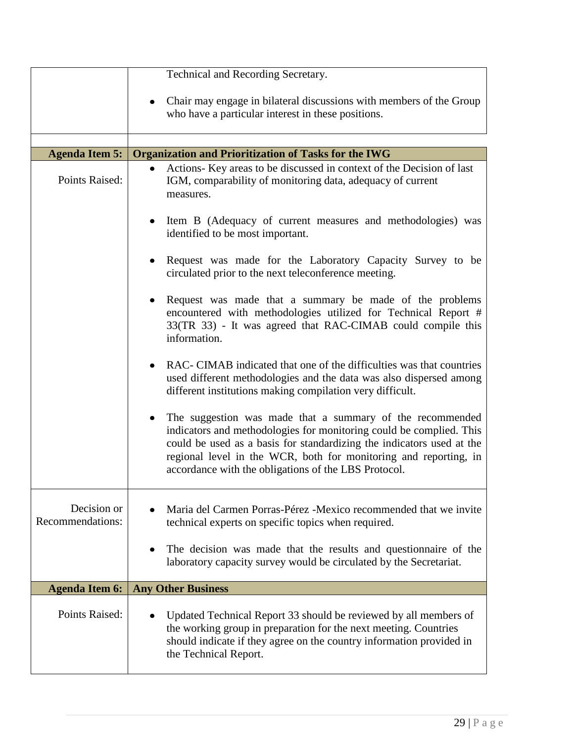|                                 | Technical and Recording Secretary.                                                                                                                                                                                                                                                                                                    |
|---------------------------------|---------------------------------------------------------------------------------------------------------------------------------------------------------------------------------------------------------------------------------------------------------------------------------------------------------------------------------------|
|                                 | Chair may engage in bilateral discussions with members of the Group<br>who have a particular interest in these positions.                                                                                                                                                                                                             |
|                                 |                                                                                                                                                                                                                                                                                                                                       |
| <b>Agenda Item 5:</b>           | <b>Organization and Prioritization of Tasks for the IWG</b>                                                                                                                                                                                                                                                                           |
| Points Raised:                  | Actions- Key areas to be discussed in context of the Decision of last<br>IGM, comparability of monitoring data, adequacy of current<br>measures.                                                                                                                                                                                      |
|                                 | Item B (Adequacy of current measures and methodologies) was<br>identified to be most important.                                                                                                                                                                                                                                       |
|                                 | Request was made for the Laboratory Capacity Survey to be<br>circulated prior to the next teleconference meeting.                                                                                                                                                                                                                     |
|                                 | Request was made that a summary be made of the problems<br>encountered with methodologies utilized for Technical Report #<br>33(TR 33) - It was agreed that RAC-CIMAB could compile this<br>information.                                                                                                                              |
|                                 | RAC- CIMAB indicated that one of the difficulties was that countries<br>used different methodologies and the data was also dispersed among<br>different institutions making compilation very difficult.                                                                                                                               |
|                                 | The suggestion was made that a summary of the recommended<br>indicators and methodologies for monitoring could be complied. This<br>could be used as a basis for standardizing the indicators used at the<br>regional level in the WCR, both for monitoring and reporting, in<br>accordance with the obligations of the LBS Protocol. |
| Decision or<br>Recommendations: | Maria del Carmen Porras-Pérez -Mexico recommended that we invite<br>technical experts on specific topics when required.                                                                                                                                                                                                               |
|                                 | The decision was made that the results and questionnaire of the<br>laboratory capacity survey would be circulated by the Secretariat.                                                                                                                                                                                                 |
| <b>Agenda Item 6:</b>           | <b>Any Other Business</b>                                                                                                                                                                                                                                                                                                             |
| Points Raised:                  | Updated Technical Report 33 should be reviewed by all members of<br>the working group in preparation for the next meeting. Countries<br>should indicate if they agree on the country information provided in<br>the Technical Report.                                                                                                 |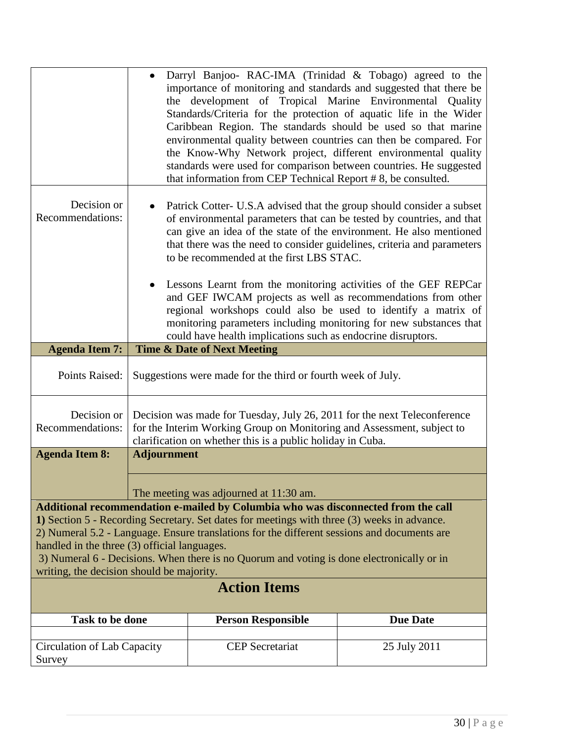|                                                                                                                                                                                                                                                                                                                                                                                                                                                                                                  |                                                                                                                                                                                                                  | Darryl Banjoo- RAC-IMA (Trinidad & Tobago) agreed to the<br>importance of monitoring and standards and suggested that there be<br>the development of Tropical Marine Environmental Quality<br>Standards/Criteria for the protection of aquatic life in the Wider<br>Caribbean Region. The standards should be used so that marine<br>environmental quality between countries can then be compared. For<br>the Know-Why Network project, different environmental quality<br>standards were used for comparison between countries. He suggested<br>that information from CEP Technical Report #8, be consulted.                                                                          |                 |  |
|--------------------------------------------------------------------------------------------------------------------------------------------------------------------------------------------------------------------------------------------------------------------------------------------------------------------------------------------------------------------------------------------------------------------------------------------------------------------------------------------------|------------------------------------------------------------------------------------------------------------------------------------------------------------------------------------------------------------------|----------------------------------------------------------------------------------------------------------------------------------------------------------------------------------------------------------------------------------------------------------------------------------------------------------------------------------------------------------------------------------------------------------------------------------------------------------------------------------------------------------------------------------------------------------------------------------------------------------------------------------------------------------------------------------------|-----------------|--|
| Decision or<br>Recommendations:                                                                                                                                                                                                                                                                                                                                                                                                                                                                  |                                                                                                                                                                                                                  | Patrick Cotter- U.S.A advised that the group should consider a subset<br>of environmental parameters that can be tested by countries, and that<br>can give an idea of the state of the environment. He also mentioned<br>that there was the need to consider guidelines, criteria and parameters<br>to be recommended at the first LBS STAC.<br>Lessons Learnt from the monitoring activities of the GEF REPCar<br>and GEF IWCAM projects as well as recommendations from other<br>regional workshops could also be used to identify a matrix of<br>monitoring parameters including monitoring for new substances that<br>could have health implications such as endocrine disruptors. |                 |  |
| <b>Agenda Item 7:</b>                                                                                                                                                                                                                                                                                                                                                                                                                                                                            |                                                                                                                                                                                                                  | <b>Time &amp; Date of Next Meeting</b>                                                                                                                                                                                                                                                                                                                                                                                                                                                                                                                                                                                                                                                 |                 |  |
| Points Raised:                                                                                                                                                                                                                                                                                                                                                                                                                                                                                   |                                                                                                                                                                                                                  | Suggestions were made for the third or fourth week of July.                                                                                                                                                                                                                                                                                                                                                                                                                                                                                                                                                                                                                            |                 |  |
| Decision or<br>Recommendations:                                                                                                                                                                                                                                                                                                                                                                                                                                                                  | Decision was made for Tuesday, July 26, 2011 for the next Teleconference<br>for the Interim Working Group on Monitoring and Assessment, subject to<br>clarification on whether this is a public holiday in Cuba. |                                                                                                                                                                                                                                                                                                                                                                                                                                                                                                                                                                                                                                                                                        |                 |  |
| <b>Agenda Item 8:</b>                                                                                                                                                                                                                                                                                                                                                                                                                                                                            | <b>Adjournment</b>                                                                                                                                                                                               |                                                                                                                                                                                                                                                                                                                                                                                                                                                                                                                                                                                                                                                                                        |                 |  |
|                                                                                                                                                                                                                                                                                                                                                                                                                                                                                                  |                                                                                                                                                                                                                  | The meeting was adjourned at 11:30 am.                                                                                                                                                                                                                                                                                                                                                                                                                                                                                                                                                                                                                                                 |                 |  |
| Additional recommendation e-mailed by Columbia who was disconnected from the call<br>1) Section 5 - Recording Secretary. Set dates for meetings with three (3) weeks in advance.<br>2) Numeral 5.2 - Language. Ensure translations for the different sessions and documents are<br>handled in the three (3) official languages.<br>3) Numeral 6 - Decisions. When there is no Quorum and voting is done electronically or in<br>writing, the decision should be majority.<br><b>Action Items</b> |                                                                                                                                                                                                                  |                                                                                                                                                                                                                                                                                                                                                                                                                                                                                                                                                                                                                                                                                        |                 |  |
| Task to be done                                                                                                                                                                                                                                                                                                                                                                                                                                                                                  |                                                                                                                                                                                                                  | <b>Person Responsible</b>                                                                                                                                                                                                                                                                                                                                                                                                                                                                                                                                                                                                                                                              | <b>Due Date</b> |  |
| Circulation of Lab Capacity<br>Survey                                                                                                                                                                                                                                                                                                                                                                                                                                                            |                                                                                                                                                                                                                  | <b>CEP</b> Secretariat                                                                                                                                                                                                                                                                                                                                                                                                                                                                                                                                                                                                                                                                 | 25 July 2011    |  |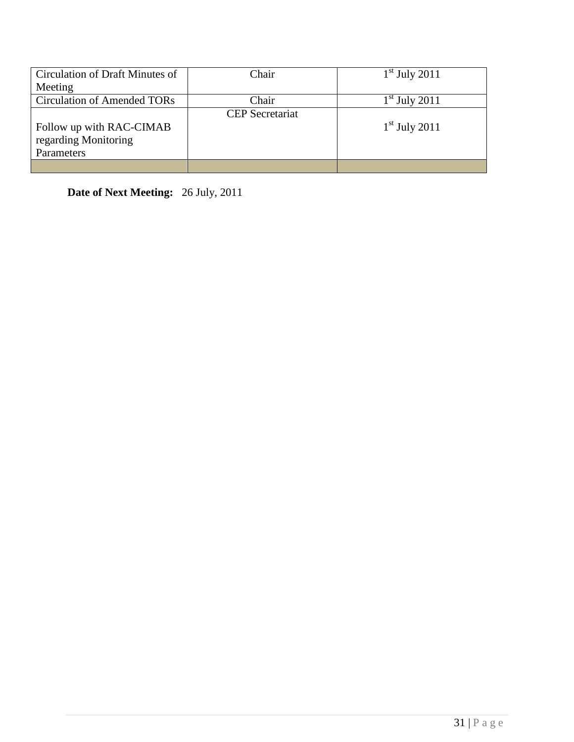| Circulation of Draft Minutes of    | Chair                  | $1st$ July 2011 |
|------------------------------------|------------------------|-----------------|
| Meeting                            |                        |                 |
| <b>Circulation of Amended TORs</b> | Chair                  | $1st$ July 2011 |
|                                    | <b>CEP</b> Secretariat |                 |
| Follow up with RAC-CIMAB           |                        | $1st$ July 2011 |
| regarding Monitoring               |                        |                 |
| Parameters                         |                        |                 |
|                                    |                        |                 |

**Date of Next Meeting:** 26 July, 2011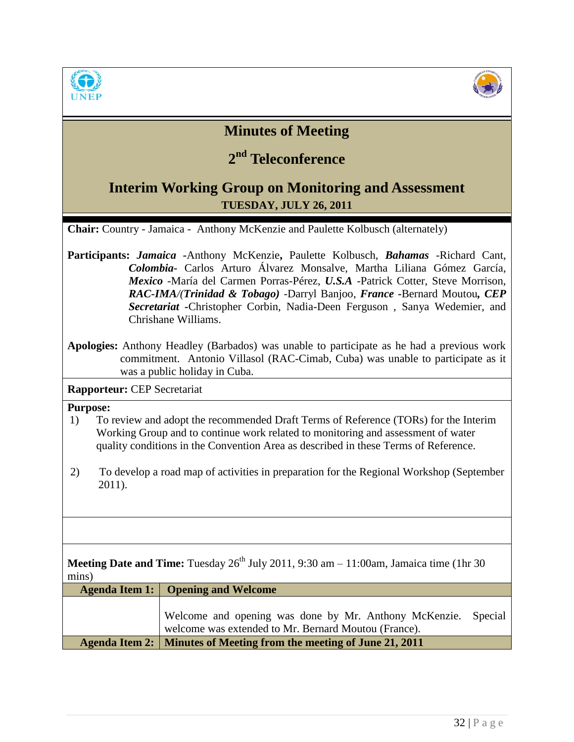



## **Minutes of Meeting**

# **2 nd Teleconference**

## **Interim Working Group on Monitoring and Assessment TUESDAY, JULY 26, 2011**

**Chair:** Country - Jamaica - Anthony McKenzie and Paulette Kolbusch (alternately)

- **Participants:** *Jamaica -*Anthony McKenzie**,** Paulette Kolbusch, *Bahamas* -Richard Cant, *Colombia-* Carlos Arturo Álvarez Monsalve, Martha Liliana Gómez García, *Mexico* -María del Carmen Porras-Pérez, *U.S.A* -Patrick Cotter, Steve Morrison, *RAC-IMA/(Trinidad & Tobago) -*Darryl Banjoo, *France -*Bernard Moutou*, CEP Secretariat -*Christopher Corbin, Nadia-Deen Ferguson , Sanya Wedemier, and Chrishane Williams.
- **Apologies:** Anthony Headley (Barbados) was unable to participate as he had a previous work commitment. Antonio Villasol (RAC-Cimab, Cuba) was unable to participate as it was a public holiday in Cuba.

**Rapporteur:** CEP Secretariat

### **Purpose:**

- 1) To review and adopt the recommended Draft Terms of Reference (TORs) for the Interim Working Group and to continue work related to monitoring and assessment of water quality conditions in the Convention Area as described in these Terms of Reference.
- 2) To develop a road map of activities in preparation for the Regional Workshop (September 2011).

**Meeting Date and Time:** Tuesday  $26^{th}$  July 2011, 9:30 am  $- 11:00$ am, Jamaica time (1hr 30) mins)

| Agenda Item 1:   Opening and Welcome                                  |
|-----------------------------------------------------------------------|
|                                                                       |
| Welcome and opening was done by Mr. Anthony McKenzie. Special         |
| welcome was extended to Mr. Bernard Moutou (France).                  |
| Agenda Item 2:   Minutes of Meeting from the meeting of June 21, 2011 |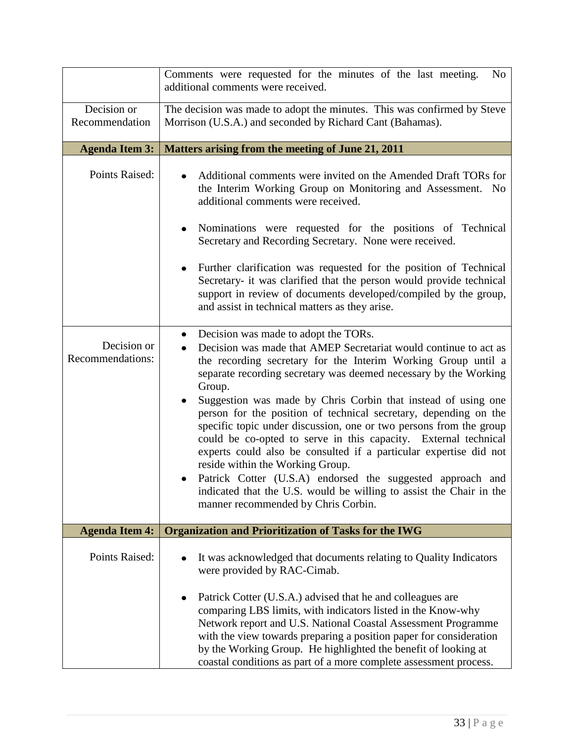|                                 | Comments were requested for the minutes of the last meeting.<br>N <sub>0</sub><br>additional comments were received.                                                                                                                                                                                                                                                                                                                                                                                                                                                                                                                                                                                                                                                                                                       |
|---------------------------------|----------------------------------------------------------------------------------------------------------------------------------------------------------------------------------------------------------------------------------------------------------------------------------------------------------------------------------------------------------------------------------------------------------------------------------------------------------------------------------------------------------------------------------------------------------------------------------------------------------------------------------------------------------------------------------------------------------------------------------------------------------------------------------------------------------------------------|
| Decision or<br>Recommendation   | The decision was made to adopt the minutes. This was confirmed by Steve<br>Morrison (U.S.A.) and seconded by Richard Cant (Bahamas).                                                                                                                                                                                                                                                                                                                                                                                                                                                                                                                                                                                                                                                                                       |
| <b>Agenda Item 3:</b>           | Matters arising from the meeting of June 21, 2011                                                                                                                                                                                                                                                                                                                                                                                                                                                                                                                                                                                                                                                                                                                                                                          |
| Points Raised:                  | Additional comments were invited on the Amended Draft TORs for<br>the Interim Working Group on Monitoring and Assessment. No<br>additional comments were received.<br>Nominations were requested for the positions of Technical<br>Secretary and Recording Secretary. None were received.<br>Further clarification was requested for the position of Technical<br>Secretary- it was clarified that the person would provide technical<br>support in review of documents developed/compiled by the group,<br>and assist in technical matters as they arise.                                                                                                                                                                                                                                                                 |
| Decision or<br>Recommendations: | Decision was made to adopt the TORs.<br>Decision was made that AMEP Secretariat would continue to act as<br>the recording secretary for the Interim Working Group until a<br>separate recording secretary was deemed necessary by the Working<br>Group.<br>Suggestion was made by Chris Corbin that instead of using one<br>person for the position of technical secretary, depending on the<br>specific topic under discussion, one or two persons from the group<br>could be co-opted to serve in this capacity. External technical<br>experts could also be consulted if a particular expertise did not<br>reside within the Working Group.<br>Patrick Cotter (U.S.A) endorsed the suggested approach and<br>indicated that the U.S. would be willing to assist the Chair in the<br>manner recommended by Chris Corbin. |
| <b>Agenda Item 4:</b>           | <b>Organization and Prioritization of Tasks for the IWG</b>                                                                                                                                                                                                                                                                                                                                                                                                                                                                                                                                                                                                                                                                                                                                                                |
| Points Raised:                  | It was acknowledged that documents relating to Quality Indicators<br>were provided by RAC-Cimab.<br>Patrick Cotter (U.S.A.) advised that he and colleagues are<br>comparing LBS limits, with indicators listed in the Know-why<br>Network report and U.S. National Coastal Assessment Programme<br>with the view towards preparing a position paper for consideration<br>by the Working Group. He highlighted the benefit of looking at<br>coastal conditions as part of a more complete assessment process.                                                                                                                                                                                                                                                                                                               |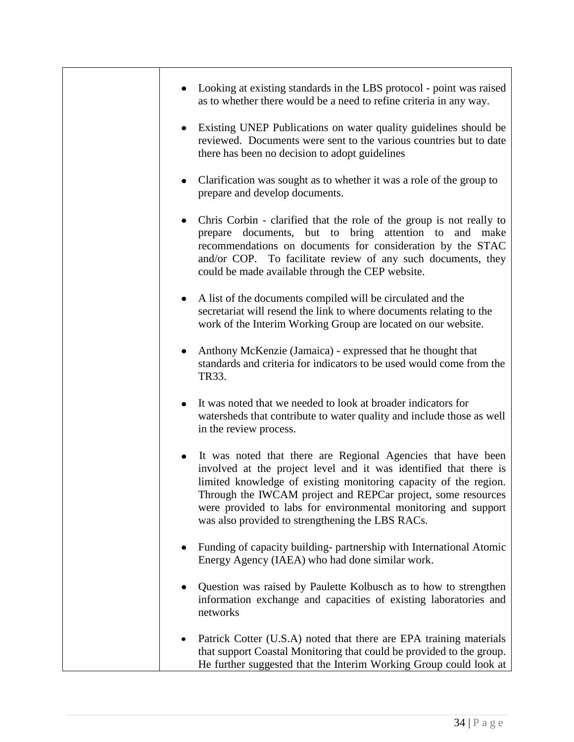| Looking at existing standards in the LBS protocol - point was raised<br>as to whether there would be a need to refine criteria in any way.                                                                                                                                                                                                                                                  |
|---------------------------------------------------------------------------------------------------------------------------------------------------------------------------------------------------------------------------------------------------------------------------------------------------------------------------------------------------------------------------------------------|
| Existing UNEP Publications on water quality guidelines should be<br>reviewed. Documents were sent to the various countries but to date<br>there has been no decision to adopt guidelines                                                                                                                                                                                                    |
| Clarification was sought as to whether it was a role of the group to<br>prepare and develop documents.                                                                                                                                                                                                                                                                                      |
| Chris Corbin - clarified that the role of the group is not really to<br>prepare documents, but to bring attention to and make<br>recommendations on documents for consideration by the STAC<br>and/or COP. To facilitate review of any such documents, they<br>could be made available through the CEP website.                                                                             |
| A list of the documents compiled will be circulated and the<br>٠<br>secretariat will resend the link to where documents relating to the<br>work of the Interim Working Group are located on our website.                                                                                                                                                                                    |
| Anthony McKenzie (Jamaica) - expressed that he thought that<br>standards and criteria for indicators to be used would come from the<br>TR33.                                                                                                                                                                                                                                                |
| It was noted that we needed to look at broader indicators for<br>watersheds that contribute to water quality and include those as well<br>in the review process.                                                                                                                                                                                                                            |
| It was noted that there are Regional Agencies that have been<br>involved at the project level and it was identified that there is<br>limited knowledge of existing monitoring capacity of the region.<br>Through the IWCAM project and REPCar project, some resources<br>were provided to labs for environmental monitoring and support<br>was also provided to strengthening the LBS RACs. |
| Funding of capacity building-partnership with International Atomic<br>Energy Agency (IAEA) who had done similar work.                                                                                                                                                                                                                                                                       |
| Question was raised by Paulette Kolbusch as to how to strengthen<br>information exchange and capacities of existing laboratories and<br>networks                                                                                                                                                                                                                                            |
| Patrick Cotter (U.S.A) noted that there are EPA training materials<br>that support Coastal Monitoring that could be provided to the group.<br>He further suggested that the Interim Working Group could look at                                                                                                                                                                             |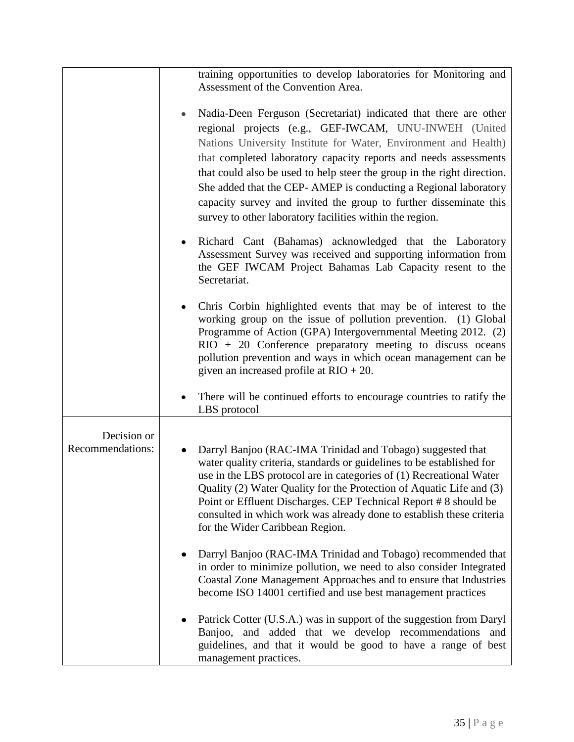|                                 | training opportunities to develop laboratories for Monitoring and                                                                                                                                                                                                                                                                                                                                                                                                                                                                                |
|---------------------------------|--------------------------------------------------------------------------------------------------------------------------------------------------------------------------------------------------------------------------------------------------------------------------------------------------------------------------------------------------------------------------------------------------------------------------------------------------------------------------------------------------------------------------------------------------|
|                                 | Assessment of the Convention Area.                                                                                                                                                                                                                                                                                                                                                                                                                                                                                                               |
|                                 |                                                                                                                                                                                                                                                                                                                                                                                                                                                                                                                                                  |
|                                 | Nadia-Deen Ferguson (Secretariat) indicated that there are other<br>regional projects (e.g., GEF-IWCAM, UNU-INWEH (United<br>Nations University Institute for Water, Environment and Health)<br>that completed laboratory capacity reports and needs assessments<br>that could also be used to help steer the group in the right direction.<br>She added that the CEP- AMEP is conducting a Regional laboratory<br>capacity survey and invited the group to further disseminate this<br>survey to other laboratory facilities within the region. |
|                                 | Richard Cant (Bahamas) acknowledged that the Laboratory<br>Assessment Survey was received and supporting information from<br>the GEF IWCAM Project Bahamas Lab Capacity resent to the<br>Secretariat.                                                                                                                                                                                                                                                                                                                                            |
|                                 | Chris Corbin highlighted events that may be of interest to the<br>working group on the issue of pollution prevention. (1) Global<br>Programme of Action (GPA) Intergovernmental Meeting 2012. (2)<br>$RIO + 20$ Conference preparatory meeting to discuss oceans<br>pollution prevention and ways in which ocean management can be<br>given an increased profile at $RIO + 20$ .                                                                                                                                                                 |
|                                 | There will be continued efforts to encourage countries to ratify the<br>LBS protocol                                                                                                                                                                                                                                                                                                                                                                                                                                                             |
|                                 |                                                                                                                                                                                                                                                                                                                                                                                                                                                                                                                                                  |
| Decision or<br>Recommendations: | Darryl Banjoo (RAC-IMA Trinidad and Tobago) suggested that<br>٠<br>water quality criteria, standards or guidelines to be established for<br>use in the LBS protocol are in categories of (1) Recreational Water<br>Quality (2) Water Quality for the Protection of Aquatic Life and (3)<br>Point or Effluent Discharges. CEP Technical Report #8 should be<br>consulted in which work was already done to establish these criteria<br>for the Wider Caribbean Region.                                                                            |
|                                 | Darryl Banjoo (RAC-IMA Trinidad and Tobago) recommended that<br>in order to minimize pollution, we need to also consider Integrated<br>Coastal Zone Management Approaches and to ensure that Industries<br>become ISO 14001 certified and use best management practices                                                                                                                                                                                                                                                                          |
|                                 | Patrick Cotter (U.S.A.) was in support of the suggestion from Daryl<br>Banjoo, and added that we develop recommendations<br>and<br>guidelines, and that it would be good to have a range of best<br>management practices.                                                                                                                                                                                                                                                                                                                        |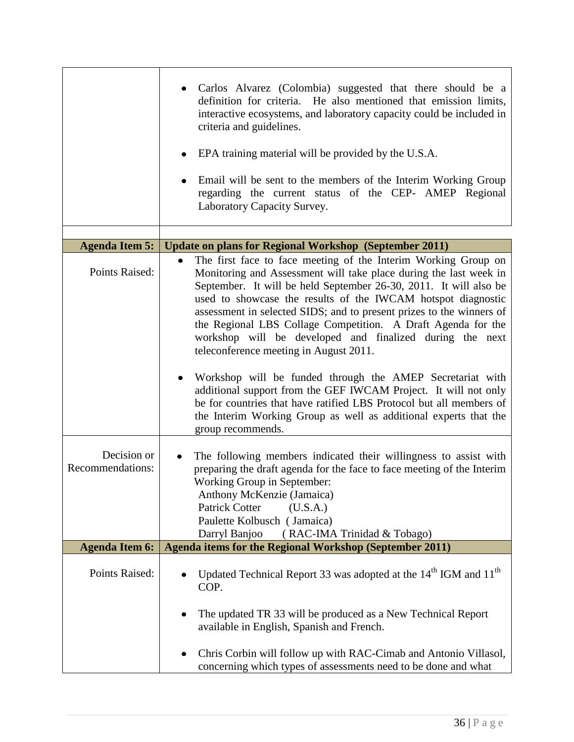|                                 | Carlos Alvarez (Colombia) suggested that there should be a<br>definition for criteria. He also mentioned that emission limits,<br>interactive ecosystems, and laboratory capacity could be included in<br>criteria and guidelines.<br>EPA training material will be provided by the U.S.A.<br>Email will be sent to the members of the Interim Working Group<br>regarding the current status of the CEP- AMEP Regional<br>Laboratory Capacity Survey.                                                                               |
|---------------------------------|-------------------------------------------------------------------------------------------------------------------------------------------------------------------------------------------------------------------------------------------------------------------------------------------------------------------------------------------------------------------------------------------------------------------------------------------------------------------------------------------------------------------------------------|
|                                 |                                                                                                                                                                                                                                                                                                                                                                                                                                                                                                                                     |
| <b>Agenda Item 5:</b>           | <b>Update on plans for Regional Workshop (September 2011)</b>                                                                                                                                                                                                                                                                                                                                                                                                                                                                       |
| Points Raised:                  | The first face to face meeting of the Interim Working Group on<br>$\bullet$<br>Monitoring and Assessment will take place during the last week in<br>September. It will be held September 26-30, 2011. It will also be<br>used to showcase the results of the IWCAM hotspot diagnostic<br>assessment in selected SIDS; and to present prizes to the winners of<br>the Regional LBS Collage Competition. A Draft Agenda for the<br>workshop will be developed and finalized during the next<br>teleconference meeting in August 2011. |
|                                 | Workshop will be funded through the AMEP Secretariat with<br>additional support from the GEF IWCAM Project. It will not only<br>be for countries that have ratified LBS Protocol but all members of<br>the Interim Working Group as well as additional experts that the<br>group recommends.                                                                                                                                                                                                                                        |
| Decision or<br>Recommendations: | The following members indicated their willingness to assist with<br>preparing the draft agenda for the face to face meeting of the Interim<br>Working Group in September:<br>Anthony McKenzie (Jamaica)<br><b>Patrick Cotter</b><br>(U.S.A.)<br>Paulette Kolbusch (Jamaica)<br>Darryl Banjoo<br>(RAC-IMA Trinidad & Tobago)                                                                                                                                                                                                         |
| <b>Agenda Item 6:</b>           | <b>Agenda items for the Regional Workshop (September 2011)</b>                                                                                                                                                                                                                                                                                                                                                                                                                                                                      |
| Points Raised:                  | Updated Technical Report 33 was adopted at the 14 <sup>th</sup> IGM and 11 <sup>th</sup><br>COP.<br>The updated TR 33 will be produced as a New Technical Report<br>available in English, Spanish and French.                                                                                                                                                                                                                                                                                                                       |
|                                 | Chris Corbin will follow up with RAC-Cimab and Antonio Villasol,<br>concerning which types of assessments need to be done and what                                                                                                                                                                                                                                                                                                                                                                                                  |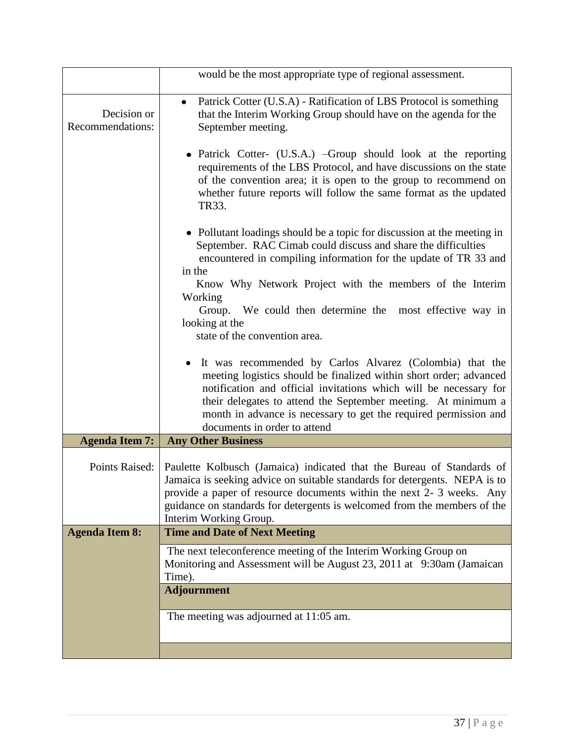|                                 | would be the most appropriate type of regional assessment.                                                                                                                                                                                                                                                                                                               |  |
|---------------------------------|--------------------------------------------------------------------------------------------------------------------------------------------------------------------------------------------------------------------------------------------------------------------------------------------------------------------------------------------------------------------------|--|
| Decision or<br>Recommendations: | Patrick Cotter (U.S.A) - Ratification of LBS Protocol is something<br>$\bullet$<br>that the Interim Working Group should have on the agenda for the<br>September meeting.                                                                                                                                                                                                |  |
|                                 | • Patrick Cotter- (U.S.A.) –Group should look at the reporting<br>requirements of the LBS Protocol, and have discussions on the state<br>of the convention area; it is open to the group to recommend on<br>whether future reports will follow the same format as the updated<br>TR33.                                                                                   |  |
|                                 | • Pollutant loadings should be a topic for discussion at the meeting in<br>September. RAC Cimab could discuss and share the difficulties<br>encountered in compiling information for the update of TR 33 and<br>in the                                                                                                                                                   |  |
|                                 | Know Why Network Project with the members of the Interim                                                                                                                                                                                                                                                                                                                 |  |
|                                 | Working<br>Group. We could then determine the most effective way in                                                                                                                                                                                                                                                                                                      |  |
|                                 | looking at the<br>state of the convention area.                                                                                                                                                                                                                                                                                                                          |  |
|                                 | It was recommended by Carlos Alvarez (Colombia) that the<br>meeting logistics should be finalized within short order; advanced<br>notification and official invitations which will be necessary for<br>their delegates to attend the September meeting. At minimum a<br>month in advance is necessary to get the required permission and<br>documents in order to attend |  |
| <b>Agenda Item 7:</b>           | <b>Any Other Business</b>                                                                                                                                                                                                                                                                                                                                                |  |
| Points Raised:                  | Paulette Kolbusch (Jamaica) indicated that the Bureau of Standards of<br>Jamaica is seeking advice on suitable standards for detergents. NEPA is to<br>provide a paper of resource documents within the next 2-3 weeks. Any<br>guidance on standards for detergents is welcomed from the members of the<br>Interim Working Group.                                        |  |
| <b>Agenda Item 8:</b>           | <b>Time and Date of Next Meeting</b>                                                                                                                                                                                                                                                                                                                                     |  |
|                                 | The next teleconference meeting of the Interim Working Group on<br>Monitoring and Assessment will be August 23, 2011 at 9:30am (Jamaican<br>Time).                                                                                                                                                                                                                       |  |
|                                 | <b>Adjournment</b>                                                                                                                                                                                                                                                                                                                                                       |  |
|                                 | The meeting was adjourned at 11:05 am.                                                                                                                                                                                                                                                                                                                                   |  |
|                                 |                                                                                                                                                                                                                                                                                                                                                                          |  |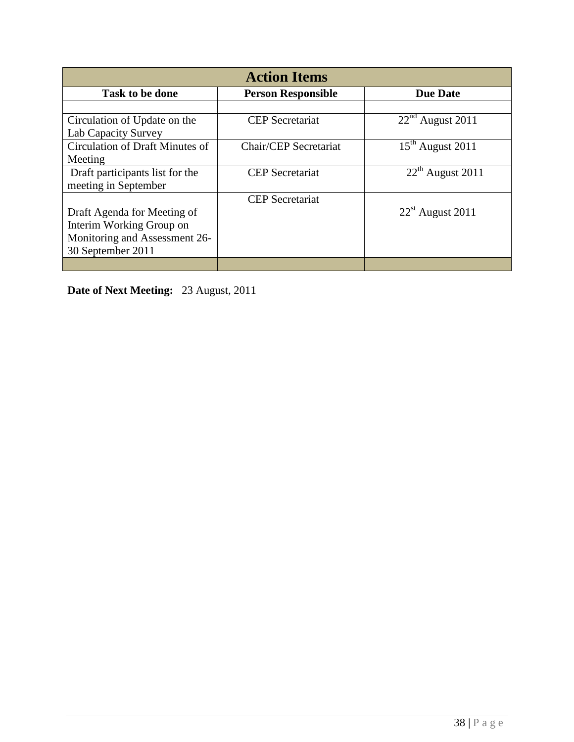| <b>Action Items</b>             |                           |                    |  |
|---------------------------------|---------------------------|--------------------|--|
| Task to be done                 | <b>Person Responsible</b> | <b>Due Date</b>    |  |
|                                 |                           |                    |  |
| Circulation of Update on the    | <b>CEP</b> Secretariat    | $22nd$ August 2011 |  |
| Lab Capacity Survey             |                           |                    |  |
| Circulation of Draft Minutes of | Chair/CEP Secretariat     | $15th$ August 2011 |  |
| Meeting                         |                           |                    |  |
| Draft participants list for the | <b>CEP</b> Secretariat    | $22th$ August 2011 |  |
| meeting in September            |                           |                    |  |
|                                 | <b>CEP</b> Secretariat    |                    |  |
| Draft Agenda for Meeting of     |                           | $22st$ August 2011 |  |
| Interim Working Group on        |                           |                    |  |
| Monitoring and Assessment 26-   |                           |                    |  |
| 30 September 2011               |                           |                    |  |
|                                 |                           |                    |  |

**Date of Next Meeting:** 23 August, 2011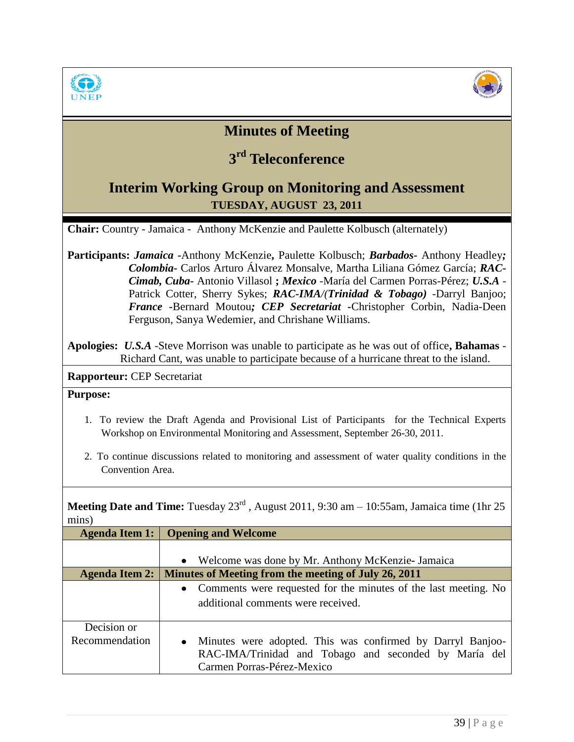



## **Minutes of Meeting**

# **3 rd Teleconference**

## **Interim Working Group on Monitoring and Assessment TUESDAY, AUGUST 23, 2011**

**Chair:** Country - Jamaica - Anthony McKenzie and Paulette Kolbusch (alternately)

**Participants:** *Jamaica -*Anthony McKenzie**,** Paulette Kolbusch; *Barbados-* Anthony Headley*; Colombia-* Carlos Arturo Álvarez Monsalve, Martha Liliana Gómez García; *RAC-Cimab, Cuba-* Antonio Villasol **;** *Mexico* -María del Carmen Porras-Pérez; *U.S.A* - Patrick Cotter, Sherry Sykes; *RAC-IMA/(Trinidad & Tobago) -*Darryl Banjoo; *France -*Bernard Moutou*; CEP Secretariat -*Christopher Corbin, Nadia-Deen Ferguson, Sanya Wedemier, and Chrishane Williams.

**Apologies:** *U.S.A* -Steve Morrison was unable to participate as he was out of office**, Bahamas** - Richard Cant, was unable to participate because of a hurricane threat to the island.

**Rapporteur:** CEP Secretariat

#### **Purpose:**

- 1. To review the Draft Agenda and Provisional List of Participants for the Technical Experts Workshop on Environmental Monitoring and Assessment, September 26-30, 2011.
- 2. To continue discussions related to monitoring and assessment of water quality conditions in the Convention Area.

**Meeting Date and Time:** Tuesday  $23^{rd}$ , August 2011, 9:30 am – 10:55am, Jamaica time (1hr 25) mins)

| <b>Agenda Item 1:</b> | <b>Opening and Welcome</b>                                              |  |
|-----------------------|-------------------------------------------------------------------------|--|
|                       | Welcome was done by Mr. Anthony McKenzie-Jamaica<br>$\bullet$           |  |
| <b>Agenda Item 2:</b> | Minutes of Meeting from the meeting of July 26, 2011                    |  |
|                       | Comments were requested for the minutes of the last meeting. No         |  |
|                       | additional comments were received.                                      |  |
| Decision or           |                                                                         |  |
| Recommendation        | Minutes were adopted. This was confirmed by Darryl Banjoo-<br>$\bullet$ |  |
|                       | RAC-IMA/Trinidad and Tobago and seconded by María del                   |  |
|                       | Carmen Porras-Pérez-Mexico                                              |  |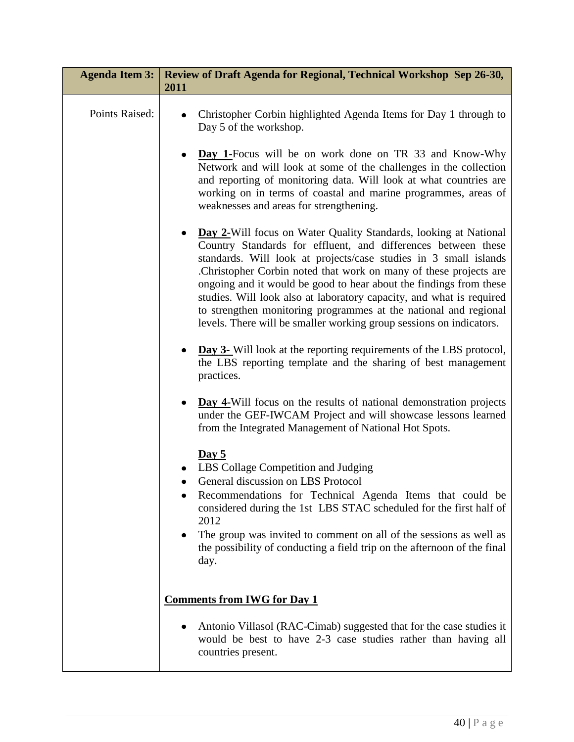| <b>Agenda Item 3:</b> | Review of Draft Agenda for Regional, Technical Workshop Sep 26-30,<br>2011                                                                                                                                                                                                                                                                                                                                                                                                                                                                                                |
|-----------------------|---------------------------------------------------------------------------------------------------------------------------------------------------------------------------------------------------------------------------------------------------------------------------------------------------------------------------------------------------------------------------------------------------------------------------------------------------------------------------------------------------------------------------------------------------------------------------|
| Points Raised:        | Christopher Corbin highlighted Agenda Items for Day 1 through to<br>Day 5 of the workshop.                                                                                                                                                                                                                                                                                                                                                                                                                                                                                |
|                       | <b>Day 1-Focus</b> will be on work done on TR 33 and Know-Why<br>Network and will look at some of the challenges in the collection<br>and reporting of monitoring data. Will look at what countries are<br>working on in terms of coastal and marine programmes, areas of<br>weaknesses and areas for strengthening.                                                                                                                                                                                                                                                      |
|                       | <b>Day 2-Will focus on Water Quality Standards, looking at National</b><br>Country Standards for effluent, and differences between these<br>standards. Will look at projects/case studies in 3 small islands<br>Christopher Corbin noted that work on many of these projects are<br>ongoing and it would be good to hear about the findings from these<br>studies. Will look also at laboratory capacity, and what is required<br>to strengthen monitoring programmes at the national and regional<br>levels. There will be smaller working group sessions on indicators. |
|                       | <b>Day 3-</b> Will look at the reporting requirements of the LBS protocol,<br>the LBS reporting template and the sharing of best management<br>practices.                                                                                                                                                                                                                                                                                                                                                                                                                 |
|                       | <b>Day 4-Will focus on the results of national demonstration projects</b><br>under the GEF-IWCAM Project and will showcase lessons learned<br>from the Integrated Management of National Hot Spots.                                                                                                                                                                                                                                                                                                                                                                       |
|                       | Day 5<br>LBS Collage Competition and Judging<br>General discussion on LBS Protocol<br>Recommendations for Technical Agenda Items that could be<br>considered during the 1st LBS STAC scheduled for the first half of<br>2012<br>The group was invited to comment on all of the sessions as well as<br>the possibility of conducting a field trip on the afternoon of the final<br>day.                                                                                                                                                                                    |
|                       | <b>Comments from IWG for Day 1</b>                                                                                                                                                                                                                                                                                                                                                                                                                                                                                                                                        |
|                       | Antonio Villasol (RAC-Cimab) suggested that for the case studies it<br>would be best to have 2-3 case studies rather than having all<br>countries present.                                                                                                                                                                                                                                                                                                                                                                                                                |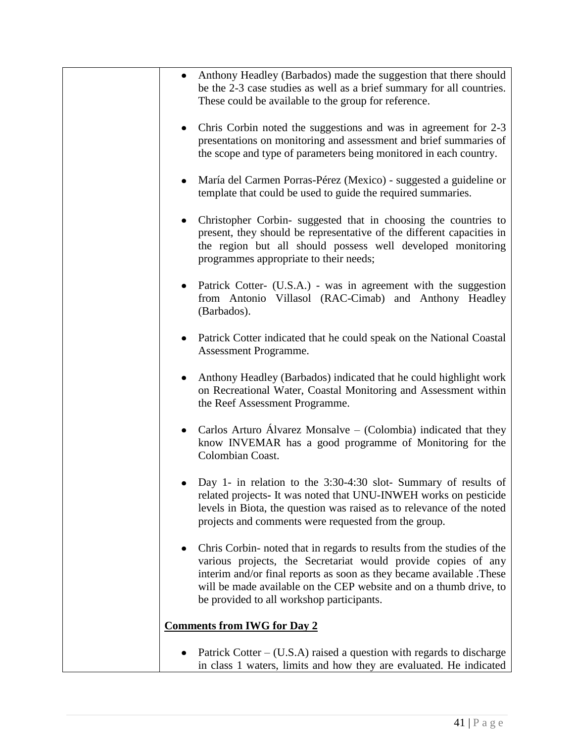| Anthony Headley (Barbados) made the suggestion that there should<br>be the 2-3 case studies as well as a brief summary for all countries.<br>These could be available to the group for reference.                                                                                                                                  |
|------------------------------------------------------------------------------------------------------------------------------------------------------------------------------------------------------------------------------------------------------------------------------------------------------------------------------------|
| Chris Corbin noted the suggestions and was in agreement for 2-3<br>presentations on monitoring and assessment and brief summaries of<br>the scope and type of parameters being monitored in each country.                                                                                                                          |
| María del Carmen Porras-Pérez (Mexico) - suggested a guideline or<br>template that could be used to guide the required summaries.                                                                                                                                                                                                  |
| Christopher Corbin-suggested that in choosing the countries to<br>present, they should be representative of the different capacities in<br>the region but all should possess well developed monitoring<br>programmes appropriate to their needs;                                                                                   |
| Patrick Cotter- (U.S.A.) - was in agreement with the suggestion<br>from Antonio Villasol (RAC-Cimab) and Anthony Headley<br>(Barbados).                                                                                                                                                                                            |
| Patrick Cotter indicated that he could speak on the National Coastal<br>Assessment Programme.                                                                                                                                                                                                                                      |
| Anthony Headley (Barbados) indicated that he could highlight work<br>on Recreational Water, Coastal Monitoring and Assessment within<br>the Reef Assessment Programme.                                                                                                                                                             |
| Carlos Arturo Álvarez Monsalve – (Colombia) indicated that they<br>know INVEMAR has a good programme of Monitoring for the<br>Colombian Coast.                                                                                                                                                                                     |
| Day 1- in relation to the $3:30-4:30$ slot-Summary of results of<br>related projects- It was noted that UNU-INWEH works on pesticide<br>levels in Biota, the question was raised as to relevance of the noted<br>projects and comments were requested from the group.                                                              |
| Chris Corbin- noted that in regards to results from the studies of the<br>various projects, the Secretariat would provide copies of any<br>interim and/or final reports as soon as they became available. These<br>will be made available on the CEP website and on a thumb drive, to<br>be provided to all workshop participants. |
| <b>Comments from IWG for Day 2</b>                                                                                                                                                                                                                                                                                                 |
| Patrick Cotter $-$ (U.S.A) raised a question with regards to discharge<br>in class 1 waters, limits and how they are evaluated. He indicated                                                                                                                                                                                       |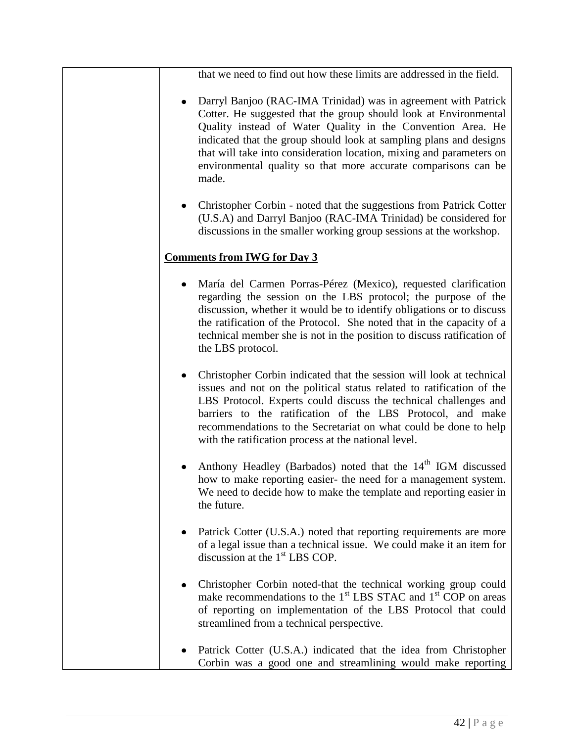that we need to find out how these limits are addressed in the field.

- Darryl Banjoo (RAC-IMA Trinidad) was in agreement with Patrick Cotter. He suggested that the group should look at Environmental Quality instead of Water Quality in the Convention Area. He indicated that the group should look at sampling plans and designs that will take into consideration location, mixing and parameters on environmental quality so that more accurate comparisons can be made.
- Christopher Corbin noted that the suggestions from Patrick Cotter (U.S.A) and Darryl Banjoo (RAC-IMA Trinidad) be considered for discussions in the smaller working group sessions at the workshop.

### **Comments from IWG for Day 3**

- María del Carmen Porras-Pérez (Mexico), requested clarification regarding the session on the LBS protocol; the purpose of the discussion, whether it would be to identify obligations or to discuss the ratification of the Protocol. She noted that in the capacity of a technical member she is not in the position to discuss ratification of the LBS protocol.
- $\bullet$ Christopher Corbin indicated that the session will look at technical issues and not on the political status related to ratification of the LBS Protocol. Experts could discuss the technical challenges and barriers to the ratification of the LBS Protocol, and make recommendations to the Secretariat on what could be done to help with the ratification process at the national level.
- Anthony Headley (Barbados) noted that the  $14<sup>th</sup>$  IGM discussed how to make reporting easier- the need for a management system. We need to decide how to make the template and reporting easier in the future.
- Patrick Cotter (U.S.A.) noted that reporting requirements are more of a legal issue than a technical issue. We could make it an item for discussion at the 1<sup>st</sup> LBS COP.
- Christopher Corbin noted-that the technical working group could make recommendations to the  $1<sup>st</sup>$  LBS STAC and  $1<sup>st</sup>$  COP on areas of reporting on implementation of the LBS Protocol that could streamlined from a technical perspective.
- Patrick Cotter (U.S.A.) indicated that the idea from Christopher Corbin was a good one and streamlining would make reporting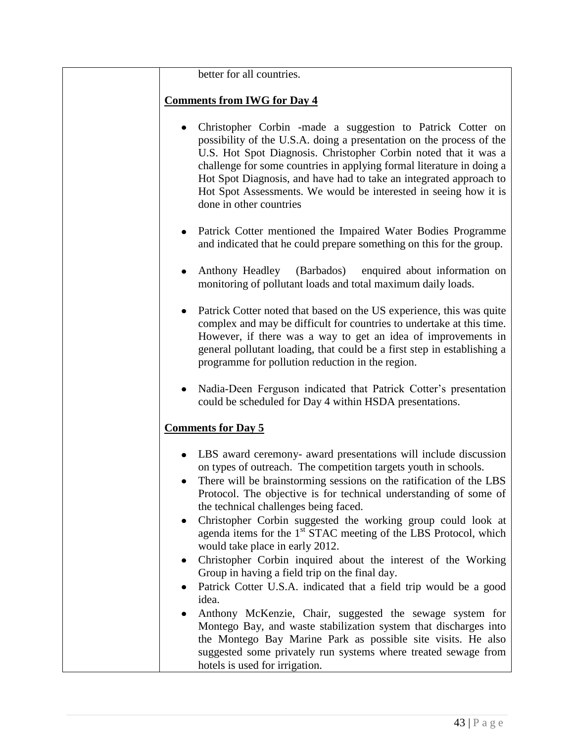#### better for all countries.

#### **Comments from IWG for Day 4**

- $\bullet$ Christopher Corbin -made a suggestion to Patrick Cotter on possibility of the U.S.A. doing a presentation on the process of the U.S. Hot Spot Diagnosis. Christopher Corbin noted that it was a challenge for some countries in applying formal literature in doing a Hot Spot Diagnosis, and have had to take an integrated approach to Hot Spot Assessments. We would be interested in seeing how it is done in other countries
- Patrick Cotter mentioned the Impaired Water Bodies Programme and indicated that he could prepare something on this for the group.
- Anthony Headley (Barbados) enquired about information on monitoring of pollutant loads and total maximum daily loads.
- Patrick Cotter noted that based on the US experience, this was quite complex and may be difficult for countries to undertake at this time. However, if there was a way to get an idea of improvements in general pollutant loading, that could be a first step in establishing a programme for pollution reduction in the region.
- Nadia-Deen Ferguson indicated that Patrick Cotter's presentation could be scheduled for Day 4 within HSDA presentations.

#### **Comments for Day 5**

- LBS award ceremony- award presentations will include discussion on types of outreach. The competition targets youth in schools.
- $\bullet$ There will be brainstorming sessions on the ratification of the LBS Protocol. The objective is for technical understanding of some of the technical challenges being faced.
- Christopher Corbin suggested the working group could look at  $\bullet$ agenda items for the  $1<sup>st</sup>$  STAC meeting of the LBS Protocol, which would take place in early 2012.
- Christopher Corbin inquired about the interest of the Working  $\bullet$ Group in having a field trip on the final day.
- Patrick Cotter U.S.A. indicated that a field trip would be a good idea.
- Anthony McKenzie, Chair, suggested the sewage system for Montego Bay, and waste stabilization system that discharges into the Montego Bay Marine Park as possible site visits. He also suggested some privately run systems where treated sewage from hotels is used for irrigation.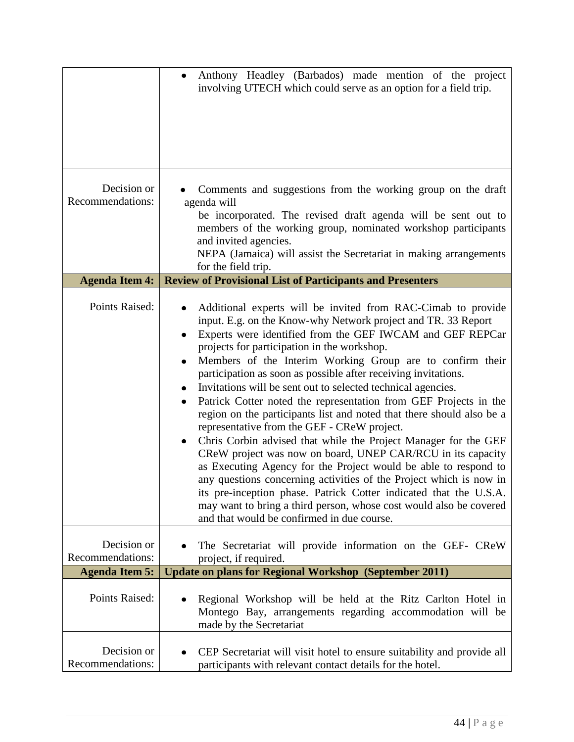|                                 | Anthony Headley (Barbados) made mention of the project<br>involving UTECH which could serve as an option for a field trip.                                                                                                                                                                                                                                                                                                                                                                                                                                                                                                                                                                                                                                                                                                                                                                                                                                                                                                                                                                               |
|---------------------------------|----------------------------------------------------------------------------------------------------------------------------------------------------------------------------------------------------------------------------------------------------------------------------------------------------------------------------------------------------------------------------------------------------------------------------------------------------------------------------------------------------------------------------------------------------------------------------------------------------------------------------------------------------------------------------------------------------------------------------------------------------------------------------------------------------------------------------------------------------------------------------------------------------------------------------------------------------------------------------------------------------------------------------------------------------------------------------------------------------------|
| Decision or<br>Recommendations: | Comments and suggestions from the working group on the draft<br>agenda will<br>be incorporated. The revised draft agenda will be sent out to<br>members of the working group, nominated workshop participants<br>and invited agencies.<br>NEPA (Jamaica) will assist the Secretariat in making arrangements<br>for the field trip.                                                                                                                                                                                                                                                                                                                                                                                                                                                                                                                                                                                                                                                                                                                                                                       |
| <b>Agenda Item 4:</b>           | <b>Review of Provisional List of Participants and Presenters</b>                                                                                                                                                                                                                                                                                                                                                                                                                                                                                                                                                                                                                                                                                                                                                                                                                                                                                                                                                                                                                                         |
| Points Raised:                  | Additional experts will be invited from RAC-Cimab to provide<br>input. E.g. on the Know-why Network project and TR. 33 Report<br>Experts were identified from the GEF IWCAM and GEF REPCar<br>projects for participation in the workshop.<br>Members of the Interim Working Group are to confirm their<br>participation as soon as possible after receiving invitations.<br>Invitations will be sent out to selected technical agencies.<br>Patrick Cotter noted the representation from GEF Projects in the<br>region on the participants list and noted that there should also be a<br>representative from the GEF - CReW project.<br>Chris Corbin advised that while the Project Manager for the GEF<br>CReW project was now on board, UNEP CAR/RCU in its capacity<br>as Executing Agency for the Project would be able to respond to<br>any questions concerning activities of the Project which is now in<br>its pre-inception phase. Patrick Cotter indicated that the U.S.A.<br>may want to bring a third person, whose cost would also be covered<br>and that would be confirmed in due course. |
| Decision or<br>Recommendations: | The Secretariat will provide information on the GEF- CReW                                                                                                                                                                                                                                                                                                                                                                                                                                                                                                                                                                                                                                                                                                                                                                                                                                                                                                                                                                                                                                                |
| <b>Agenda Item 5:</b>           | project, if required.<br><b>Update on plans for Regional Workshop (September 2011)</b>                                                                                                                                                                                                                                                                                                                                                                                                                                                                                                                                                                                                                                                                                                                                                                                                                                                                                                                                                                                                                   |
| Points Raised:                  | Regional Workshop will be held at the Ritz Carlton Hotel in<br>Montego Bay, arrangements regarding accommodation will be<br>made by the Secretariat                                                                                                                                                                                                                                                                                                                                                                                                                                                                                                                                                                                                                                                                                                                                                                                                                                                                                                                                                      |
| Decision or<br>Recommendations: | CEP Secretariat will visit hotel to ensure suitability and provide all<br>participants with relevant contact details for the hotel.                                                                                                                                                                                                                                                                                                                                                                                                                                                                                                                                                                                                                                                                                                                                                                                                                                                                                                                                                                      |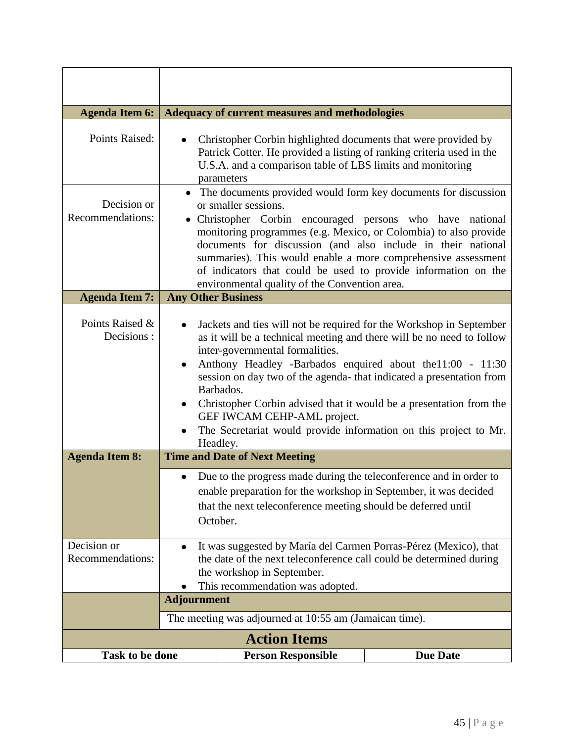| <b>Agenda Item 6:</b>           | Adequacy of current measures and methodologies                                                                                                                                                                                                                                                                                                                                                                                                                                                                           |                                                                                                                                                                                                                     |                 |
|---------------------------------|--------------------------------------------------------------------------------------------------------------------------------------------------------------------------------------------------------------------------------------------------------------------------------------------------------------------------------------------------------------------------------------------------------------------------------------------------------------------------------------------------------------------------|---------------------------------------------------------------------------------------------------------------------------------------------------------------------------------------------------------------------|-----------------|
| Points Raised:                  | Christopher Corbin highlighted documents that were provided by<br>Patrick Cotter. He provided a listing of ranking criteria used in the<br>U.S.A. and a comparison table of LBS limits and monitoring<br>parameters                                                                                                                                                                                                                                                                                                      |                                                                                                                                                                                                                     |                 |
| Decision or<br>Recommendations: | • The documents provided would form key documents for discussion<br>or smaller sessions.<br>• Christopher Corbin encouraged persons who have national<br>monitoring programmes (e.g. Mexico, or Colombia) to also provide<br>documents for discussion (and also include in their national<br>summaries). This would enable a more comprehensive assessment<br>of indicators that could be used to provide information on the<br>environmental quality of the Convention area.                                            |                                                                                                                                                                                                                     |                 |
| <b>Agenda Item 7:</b>           | <b>Any Other Business</b>                                                                                                                                                                                                                                                                                                                                                                                                                                                                                                |                                                                                                                                                                                                                     |                 |
| Points Raised &<br>Decisions:   | Jackets and ties will not be required for the Workshop in September<br>as it will be a technical meeting and there will be no need to follow<br>inter-governmental formalities.<br>Anthony Headley -Barbados enquired about the 11:00 - 11:30<br>session on day two of the agenda- that indicated a presentation from<br>Barbados.<br>Christopher Corbin advised that it would be a presentation from the<br>GEF IWCAM CEHP-AML project.<br>The Secretariat would provide information on this project to Mr.<br>Headley. |                                                                                                                                                                                                                     |                 |
| <b>Agenda Item 8:</b>           | <b>Time and Date of Next Meeting</b>                                                                                                                                                                                                                                                                                                                                                                                                                                                                                     |                                                                                                                                                                                                                     |                 |
|                                 |                                                                                                                                                                                                                                                                                                                                                                                                                                                                                                                          | Due to the progress made during the teleconference and in order to<br>enable preparation for the workshop in September, it was decided<br>that the next teleconference meeting should be deferred until<br>October. |                 |
| Decision or<br>Recommendations: | It was suggested by María del Carmen Porras-Pérez (Mexico), that<br>$\bullet$<br>the date of the next teleconference call could be determined during<br>the workshop in September.<br>This recommendation was adopted.<br>٠                                                                                                                                                                                                                                                                                              |                                                                                                                                                                                                                     |                 |
|                                 | <b>Adjournment</b>                                                                                                                                                                                                                                                                                                                                                                                                                                                                                                       |                                                                                                                                                                                                                     |                 |
|                                 | The meeting was adjourned at 10:55 am (Jamaican time).                                                                                                                                                                                                                                                                                                                                                                                                                                                                   |                                                                                                                                                                                                                     |                 |
| <b>Action Items</b>             |                                                                                                                                                                                                                                                                                                                                                                                                                                                                                                                          |                                                                                                                                                                                                                     |                 |
| <b>Task to be done</b>          |                                                                                                                                                                                                                                                                                                                                                                                                                                                                                                                          | <b>Person Responsible</b>                                                                                                                                                                                           | <b>Due Date</b> |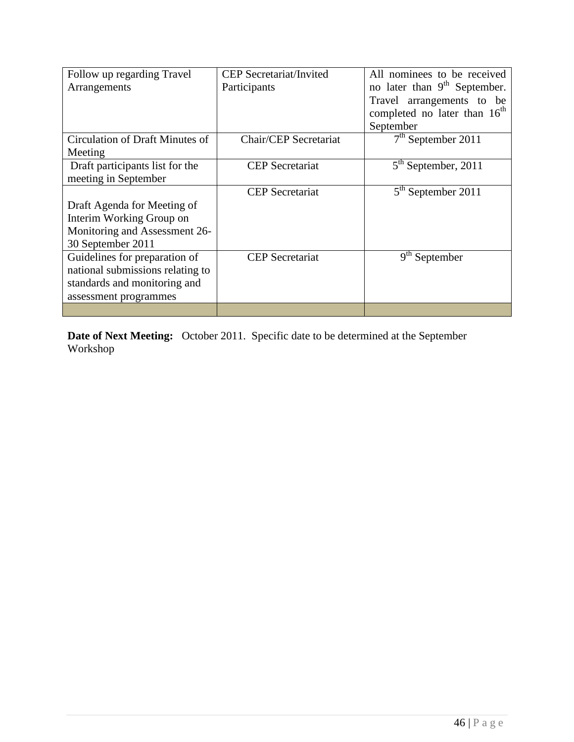| Follow up regarding Travel       | <b>CEP</b> Secretariat/Invited | All nominees to be received              |
|----------------------------------|--------------------------------|------------------------------------------|
| Arrangements                     | Participants                   | no later than 9 <sup>th</sup> September. |
|                                  |                                | Travel arrangements to be                |
|                                  |                                | completed no later than 16 <sup>th</sup> |
|                                  |                                | September                                |
| Circulation of Draft Minutes of  | Chair/CEP Secretariat          | $7th$ September 2011                     |
| Meeting                          |                                |                                          |
| Draft participants list for the  | <b>CEP</b> Secretariat         | $5th$ September, 2011                    |
| meeting in September             |                                |                                          |
|                                  | <b>CEP</b> Secretariat         | $5th$ September 2011                     |
| Draft Agenda for Meeting of      |                                |                                          |
| Interim Working Group on         |                                |                                          |
| Monitoring and Assessment 26-    |                                |                                          |
| 30 September 2011                |                                |                                          |
| Guidelines for preparation of    | <b>CEP</b> Secretariat         | $9th$ September                          |
| national submissions relating to |                                |                                          |
| standards and monitoring and     |                                |                                          |
| assessment programmes            |                                |                                          |
|                                  |                                |                                          |

**Date of Next Meeting:** October 2011. Specific date to be determined at the September Workshop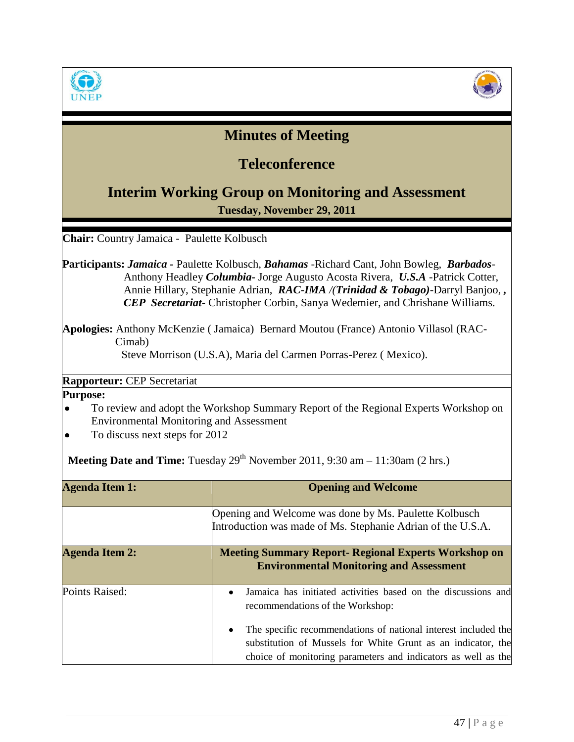



# **Minutes of Meeting**

# **Teleconference**

## **Interim Working Group on Monitoring and Assessment**

**Tuesday, November 29, 2011**

**Chair:** Country Jamaica - Paulette Kolbusch

**Participants:** *Jamaica -* Paulette Kolbusch, *Bahamas* -Richard Cant, John Bowleg, *Barbados*-Anthony Headley *Columbia-* Jorge Augusto Acosta Rivera, *U.S.A* -Patrick Cotter, Annie Hillary, Stephanie Adrian, *RAC-IMA /(Trinidad & Tobago)-*Darryl Banjoo, *, CEP Secretariat-* Christopher Corbin, Sanya Wedemier, and Chrishane Williams.

**Apologies:** Anthony McKenzie ( Jamaica) Bernard Moutou (France) Antonio Villasol (RAC-Cimab) Steve Morrison (U.S.A), Maria del Carmen Porras-Perez ( Mexico).

**Rapporteur:** CEP Secretariat

**Purpose:** 

- To review and adopt the Workshop Summary Report of the Regional Experts Workshop on Environmental Monitoring and Assessment
- To discuss next steps for 2012

Meeting Date and Time: Tuesday 29<sup>th</sup> November 2011, 9:30 am - 11:30am (2 hrs.)

| <b>Agenda Item 1:</b> | <b>Opening and Welcome</b>                                                                                                                                                                      |  |
|-----------------------|-------------------------------------------------------------------------------------------------------------------------------------------------------------------------------------------------|--|
|                       | Opening and Welcome was done by Ms. Paulette Kolbusch<br>Introduction was made of Ms. Stephanie Adrian of the U.S.A.                                                                            |  |
| <b>Agenda Item 2:</b> | <b>Meeting Summary Report- Regional Experts Workshop on</b><br><b>Environmental Monitoring and Assessment</b>                                                                                   |  |
| Points Raised:        | Jamaica has initiated activities based on the discussions and<br>recommendations of the Workshop:                                                                                               |  |
|                       | The specific recommendations of national interest included the<br>substitution of Mussels for White Grunt as an indicator, the<br>choice of monitoring parameters and indicators as well as the |  |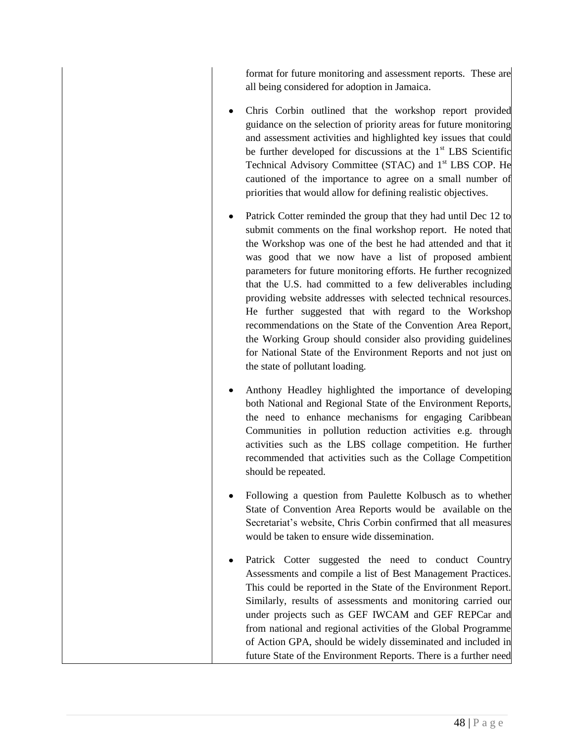format for future monitoring and assessment reports. These are all being considered for adoption in Jamaica.

- Chris Corbin outlined that the workshop report provided guidance on the selection of priority areas for future monitoring and assessment activities and highlighted key issues that could be further developed for discussions at the  $1<sup>st</sup>$  LBS Scientific Technical Advisory Committee (STAC) and 1<sup>st</sup> LBS COP. He cautioned of the importance to agree on a small number of priorities that would allow for defining realistic objectives.
- Patrick Cotter reminded the group that they had until Dec 12 to submit comments on the final workshop report. He noted that the Workshop was one of the best he had attended and that it was good that we now have a list of proposed ambient parameters for future monitoring efforts. He further recognized that the U.S. had committed to a few deliverables including providing website addresses with selected technical resources. He further suggested that with regard to the Workshop recommendations on the State of the Convention Area Report, the Working Group should consider also providing guidelines for National State of the Environment Reports and not just on the state of pollutant loading.
- Anthony Headley highlighted the importance of developing both National and Regional State of the Environment Reports, the need to enhance mechanisms for engaging Caribbean Communities in pollution reduction activities e.g. through activities such as the LBS collage competition. He further recommended that activities such as the Collage Competition should be repeated.
- Following a question from Paulette Kolbusch as to whether State of Convention Area Reports would be available on the Secretariat's website, Chris Corbin confirmed that all measures would be taken to ensure wide dissemination.
- Patrick Cotter suggested the need to conduct Country Assessments and compile a list of Best Management Practices. This could be reported in the State of the Environment Report. Similarly, results of assessments and monitoring carried our under projects such as GEF IWCAM and GEF REPCar and from national and regional activities of the Global Programme of Action GPA, should be widely disseminated and included in future State of the Environment Reports. There is a further need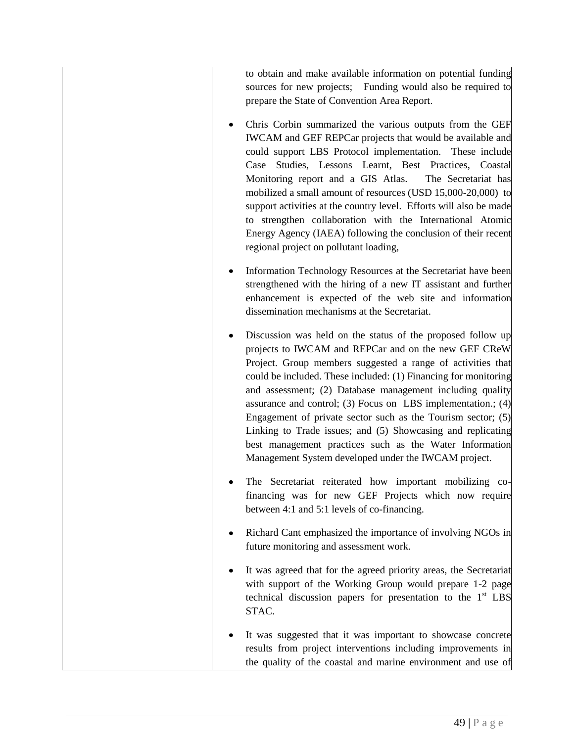to obtain and make available information on potential funding sources for new projects; Funding would also be required to prepare the State of Convention Area Report.

- Chris Corbin summarized the various outputs from the GEF IWCAM and GEF REPCar projects that would be available and could support LBS Protocol implementation. These include Case Studies, Lessons Learnt, Best Practices, Coastal Monitoring report and a GIS Atlas. The Secretariat has mobilized a small amount of resources (USD 15,000-20,000) to support activities at the country level. Efforts will also be made to strengthen collaboration with the International Atomic Energy Agency (IAEA) following the conclusion of their recent regional project on pollutant loading,
- Information Technology Resources at the Secretariat have been strengthened with the hiring of a new IT assistant and further enhancement is expected of the web site and information dissemination mechanisms at the Secretariat.
- Discussion was held on the status of the proposed follow up projects to IWCAM and REPCar and on the new GEF CReW Project. Group members suggested a range of activities that could be included. These included: (1) Financing for monitoring and assessment; (2) Database management including quality assurance and control; (3) Focus on LBS implementation.; (4) Engagement of private sector such as the Tourism sector; (5) Linking to Trade issues; and (5) Showcasing and replicating best management practices such as the Water Information Management System developed under the IWCAM project.
- The Secretariat reiterated how important mobilizing cofinancing was for new GEF Projects which now require between 4:1 and 5:1 levels of co-financing.
- Richard Cant emphasized the importance of involving NGOs in future monitoring and assessment work.
- It was agreed that for the agreed priority areas, the Secretariat with support of the Working Group would prepare 1-2 page technical discussion papers for presentation to the  $1<sup>st</sup>$  LBS STAC.
- It was suggested that it was important to showcase concrete results from project interventions including improvements in the quality of the coastal and marine environment and use of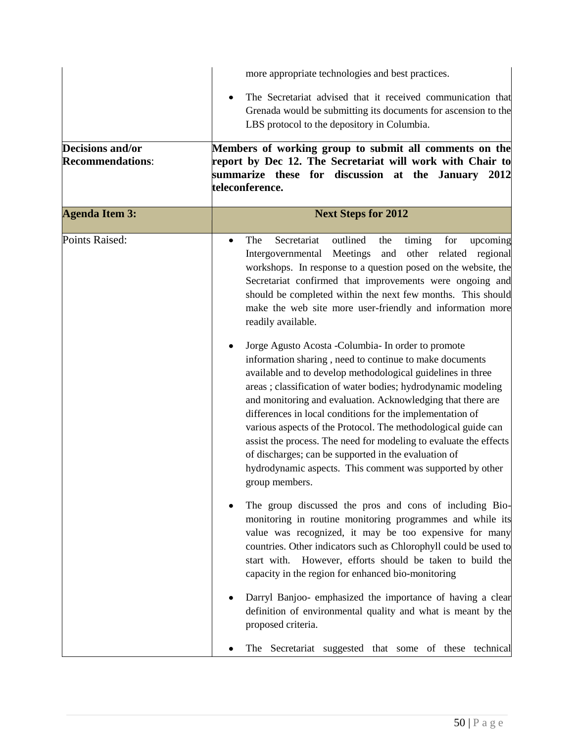|                                                    | more appropriate technologies and best practices.                                                                                                                                                                                                                                                                                                                                                                                                                                                                                                                                                                                                                                                                                                                                                                                                                                                                                                                                                                                                                                                                                                                                                                                                                                                                                                                                                                                                               |  |  |
|----------------------------------------------------|-----------------------------------------------------------------------------------------------------------------------------------------------------------------------------------------------------------------------------------------------------------------------------------------------------------------------------------------------------------------------------------------------------------------------------------------------------------------------------------------------------------------------------------------------------------------------------------------------------------------------------------------------------------------------------------------------------------------------------------------------------------------------------------------------------------------------------------------------------------------------------------------------------------------------------------------------------------------------------------------------------------------------------------------------------------------------------------------------------------------------------------------------------------------------------------------------------------------------------------------------------------------------------------------------------------------------------------------------------------------------------------------------------------------------------------------------------------------|--|--|
|                                                    | The Secretariat advised that it received communication that<br>Grenada would be submitting its documents for ascension to the<br>LBS protocol to the depository in Columbia.                                                                                                                                                                                                                                                                                                                                                                                                                                                                                                                                                                                                                                                                                                                                                                                                                                                                                                                                                                                                                                                                                                                                                                                                                                                                                    |  |  |
| <b>Decisions and/or</b><br><b>Recommendations:</b> | Members of working group to submit all comments on the<br>report by Dec 12. The Secretariat will work with Chair to<br>summarize these for discussion at the January<br>2012<br>teleconference.                                                                                                                                                                                                                                                                                                                                                                                                                                                                                                                                                                                                                                                                                                                                                                                                                                                                                                                                                                                                                                                                                                                                                                                                                                                                 |  |  |
| <b>Agenda Item 3:</b>                              | <b>Next Steps for 2012</b>                                                                                                                                                                                                                                                                                                                                                                                                                                                                                                                                                                                                                                                                                                                                                                                                                                                                                                                                                                                                                                                                                                                                                                                                                                                                                                                                                                                                                                      |  |  |
| <b>Points Raised:</b>                              | Secretariat<br>outlined<br>The<br>timing<br>for<br>upcoming<br>the<br>٠<br>Meetings<br>and<br>other related<br>regional<br>Intergovernmental<br>workshops. In response to a question posed on the website, the<br>Secretariat confirmed that improvements were ongoing and<br>should be completed within the next few months. This should<br>make the web site more user-friendly and information more<br>readily available.<br>Jorge Agusto Acosta - Columbia- In order to promote<br>information sharing, need to continue to make documents<br>available and to develop methodological guidelines in three<br>areas; classification of water bodies; hydrodynamic modeling<br>and monitoring and evaluation. Acknowledging that there are<br>differences in local conditions for the implementation of<br>various aspects of the Protocol. The methodological guide can<br>assist the process. The need for modeling to evaluate the effects<br>of discharges; can be supported in the evaluation of<br>hydrodynamic aspects. This comment was supported by other<br>group members.<br>The group discussed the pros and cons of including Bio-<br>monitoring in routine monitoring programmes and while its<br>value was recognized, it may be too expensive for many<br>countries. Other indicators such as Chlorophyll could be used to<br>start with. However, efforts should be taken to build the<br>capacity in the region for enhanced bio-monitoring |  |  |
|                                                    |                                                                                                                                                                                                                                                                                                                                                                                                                                                                                                                                                                                                                                                                                                                                                                                                                                                                                                                                                                                                                                                                                                                                                                                                                                                                                                                                                                                                                                                                 |  |  |
|                                                    |                                                                                                                                                                                                                                                                                                                                                                                                                                                                                                                                                                                                                                                                                                                                                                                                                                                                                                                                                                                                                                                                                                                                                                                                                                                                                                                                                                                                                                                                 |  |  |
|                                                    | Darryl Banjoo- emphasized the importance of having a clear<br>definition of environmental quality and what is meant by the<br>proposed criteria.                                                                                                                                                                                                                                                                                                                                                                                                                                                                                                                                                                                                                                                                                                                                                                                                                                                                                                                                                                                                                                                                                                                                                                                                                                                                                                                |  |  |
|                                                    | The Secretariat suggested that some of these technical                                                                                                                                                                                                                                                                                                                                                                                                                                                                                                                                                                                                                                                                                                                                                                                                                                                                                                                                                                                                                                                                                                                                                                                                                                                                                                                                                                                                          |  |  |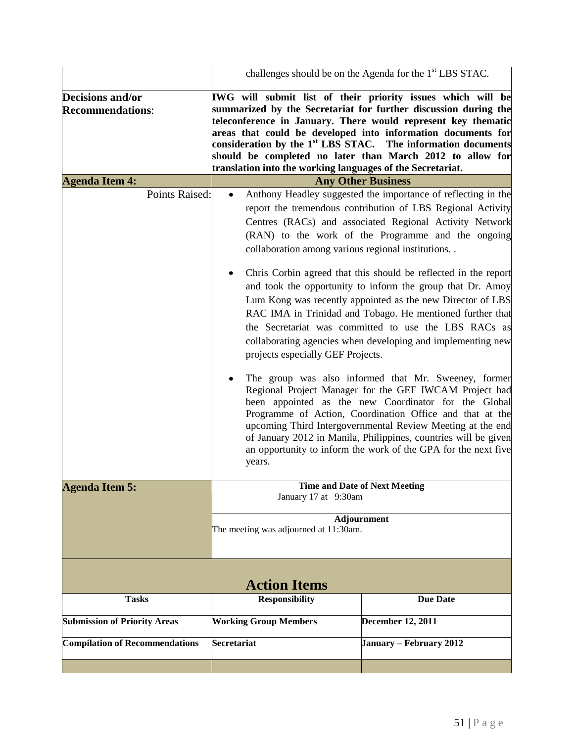|                                                                                                                                                                                                                     | challenges should be on the Agenda for the 1 <sup>st</sup> LBS STAC.                                                      |                                                                                                                                                                                                                                                                                                                                                                                                                                                                                                                                                                                                                                                                                                                                                                                                                                                                                                                                                                                                          |  |
|---------------------------------------------------------------------------------------------------------------------------------------------------------------------------------------------------------------------|---------------------------------------------------------------------------------------------------------------------------|----------------------------------------------------------------------------------------------------------------------------------------------------------------------------------------------------------------------------------------------------------------------------------------------------------------------------------------------------------------------------------------------------------------------------------------------------------------------------------------------------------------------------------------------------------------------------------------------------------------------------------------------------------------------------------------------------------------------------------------------------------------------------------------------------------------------------------------------------------------------------------------------------------------------------------------------------------------------------------------------------------|--|
| Decisions and/or<br><b>Recommendations:</b>                                                                                                                                                                         | IWG will submit list of their priority issues which will be<br>translation into the working languages of the Secretariat. | summarized by the Secretariat for further discussion during the<br>teleconference in January. There would represent key thematic<br>areas that could be developed into information documents for<br>consideration by the $1st$ LBS STAC. The information documents<br>should be completed no later than March 2012 to allow for                                                                                                                                                                                                                                                                                                                                                                                                                                                                                                                                                                                                                                                                          |  |
| <b>Agenda Item 4:</b>                                                                                                                                                                                               |                                                                                                                           |                                                                                                                                                                                                                                                                                                                                                                                                                                                                                                                                                                                                                                                                                                                                                                                                                                                                                                                                                                                                          |  |
| <b>Any Other Business</b><br>Points Raised:<br>Anthony Headley suggested the importance of reflecting in the<br>collaboration among various regional institutions. .<br>projects especially GEF Projects.<br>years. |                                                                                                                           | report the tremendous contribution of LBS Regional Activity<br>Centres (RACs) and associated Regional Activity Network<br>(RAN) to the work of the Programme and the ongoing<br>Chris Corbin agreed that this should be reflected in the report<br>and took the opportunity to inform the group that Dr. Amoy<br>Lum Kong was recently appointed as the new Director of LBS<br>RAC IMA in Trinidad and Tobago. He mentioned further that<br>the Secretariat was committed to use the LBS RACs as<br>collaborating agencies when developing and implementing new<br>The group was also informed that Mr. Sweeney, former<br>Regional Project Manager for the GEF IWCAM Project had<br>been appointed as the new Coordinator for the Global<br>Programme of Action, Coordination Office and that at the<br>upcoming Third Intergovernmental Review Meeting at the end<br>of January 2012 in Manila, Philippines, countries will be given<br>an opportunity to inform the work of the GPA for the next five |  |
| <b>Agenda Item 5:</b>                                                                                                                                                                                               | Time and Date of Next Meeting<br>January 17 at 9:30am                                                                     |                                                                                                                                                                                                                                                                                                                                                                                                                                                                                                                                                                                                                                                                                                                                                                                                                                                                                                                                                                                                          |  |
|                                                                                                                                                                                                                     | The meeting was adjourned at 11:30am.                                                                                     | Adjournment                                                                                                                                                                                                                                                                                                                                                                                                                                                                                                                                                                                                                                                                                                                                                                                                                                                                                                                                                                                              |  |
| <b>Action Items</b>                                                                                                                                                                                                 |                                                                                                                           |                                                                                                                                                                                                                                                                                                                                                                                                                                                                                                                                                                                                                                                                                                                                                                                                                                                                                                                                                                                                          |  |
| <b>Tasks</b>                                                                                                                                                                                                        | <b>Responsibility</b>                                                                                                     | <b>Due Date</b>                                                                                                                                                                                                                                                                                                                                                                                                                                                                                                                                                                                                                                                                                                                                                                                                                                                                                                                                                                                          |  |
| <b>Submission of Priority Areas</b>                                                                                                                                                                                 | <b>Working Group Members</b>                                                                                              | <b>December 12, 2011</b>                                                                                                                                                                                                                                                                                                                                                                                                                                                                                                                                                                                                                                                                                                                                                                                                                                                                                                                                                                                 |  |
| <b>Compilation of Recommendations</b>                                                                                                                                                                               | <b>Secretariat</b>                                                                                                        | January – February 2012                                                                                                                                                                                                                                                                                                                                                                                                                                                                                                                                                                                                                                                                                                                                                                                                                                                                                                                                                                                  |  |
|                                                                                                                                                                                                                     |                                                                                                                           |                                                                                                                                                                                                                                                                                                                                                                                                                                                                                                                                                                                                                                                                                                                                                                                                                                                                                                                                                                                                          |  |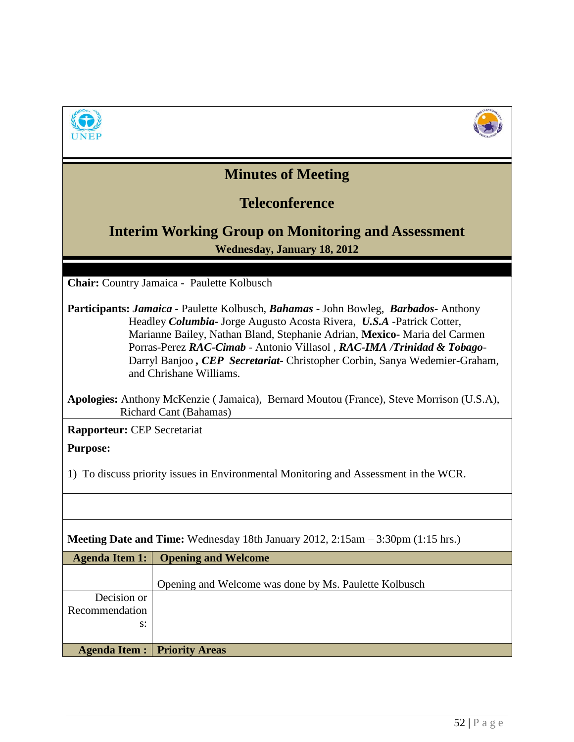



# **Minutes of Meeting**

## **Teleconference**

## **Interim Working Group on Monitoring and Assessment Wednesday, January 18, 2012**

**Chair:** Country Jamaica - Paulette Kolbusch

**Participants:** *Jamaica -* Paulette Kolbusch, *Bahamas* - John Bowleg, *Barbados*- Anthony Headley *Columbia-* Jorge Augusto Acosta Rivera, *U.S.A* -Patrick Cotter, Marianne Bailey, Nathan Bland, Stephanie Adrian, **Mexico-** Maria del Carmen Porras-Perez *RAC-Cimab* - Antonio Villasol , *RAC-IMA /Trinidad & Tobago-*Darryl Banjoo *, CEP Secretariat-* Christopher Corbin, Sanya Wedemier-Graham, and Chrishane Williams.

|                        | Apologies: Anthony McKenzie (Jamaica), Bernard Moutou (France), Steve Morrison (U.S.A), |
|------------------------|-----------------------------------------------------------------------------------------|
| Richard Cant (Bahamas) |                                                                                         |

**Rapporteur:** CEP Secretariat

**Purpose:** 

1) To discuss priority issues in Environmental Monitoring and Assessment in the WCR.

| <b>Meeting Date and Time:</b> Wednesday 18th January 2012, 2:15am $-$ 3:30pm (1:15 hrs.) |                                                       |  |
|------------------------------------------------------------------------------------------|-------------------------------------------------------|--|
| <b>Agenda Item 1:</b>                                                                    | <b>Opening and Welcome</b>                            |  |
|                                                                                          |                                                       |  |
|                                                                                          | Opening and Welcome was done by Ms. Paulette Kolbusch |  |
| Decision or                                                                              |                                                       |  |
| Recommendation                                                                           |                                                       |  |
| $S$ :                                                                                    |                                                       |  |
|                                                                                          |                                                       |  |
| Agenda Item :                                                                            | <b>Priority Areas</b>                                 |  |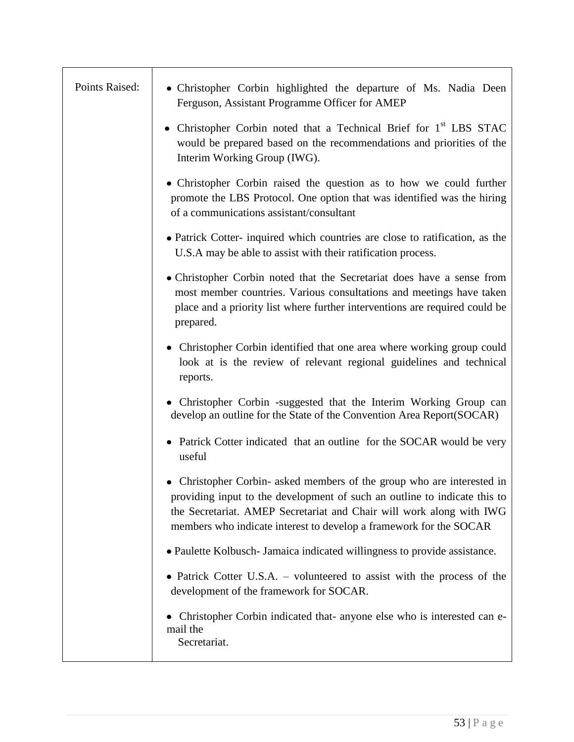| Points Raised: | • Christopher Corbin highlighted the departure of Ms. Nadia Deen<br>Ferguson, Assistant Programme Officer for AMEP                                                                                                                                                                                   |
|----------------|------------------------------------------------------------------------------------------------------------------------------------------------------------------------------------------------------------------------------------------------------------------------------------------------------|
|                | • Christopher Corbin noted that a Technical Brief for 1 <sup>st</sup> LBS STAC<br>would be prepared based on the recommendations and priorities of the<br>Interim Working Group (IWG).                                                                                                               |
|                | • Christopher Corbin raised the question as to how we could further<br>promote the LBS Protocol. One option that was identified was the hiring<br>of a communications assistant/consultant                                                                                                           |
|                | • Patrick Cotter-inquired which countries are close to ratification, as the<br>U.S.A may be able to assist with their ratification process.                                                                                                                                                          |
|                | • Christopher Corbin noted that the Secretariat does have a sense from<br>most member countries. Various consultations and meetings have taken<br>place and a priority list where further interventions are required could be<br>prepared.                                                           |
|                | • Christopher Corbin identified that one area where working group could<br>look at is the review of relevant regional guidelines and technical<br>reports.                                                                                                                                           |
|                | • Christopher Corbin -suggested that the Interim Working Group can<br>develop an outline for the State of the Convention Area Report(SOCAR)                                                                                                                                                          |
|                | • Patrick Cotter indicated that an outline for the SOCAR would be very<br>useful                                                                                                                                                                                                                     |
|                | Christopher Corbin- asked members of the group who are interested in<br>٠<br>providing input to the development of such an outline to indicate this to<br>the Secretariat. AMEP Secretariat and Chair will work along with IWG<br>members who indicate interest to develop a framework for the SOCAR |
|                | • Paulette Kolbusch- Jamaica indicated willingness to provide assistance.                                                                                                                                                                                                                            |
|                | • Patrick Cotter U.S.A. – volunteered to assist with the process of the<br>development of the framework for SOCAR.                                                                                                                                                                                   |
|                | Christopher Corbin indicated that- anyone else who is interested can e-<br>mail the<br>Secretariat.                                                                                                                                                                                                  |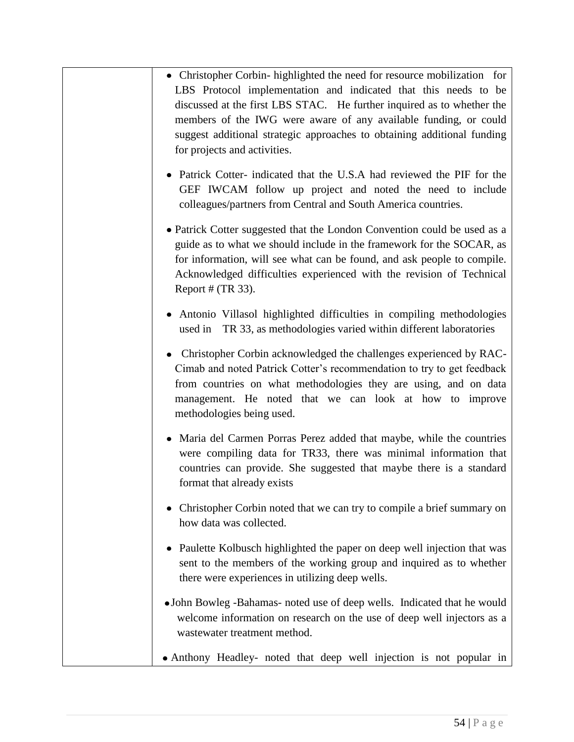- Christopher Corbin- highlighted the need for resource mobilization for LBS Protocol implementation and indicated that this needs to be discussed at the first LBS STAC. He further inquired as to whether the members of the IWG were aware of any available funding, or could suggest additional strategic approaches to obtaining additional funding for projects and activities.
- Patrick Cotter- indicated that the U.S.A had reviewed the PIF for the GEF IWCAM follow up project and noted the need to include colleagues/partners from Central and South America countries.
- Patrick Cotter suggested that the London Convention could be used as a guide as to what we should include in the framework for the SOCAR, as for information, will see what can be found, and ask people to compile. Acknowledged difficulties experienced with the revision of Technical Report  $# (TR 33)$ .
- Antonio Villasol highlighted difficulties in compiling methodologies used in TR 33, as methodologies varied within different laboratories
- Christopher Corbin acknowledged the challenges experienced by RAC-Cimab and noted Patrick Cotter's recommendation to try to get feedback from countries on what methodologies they are using, and on data management. He noted that we can look at how to improve methodologies being used.
- Maria del Carmen Porras Perez added that maybe, while the countries were compiling data for TR33, there was minimal information that countries can provide. She suggested that maybe there is a standard format that already exists
- Christopher Corbin noted that we can try to compile a brief summary on how data was collected.
- Paulette Kolbusch highlighted the paper on deep well injection that was sent to the members of the working group and inquired as to whether there were experiences in utilizing deep wells.
- John Bowleg -Bahamas- noted use of deep wells. Indicated that he would welcome information on research on the use of deep well injectors as a wastewater treatment method.
- Anthony Headley- noted that deep well injection is not popular in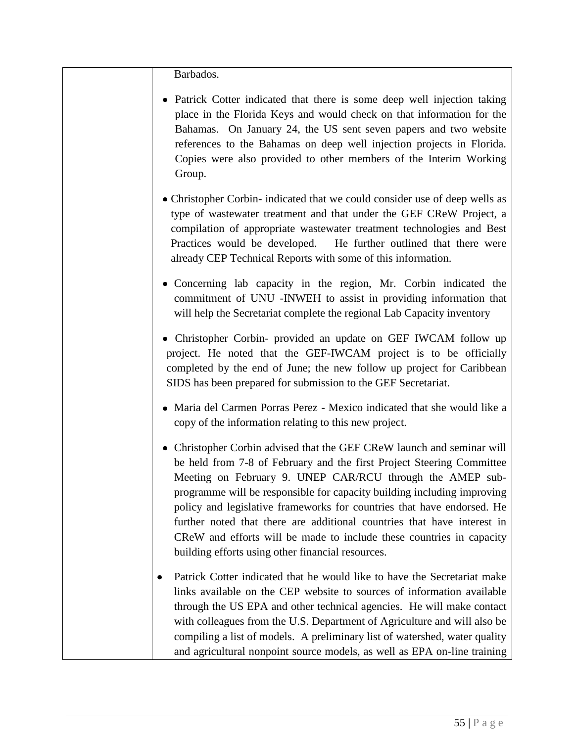Barbados.

- Patrick Cotter indicated that there is some deep well injection taking place in the Florida Keys and would check on that information for the Bahamas. On January 24, the US sent seven papers and two website references to the Bahamas on deep well injection projects in Florida. Copies were also provided to other members of the Interim Working Group.
- Christopher Corbin- indicated that we could consider use of deep wells as type of wastewater treatment and that under the GEF CReW Project, a compilation of appropriate wastewater treatment technologies and Best Practices would be developed. He further outlined that there were already CEP Technical Reports with some of this information.
- Concerning lab capacity in the region, Mr. Corbin indicated the commitment of UNU -INWEH to assist in providing information that will help the Secretariat complete the regional Lab Capacity inventory
- Christopher Corbin- provided an update on GEF IWCAM follow up project. He noted that the GEF-IWCAM project is to be officially completed by the end of June; the new follow up project for Caribbean SIDS has been prepared for submission to the GEF Secretariat.
- Maria del Carmen Porras Perez Mexico indicated that she would like a copy of the information relating to this new project.
- Christopher Corbin advised that the GEF CReW launch and seminar will be held from 7-8 of February and the first Project Steering Committee Meeting on February 9. UNEP CAR/RCU through the AMEP subprogramme will be responsible for capacity building including improving policy and legislative frameworks for countries that have endorsed. He further noted that there are additional countries that have interest in CReW and efforts will be made to include these countries in capacity building efforts using other financial resources.
- $\bullet$ Patrick Cotter indicated that he would like to have the Secretariat make links available on the CEP website to sources of information available through the US EPA and other technical agencies. He will make contact with colleagues from the U.S. Department of Agriculture and will also be compiling a list of models. A preliminary list of watershed, water quality and agricultural nonpoint source models, as well as EPA on-line training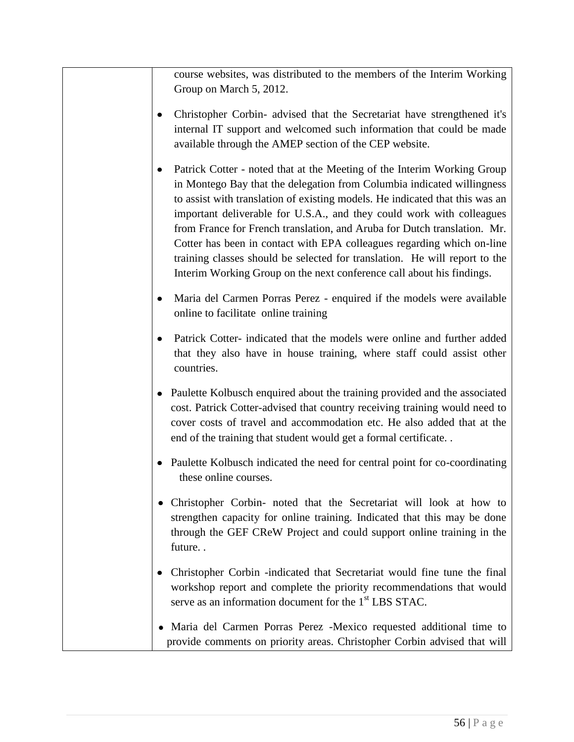course websites, was distributed to the members of the Interim Working Group on March 5, 2012.

- Christopher Corbin- advised that the Secretariat have strengthened it's  $\bullet$ internal IT support and welcomed such information that could be made available through the AMEP section of the CEP website.
- Patrick Cotter noted that at the Meeting of the Interim Working Group in Montego Bay that the delegation from Columbia indicated willingness to assist with translation of existing models. He indicated that this was an important deliverable for U.S.A., and they could work with colleagues from France for French translation, and Aruba for Dutch translation. Mr. Cotter has been in contact with EPA colleagues regarding which on-line training classes should be selected for translation. He will report to the Interim Working Group on the next conference call about his findings.
- Maria del Carmen Porras Perez enquired if the models were available online to facilitate online training
- Patrick Cotter- indicated that the models were online and further added that they also have in house training, where staff could assist other countries.
- Paulette Kolbusch enquired about the training provided and the associated cost. Patrick Cotter-advised that country receiving training would need to cover costs of travel and accommodation etc. He also added that at the end of the training that student would get a formal certificate. .
- Paulette Kolbusch indicated the need for central point for co-coordinating these online courses.
- Christopher Corbin- noted that the Secretariat will look at how to strengthen capacity for online training. Indicated that this may be done through the GEF CReW Project and could support online training in the future. .
- Christopher Corbin -indicated that Secretariat would fine tune the final workshop report and complete the priority recommendations that would serve as an information document for the 1<sup>st</sup> LBS STAC.
- Maria del Carmen Porras Perez -Mexico requested additional time to provide comments on priority areas. Christopher Corbin advised that will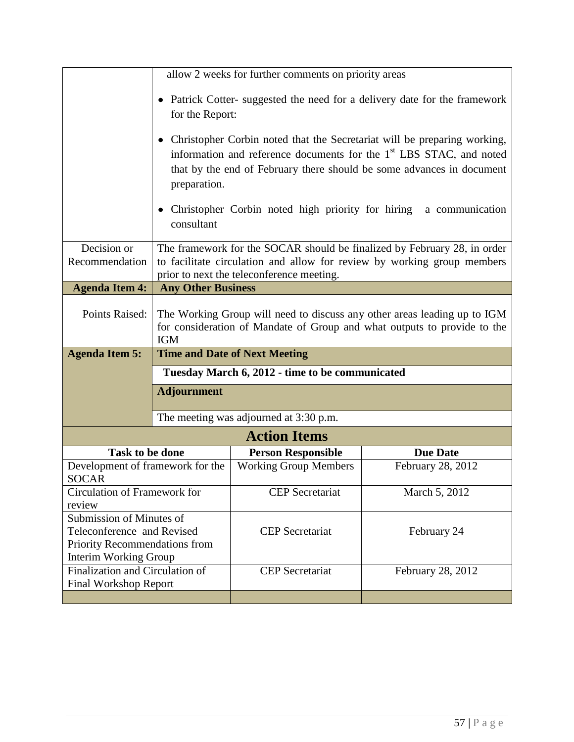|                                                                                                                         |                                                                                                                                                                                                  | allow 2 weeks for further comments on priority areas |                                                                                                                                                                                                                                                         |
|-------------------------------------------------------------------------------------------------------------------------|--------------------------------------------------------------------------------------------------------------------------------------------------------------------------------------------------|------------------------------------------------------|---------------------------------------------------------------------------------------------------------------------------------------------------------------------------------------------------------------------------------------------------------|
|                                                                                                                         | for the Report:                                                                                                                                                                                  |                                                      | • Patrick Cotter- suggested the need for a delivery date for the framework                                                                                                                                                                              |
|                                                                                                                         | preparation.<br>consultant                                                                                                                                                                       | Christopher Corbin noted high priority for hiring    | Christopher Corbin noted that the Secretariat will be preparing working,<br>information and reference documents for the 1 <sup>st</sup> LBS STAC, and noted<br>that by the end of February there should be some advances in document<br>a communication |
| Decision or<br>Recommendation                                                                                           | The framework for the SOCAR should be finalized by February 28, in order<br>to facilitate circulation and allow for review by working group members<br>prior to next the teleconference meeting. |                                                      |                                                                                                                                                                                                                                                         |
| <b>Agenda Item 4:</b>                                                                                                   | <b>Any Other Business</b>                                                                                                                                                                        |                                                      |                                                                                                                                                                                                                                                         |
| Points Raised:                                                                                                          | The Working Group will need to discuss any other areas leading up to IGM<br>for consideration of Mandate of Group and what outputs to provide to the<br><b>IGM</b>                               |                                                      |                                                                                                                                                                                                                                                         |
| <b>Agenda Item 5:</b>                                                                                                   | <b>Time and Date of Next Meeting</b>                                                                                                                                                             |                                                      |                                                                                                                                                                                                                                                         |
|                                                                                                                         | Tuesday March 6, 2012 - time to be communicated                                                                                                                                                  |                                                      |                                                                                                                                                                                                                                                         |
|                                                                                                                         | <b>Adjournment</b>                                                                                                                                                                               |                                                      |                                                                                                                                                                                                                                                         |
|                                                                                                                         |                                                                                                                                                                                                  | The meeting was adjourned at 3:30 p.m.               |                                                                                                                                                                                                                                                         |
|                                                                                                                         |                                                                                                                                                                                                  | <b>Action Items</b>                                  |                                                                                                                                                                                                                                                         |
| <b>Task to be done</b>                                                                                                  |                                                                                                                                                                                                  | <b>Person Responsible</b>                            | <b>Due Date</b>                                                                                                                                                                                                                                         |
| Development of framework for the<br><b>SOCAR</b>                                                                        |                                                                                                                                                                                                  | <b>Working Group Members</b>                         | February 28, 2012                                                                                                                                                                                                                                       |
| Circulation of Framework for<br>review                                                                                  |                                                                                                                                                                                                  | <b>CEP</b> Secretariat                               | March 5, 2012                                                                                                                                                                                                                                           |
| Submission of Minutes of<br>Teleconference and Revised<br>Priority Recommendations from<br><b>Interim Working Group</b> |                                                                                                                                                                                                  | <b>CEP</b> Secretariat                               | February 24                                                                                                                                                                                                                                             |
| Finalization and Circulation of<br><b>Final Workshop Report</b>                                                         |                                                                                                                                                                                                  | <b>CEP</b> Secretariat                               | February 28, 2012                                                                                                                                                                                                                                       |
|                                                                                                                         |                                                                                                                                                                                                  |                                                      |                                                                                                                                                                                                                                                         |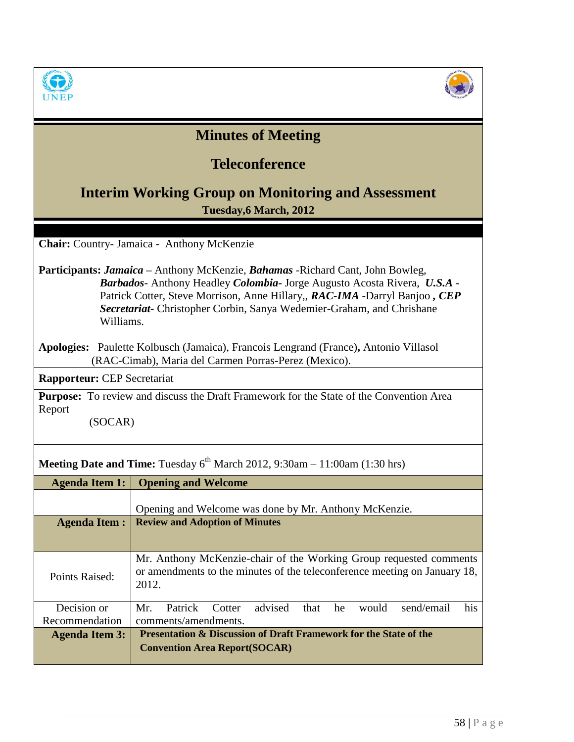



| <b>Minutes of Meeting</b>                                                                                                                                                                                                                                                                                                                                    |                                                                                                                                                          |  |
|--------------------------------------------------------------------------------------------------------------------------------------------------------------------------------------------------------------------------------------------------------------------------------------------------------------------------------------------------------------|----------------------------------------------------------------------------------------------------------------------------------------------------------|--|
|                                                                                                                                                                                                                                                                                                                                                              | <b>Teleconference</b>                                                                                                                                    |  |
|                                                                                                                                                                                                                                                                                                                                                              | <b>Interim Working Group on Monitoring and Assessment</b>                                                                                                |  |
|                                                                                                                                                                                                                                                                                                                                                              | Tuesday, 6 March, 2012                                                                                                                                   |  |
| Chair: Country- Jamaica - Anthony McKenzie                                                                                                                                                                                                                                                                                                                   |                                                                                                                                                          |  |
| <b>Participants: Jamaica</b> – Anthony McKenzie, <b>Bahamas</b> - Richard Cant, John Bowleg,<br><b>Barbados</b> - Anthony Headley <i>Colombia</i> - Jorge Augusto Acosta Rivera, U.S.A -<br>Patrick Cotter, Steve Morrison, Anne Hillary,, RAC-IMA -Darryl Banjoo, CEP<br>Secretariat- Christopher Corbin, Sanya Wedemier-Graham, and Chrishane<br>Williams. |                                                                                                                                                          |  |
|                                                                                                                                                                                                                                                                                                                                                              | Apologies: Paulette Kolbusch (Jamaica), Francois Lengrand (France), Antonio Villasol<br>(RAC-Cimab), Maria del Carmen Porras-Perez (Mexico).             |  |
| <b>Rapporteur: CEP Secretariat</b>                                                                                                                                                                                                                                                                                                                           |                                                                                                                                                          |  |
| <b>Purpose:</b> To review and discuss the Draft Framework for the State of the Convention Area<br>Report<br>(SOCAR)                                                                                                                                                                                                                                          |                                                                                                                                                          |  |
| <b>Meeting Date and Time:</b> Tuesday $6^{th}$ March 2012, 9:30am – 11:00am (1:30 hrs)                                                                                                                                                                                                                                                                       |                                                                                                                                                          |  |
| <b>Agenda Item 1:</b>                                                                                                                                                                                                                                                                                                                                        | <b>Opening and Welcome</b>                                                                                                                               |  |
|                                                                                                                                                                                                                                                                                                                                                              | Opening and Welcome was done by Mr. Anthony McKenzie.                                                                                                    |  |
| <b>Agenda Item:</b>                                                                                                                                                                                                                                                                                                                                          | <b>Review and Adoption of Minutes</b>                                                                                                                    |  |
| Points Raised:                                                                                                                                                                                                                                                                                                                                               | Mr. Anthony McKenzie-chair of the Working Group requested comments<br>or amendments to the minutes of the teleconference meeting on January 18,<br>2012. |  |
| Decision or                                                                                                                                                                                                                                                                                                                                                  | Patrick<br>send/email<br>Mr.<br>Cotter<br>advised<br>that<br>he<br>would<br>his                                                                          |  |
| Recommendation                                                                                                                                                                                                                                                                                                                                               | comments/amendments.                                                                                                                                     |  |
| <b>Agenda Item 3:</b>                                                                                                                                                                                                                                                                                                                                        | Presentation & Discussion of Draft Framework for the State of the<br><b>Convention Area Report(SOCAR)</b>                                                |  |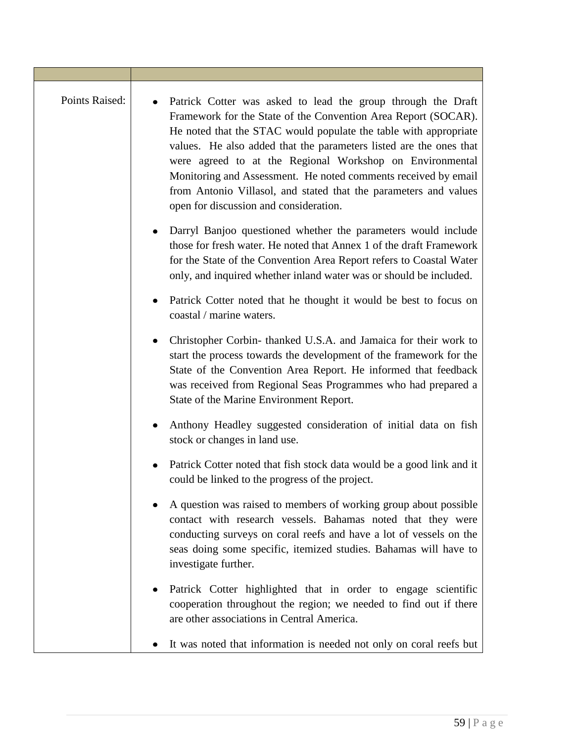| Points Raised: | Patrick Cotter was asked to lead the group through the Draft<br>Framework for the State of the Convention Area Report (SOCAR).<br>He noted that the STAC would populate the table with appropriate<br>values. He also added that the parameters listed are the ones that<br>were agreed to at the Regional Workshop on Environmental<br>Monitoring and Assessment. He noted comments received by email<br>from Antonio Villasol, and stated that the parameters and values<br>open for discussion and consideration. |
|----------------|----------------------------------------------------------------------------------------------------------------------------------------------------------------------------------------------------------------------------------------------------------------------------------------------------------------------------------------------------------------------------------------------------------------------------------------------------------------------------------------------------------------------|
|                | Darryl Banjoo questioned whether the parameters would include<br>those for fresh water. He noted that Annex 1 of the draft Framework<br>for the State of the Convention Area Report refers to Coastal Water<br>only, and inquired whether inland water was or should be included.                                                                                                                                                                                                                                    |
|                | Patrick Cotter noted that he thought it would be best to focus on<br>coastal / marine waters.                                                                                                                                                                                                                                                                                                                                                                                                                        |
|                | Christopher Corbin-thanked U.S.A. and Jamaica for their work to<br>start the process towards the development of the framework for the<br>State of the Convention Area Report. He informed that feedback<br>was received from Regional Seas Programmes who had prepared a<br>State of the Marine Environment Report.                                                                                                                                                                                                  |
|                | Anthony Headley suggested consideration of initial data on fish<br>stock or changes in land use.                                                                                                                                                                                                                                                                                                                                                                                                                     |
|                | Patrick Cotter noted that fish stock data would be a good link and it<br>could be linked to the progress of the project.                                                                                                                                                                                                                                                                                                                                                                                             |
|                | A question was raised to members of working group about possible<br>contact with research vessels. Bahamas noted that they were<br>conducting surveys on coral reefs and have a lot of vessels on the<br>seas doing some specific, itemized studies. Bahamas will have to<br>investigate further.                                                                                                                                                                                                                    |
|                | Patrick Cotter highlighted that in order to engage scientific<br>cooperation throughout the region; we needed to find out if there<br>are other associations in Central America.                                                                                                                                                                                                                                                                                                                                     |
|                | It was noted that information is needed not only on coral reefs but                                                                                                                                                                                                                                                                                                                                                                                                                                                  |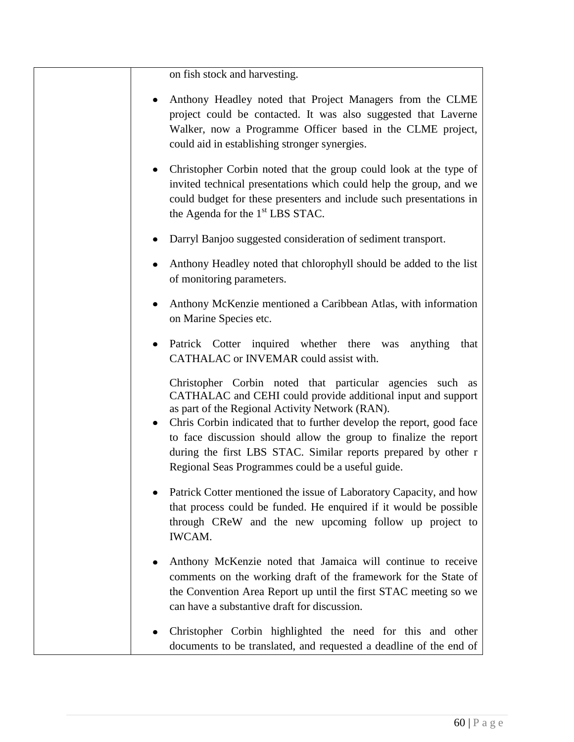on fish stock and harvesting.

- Anthony Headley noted that Project Managers from the CLME project could be contacted. It was also suggested that Laverne Walker, now a Programme Officer based in the CLME project, could aid in establishing stronger synergies.
- Christopher Corbin noted that the group could look at the type of invited technical presentations which could help the group, and we could budget for these presenters and include such presentations in the Agenda for the  $1<sup>st</sup>$  LBS STAC.
- Darryl Banjoo suggested consideration of sediment transport.
- Anthony Headley noted that chlorophyll should be added to the list of monitoring parameters.
- Anthony McKenzie mentioned a Caribbean Atlas, with information on Marine Species etc.
- Patrick Cotter inquired whether there was anything that CATHALAC or INVEMAR could assist with.

Christopher Corbin noted that particular agencies such as CATHALAC and CEHI could provide additional input and support as part of the Regional Activity Network (RAN).

- Chris Corbin indicated that to further develop the report, good face to face discussion should allow the group to finalize the report during the first LBS STAC. Similar reports prepared by other r Regional Seas Programmes could be a useful guide.
- Patrick Cotter mentioned the issue of Laboratory Capacity, and how that process could be funded. He enquired if it would be possible through CReW and the new upcoming follow up project to IWCAM.
- Anthony McKenzie noted that Jamaica will continue to receive comments on the working draft of the framework for the State of the Convention Area Report up until the first STAC meeting so we can have a substantive draft for discussion.
- Christopher Corbin highlighted the need for this and other documents to be translated, and requested a deadline of the end of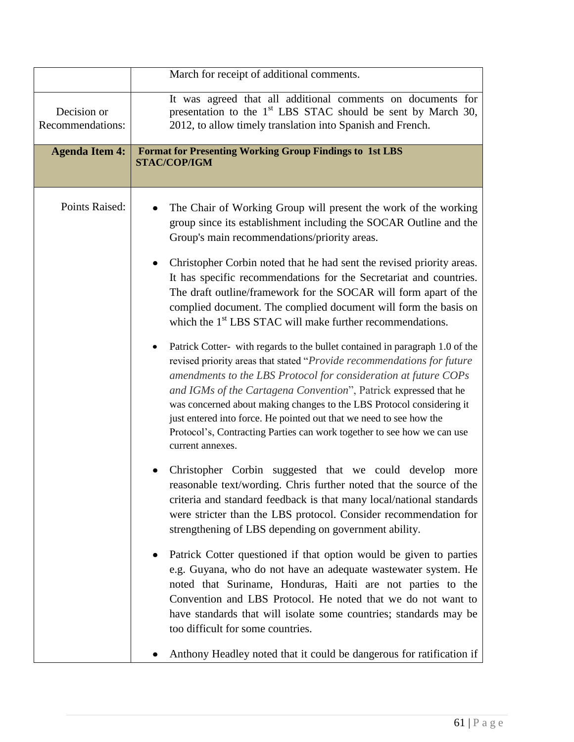|                                 | March for receipt of additional comments.                                                                                                                                                                                                                                                                                                                                                                                                                                                                                                                                                                                                                                                                                                                                                                                                                                                                                                                                                                                                                                                                                                                                                                                                                                                                                                                                                                                                                                                                                                                                                                                                                                                                                                                                                                                                                                                           |
|---------------------------------|-----------------------------------------------------------------------------------------------------------------------------------------------------------------------------------------------------------------------------------------------------------------------------------------------------------------------------------------------------------------------------------------------------------------------------------------------------------------------------------------------------------------------------------------------------------------------------------------------------------------------------------------------------------------------------------------------------------------------------------------------------------------------------------------------------------------------------------------------------------------------------------------------------------------------------------------------------------------------------------------------------------------------------------------------------------------------------------------------------------------------------------------------------------------------------------------------------------------------------------------------------------------------------------------------------------------------------------------------------------------------------------------------------------------------------------------------------------------------------------------------------------------------------------------------------------------------------------------------------------------------------------------------------------------------------------------------------------------------------------------------------------------------------------------------------------------------------------------------------------------------------------------------------|
| Decision or<br>Recommendations: | It was agreed that all additional comments on documents for<br>presentation to the 1 <sup>st</sup> LBS STAC should be sent by March 30,<br>2012, to allow timely translation into Spanish and French.                                                                                                                                                                                                                                                                                                                                                                                                                                                                                                                                                                                                                                                                                                                                                                                                                                                                                                                                                                                                                                                                                                                                                                                                                                                                                                                                                                                                                                                                                                                                                                                                                                                                                               |
| <b>Agenda Item 4:</b>           | <b>Format for Presenting Working Group Findings to 1st LBS</b><br>STAC/COP/IGM                                                                                                                                                                                                                                                                                                                                                                                                                                                                                                                                                                                                                                                                                                                                                                                                                                                                                                                                                                                                                                                                                                                                                                                                                                                                                                                                                                                                                                                                                                                                                                                                                                                                                                                                                                                                                      |
| Points Raised:                  | The Chair of Working Group will present the work of the working<br>group since its establishment including the SOCAR Outline and the<br>Group's main recommendations/priority areas.<br>Christopher Corbin noted that he had sent the revised priority areas.<br>It has specific recommendations for the Secretariat and countries.<br>The draft outline/framework for the SOCAR will form apart of the<br>complied document. The complied document will form the basis on<br>which the 1 <sup>st</sup> LBS STAC will make further recommendations.<br>Patrick Cotter- with regards to the bullet contained in paragraph 1.0 of the<br>revised priority areas that stated "Provide recommendations for future<br>amendments to the LBS Protocol for consideration at future COPs<br>and IGMs of the Cartagena Convention", Patrick expressed that he<br>was concerned about making changes to the LBS Protocol considering it<br>just entered into force. He pointed out that we need to see how the<br>Protocol's, Contracting Parties can work together to see how we can use<br>current annexes.<br>Christopher Corbin suggested that we could develop more<br>reasonable text/wording. Chris further noted that the source of the<br>criteria and standard feedback is that many local/national standards<br>were stricter than the LBS protocol. Consider recommendation for<br>strengthening of LBS depending on government ability.<br>Patrick Cotter questioned if that option would be given to parties<br>e.g. Guyana, who do not have an adequate wastewater system. He<br>noted that Suriname, Honduras, Haiti are not parties to the<br>Convention and LBS Protocol. He noted that we do not want to<br>have standards that will isolate some countries; standards may be<br>too difficult for some countries.<br>Anthony Headley noted that it could be dangerous for ratification if |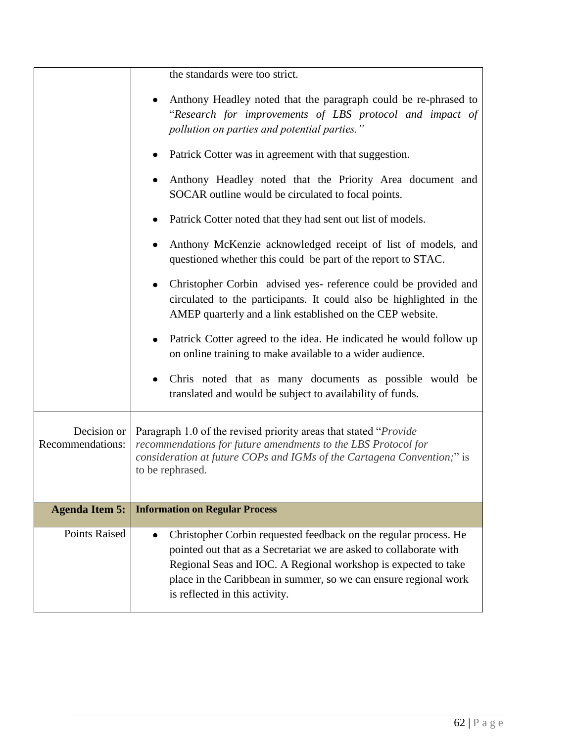|                                 | the standards were too strict.                                                                                                                                                                                                                                                                                 |  |
|---------------------------------|----------------------------------------------------------------------------------------------------------------------------------------------------------------------------------------------------------------------------------------------------------------------------------------------------------------|--|
|                                 | Anthony Headley noted that the paragraph could be re-phrased to<br>"Research for improvements of LBS protocol and impact of<br>pollution on parties and potential parties."                                                                                                                                    |  |
|                                 | Patrick Cotter was in agreement with that suggestion.<br>٠                                                                                                                                                                                                                                                     |  |
|                                 | Anthony Headley noted that the Priority Area document and<br>SOCAR outline would be circulated to focal points.                                                                                                                                                                                                |  |
|                                 | Patrick Cotter noted that they had sent out list of models.                                                                                                                                                                                                                                                    |  |
|                                 | Anthony McKenzie acknowledged receipt of list of models, and<br>٠<br>questioned whether this could be part of the report to STAC.                                                                                                                                                                              |  |
|                                 | Christopher Corbin advised yes- reference could be provided and<br>circulated to the participants. It could also be highlighted in the<br>AMEP quarterly and a link established on the CEP website.                                                                                                            |  |
|                                 | Patrick Cotter agreed to the idea. He indicated he would follow up<br>on online training to make available to a wider audience.                                                                                                                                                                                |  |
|                                 | Chris noted that as many documents as possible would be<br>$\bullet$<br>translated and would be subject to availability of funds.                                                                                                                                                                              |  |
| Decision or<br>Recommendations: | Paragraph 1.0 of the revised priority areas that stated "Provide"<br>recommendations for future amendments to the LBS Protocol for<br>consideration at future COPs and IGMs of the Cartagena Convention;" is<br>to be rephrased.                                                                               |  |
| <b>Agenda Item 5:</b>           | <b>Information on Regular Process</b>                                                                                                                                                                                                                                                                          |  |
| <b>Points Raised</b>            | Christopher Corbin requested feedback on the regular process. He<br>pointed out that as a Secretariat we are asked to collaborate with<br>Regional Seas and IOC. A Regional workshop is expected to take<br>place in the Caribbean in summer, so we can ensure regional work<br>is reflected in this activity. |  |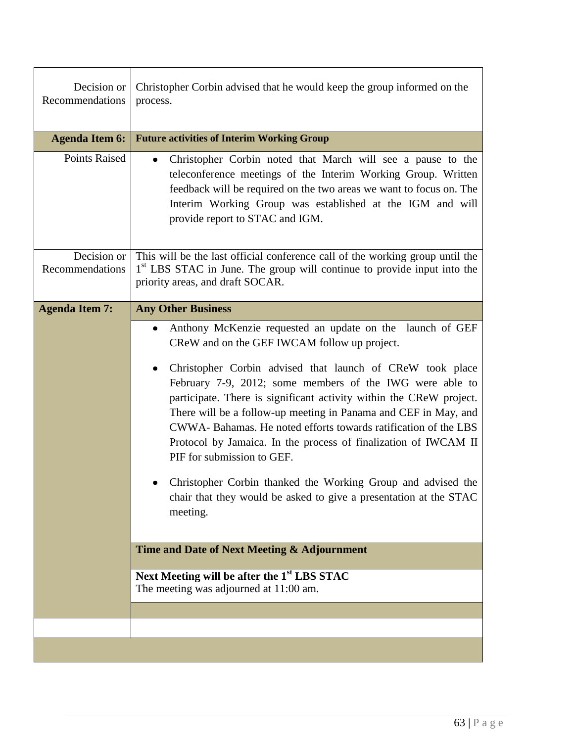| Decision or<br>Recommendations | Christopher Corbin advised that he would keep the group informed on the<br>process.                                                                                                                                                                                                                                                                                                                                                                                                                                                                               |  |
|--------------------------------|-------------------------------------------------------------------------------------------------------------------------------------------------------------------------------------------------------------------------------------------------------------------------------------------------------------------------------------------------------------------------------------------------------------------------------------------------------------------------------------------------------------------------------------------------------------------|--|
| <b>Agenda Item 6:</b>          | <b>Future activities of Interim Working Group</b>                                                                                                                                                                                                                                                                                                                                                                                                                                                                                                                 |  |
| Points Raised                  | Christopher Corbin noted that March will see a pause to the<br>$\bullet$<br>teleconference meetings of the Interim Working Group. Written<br>feedback will be required on the two areas we want to focus on. The<br>Interim Working Group was established at the IGM and will<br>provide report to STAC and IGM.                                                                                                                                                                                                                                                  |  |
| Decision or<br>Recommendations | This will be the last official conference call of the working group until the<br>1 <sup>st</sup> LBS STAC in June. The group will continue to provide input into the<br>priority areas, and draft SOCAR.                                                                                                                                                                                                                                                                                                                                                          |  |
|                                | Anthony McKenzie requested an update on the launch of GEF<br>$\bullet$<br>CReW and on the GEF IWCAM follow up project.<br>Christopher Corbin advised that launch of CReW took place<br>٠<br>February 7-9, 2012; some members of the IWG were able to<br>participate. There is significant activity within the CReW project.<br>There will be a follow-up meeting in Panama and CEF in May, and<br>CWWA-Bahamas. He noted efforts towards ratification of the LBS<br>Protocol by Jamaica. In the process of finalization of IWCAM II<br>PIF for submission to GEF. |  |
|                                | Christopher Corbin thanked the Working Group and advised the<br>chair that they would be asked to give a presentation at the STAC<br>meeting.<br>Time and Date of Next Meeting & Adjournment<br>Next Meeting will be after the 1 <sup>st</sup> LBS STAC<br>The meeting was adjourned at 11:00 am.                                                                                                                                                                                                                                                                 |  |
|                                |                                                                                                                                                                                                                                                                                                                                                                                                                                                                                                                                                                   |  |
|                                |                                                                                                                                                                                                                                                                                                                                                                                                                                                                                                                                                                   |  |
|                                |                                                                                                                                                                                                                                                                                                                                                                                                                                                                                                                                                                   |  |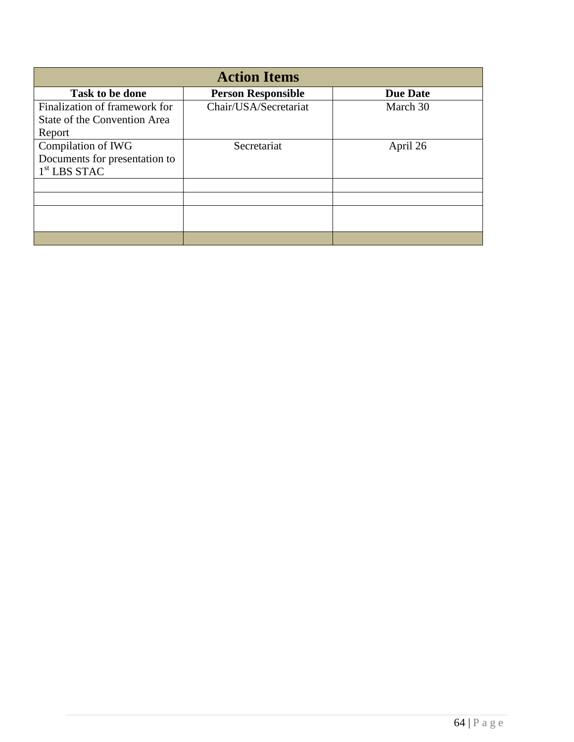| <b>Action Items</b>           |                           |                 |
|-------------------------------|---------------------------|-----------------|
| Task to be done               | <b>Person Responsible</b> | <b>Due Date</b> |
| Finalization of framework for | Chair/USA/Secretariat     | March 30        |
| State of the Convention Area  |                           |                 |
| Report                        |                           |                 |
| Compilation of IWG            | Secretariat               | April 26        |
| Documents for presentation to |                           |                 |
| $1st$ LBS STAC                |                           |                 |
|                               |                           |                 |
|                               |                           |                 |
|                               |                           |                 |
|                               |                           |                 |
|                               |                           |                 |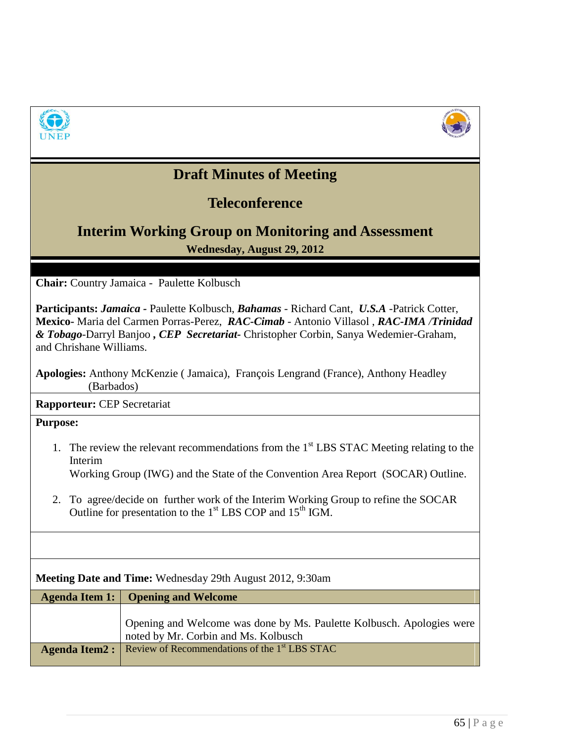



# **Draft Minutes of Meeting**

### **Teleconference**

## **Interim Working Group on Monitoring and Assessment Wednesday, August 29, 2012**

**Chair:** Country Jamaica - Paulette Kolbusch

**Participants:** *Jamaica -* Paulette Kolbusch, *Bahamas* - Richard Cant, *U.S.A* -Patrick Cotter, **Mexico-** Maria del Carmen Porras-Perez, *RAC-Cimab* - Antonio Villasol , *RAC-IMA /Trinidad & Tobago-*Darryl Banjoo *, CEP Secretariat-* Christopher Corbin, Sanya Wedemier-Graham, and Chrishane Williams.

**Apologies:** Anthony McKenzie ( Jamaica), François Lengrand (France), Anthony Headley (Barbados)

**Rapporteur:** CEP Secretariat

**Purpose:** 

1. The review the relevant recommendations from the  $1<sup>st</sup>$  LBS STAC Meeting relating to the Interim

Working Group (IWG) and the State of the Convention Area Report (SOCAR) Outline.

2. To agree/decide on further work of the Interim Working Group to refine the SOCAR Outline for presentation to the 1<sup>st</sup> LBS COP and 15<sup>th</sup> IGM.

| Meeting Date and Time: Wednesday 29th August 2012, 9:30am |                                                                                                               |  |
|-----------------------------------------------------------|---------------------------------------------------------------------------------------------------------------|--|
| Agenda Item 1:                                            | <b>Opening and Welcome</b>                                                                                    |  |
|                                                           | Opening and Welcome was done by Ms. Paulette Kolbusch. Apologies were<br>noted by Mr. Corbin and Ms. Kolbusch |  |
| <b>Agenda Item2:</b>                                      | Review of Recommendations of the 1 <sup>st</sup> LBS STAC                                                     |  |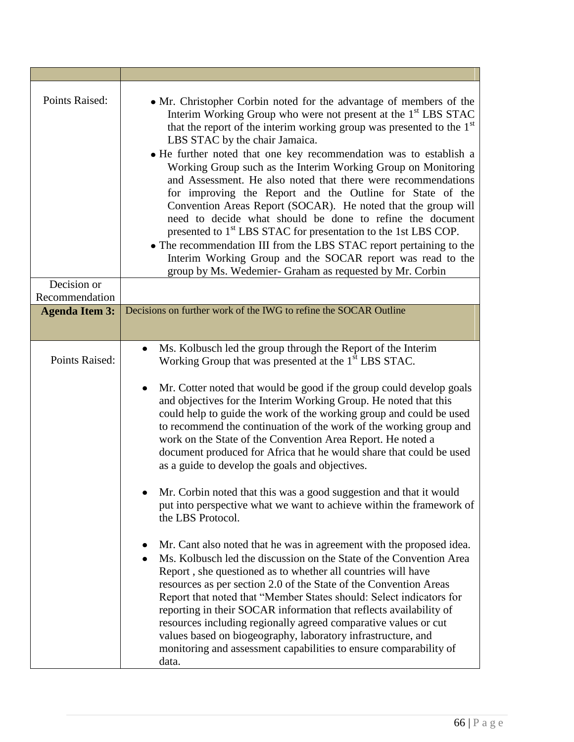| Points Raised:        | • Mr. Christopher Corbin noted for the advantage of members of the<br>Interim Working Group who were not present at the 1 <sup>st</sup> LBS STAC<br>that the report of the interim working group was presented to the 1st<br>LBS STAC by the chair Jamaica.<br>• He further noted that one key recommendation was to establish a<br>Working Group such as the Interim Working Group on Monitoring<br>and Assessment. He also noted that there were recommendations<br>for improving the Report and the Outline for State of the<br>Convention Areas Report (SOCAR). He noted that the group will<br>need to decide what should be done to refine the document<br>presented to 1 <sup>st</sup> LBS STAC for presentation to the 1st LBS COP.<br>• The recommendation III from the LBS STAC report pertaining to the<br>Interim Working Group and the SOCAR report was read to the<br>group by Ms. Wedemier- Graham as requested by Mr. Corbin |
|-----------------------|----------------------------------------------------------------------------------------------------------------------------------------------------------------------------------------------------------------------------------------------------------------------------------------------------------------------------------------------------------------------------------------------------------------------------------------------------------------------------------------------------------------------------------------------------------------------------------------------------------------------------------------------------------------------------------------------------------------------------------------------------------------------------------------------------------------------------------------------------------------------------------------------------------------------------------------------|
| Decision or           |                                                                                                                                                                                                                                                                                                                                                                                                                                                                                                                                                                                                                                                                                                                                                                                                                                                                                                                                              |
| Recommendation        |                                                                                                                                                                                                                                                                                                                                                                                                                                                                                                                                                                                                                                                                                                                                                                                                                                                                                                                                              |
| <b>Agenda Item 3:</b> | Decisions on further work of the IWG to refine the SOCAR Outline                                                                                                                                                                                                                                                                                                                                                                                                                                                                                                                                                                                                                                                                                                                                                                                                                                                                             |
|                       |                                                                                                                                                                                                                                                                                                                                                                                                                                                                                                                                                                                                                                                                                                                                                                                                                                                                                                                                              |
| Points Raised:        | Ms. Kolbusch led the group through the Report of the Interim<br>$\bullet$<br>Working Group that was presented at the 1 <sup>st</sup> LBS STAC.<br>Mr. Cotter noted that would be good if the group could develop goals<br>$\bullet$<br>and objectives for the Interim Working Group. He noted that this<br>could help to guide the work of the working group and could be used<br>to recommend the continuation of the work of the working group and                                                                                                                                                                                                                                                                                                                                                                                                                                                                                         |
|                       | work on the State of the Convention Area Report. He noted a<br>document produced for Africa that he would share that could be used<br>as a guide to develop the goals and objectives.<br>Mr. Corbin noted that this was a good suggestion and that it would                                                                                                                                                                                                                                                                                                                                                                                                                                                                                                                                                                                                                                                                                  |
|                       | put into perspective what we want to achieve within the framework of<br>the LBS Protocol.                                                                                                                                                                                                                                                                                                                                                                                                                                                                                                                                                                                                                                                                                                                                                                                                                                                    |
|                       | Mr. Cant also noted that he was in agreement with the proposed idea.<br>Ms. Kolbusch led the discussion on the State of the Convention Area<br>Report, she questioned as to whether all countries will have<br>resources as per section 2.0 of the State of the Convention Areas<br>Report that noted that "Member States should: Select indicators for<br>reporting in their SOCAR information that reflects availability of<br>resources including regionally agreed comparative values or cut<br>values based on biogeography, laboratory infrastructure, and<br>monitoring and assessment capabilities to ensure comparability of<br>data.                                                                                                                                                                                                                                                                                               |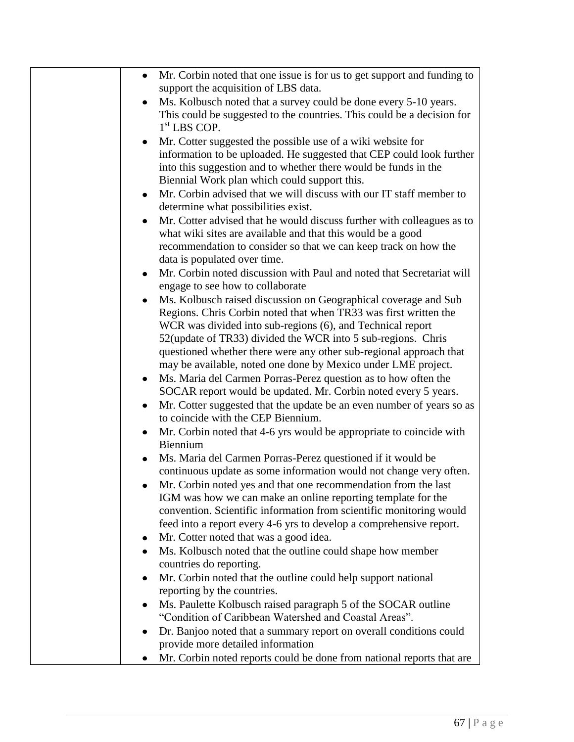| Mr. Corbin noted that one issue is for us to get support and funding to<br>$\bullet$<br>support the acquisition of LBS data.                                                                                                                                                                                                            |
|-----------------------------------------------------------------------------------------------------------------------------------------------------------------------------------------------------------------------------------------------------------------------------------------------------------------------------------------|
| Ms. Kolbusch noted that a survey could be done every 5-10 years.<br>This could be suggested to the countries. This could be a decision for<br>$1st$ LBS COP.                                                                                                                                                                            |
| Mr. Cotter suggested the possible use of a wiki website for<br>information to be uploaded. He suggested that CEP could look further<br>into this suggestion and to whether there would be funds in the<br>Biennial Work plan which could support this.                                                                                  |
| Mr. Corbin advised that we will discuss with our IT staff member to<br>determine what possibilities exist.                                                                                                                                                                                                                              |
| Mr. Cotter advised that he would discuss further with colleagues as to<br>what wiki sites are available and that this would be a good<br>recommendation to consider so that we can keep track on how the                                                                                                                                |
| data is populated over time.<br>Mr. Corbin noted discussion with Paul and noted that Secretariat will<br>engage to see how to collaborate                                                                                                                                                                                               |
| Ms. Kolbusch raised discussion on Geographical coverage and Sub<br>Regions. Chris Corbin noted that when TR33 was first written the<br>WCR was divided into sub-regions (6), and Technical report<br>52(update of TR33) divided the WCR into 5 sub-regions. Chris<br>questioned whether there were any other sub-regional approach that |
| may be available, noted one done by Mexico under LME project.<br>Ms. Maria del Carmen Porras-Perez question as to how often the                                                                                                                                                                                                         |
| SOCAR report would be updated. Mr. Corbin noted every 5 years.<br>Mr. Cotter suggested that the update be an even number of years so as                                                                                                                                                                                                 |
| to coincide with the CEP Biennium.<br>Mr. Corbin noted that 4-6 yrs would be appropriate to coincide with<br>Biennium                                                                                                                                                                                                                   |
| Ms. Maria del Carmen Porras-Perez questioned if it would be<br>continuous update as some information would not change very often.                                                                                                                                                                                                       |
| Mr. Corbin noted yes and that one recommendation from the last<br>IGM was how we can make an online reporting template for the<br>convention. Scientific information from scientific monitoring would<br>feed into a report every 4-6 yrs to develop a comprehensive report.                                                            |
| Mr. Cotter noted that was a good idea.<br>Ms. Kolbusch noted that the outline could shape how member                                                                                                                                                                                                                                    |
| countries do reporting.                                                                                                                                                                                                                                                                                                                 |
| Mr. Corbin noted that the outline could help support national<br>reporting by the countries.                                                                                                                                                                                                                                            |
| Ms. Paulette Kolbusch raised paragraph 5 of the SOCAR outline<br>"Condition of Caribbean Watershed and Coastal Areas".                                                                                                                                                                                                                  |
| Dr. Banjoo noted that a summary report on overall conditions could<br>provide more detailed information                                                                                                                                                                                                                                 |
| Mr. Corbin noted reports could be done from national reports that are                                                                                                                                                                                                                                                                   |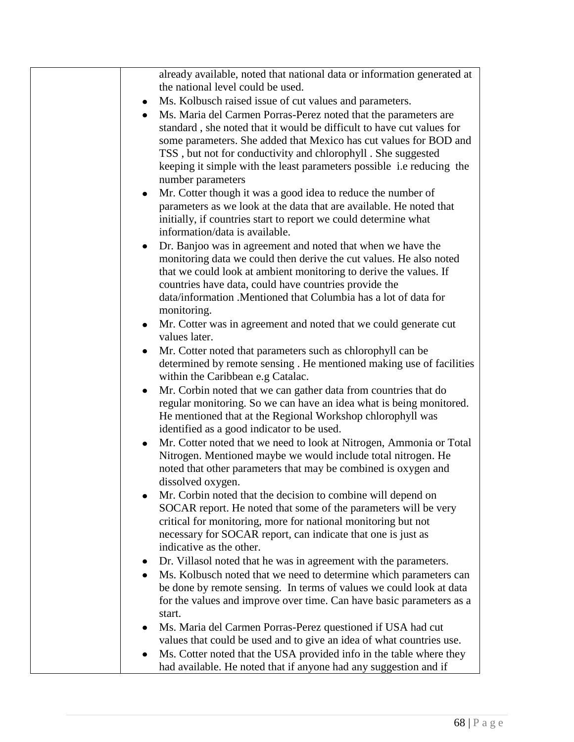| already available, noted that national data or information generated at<br>the national level could be used.                                                                                                                                                                  |
|-------------------------------------------------------------------------------------------------------------------------------------------------------------------------------------------------------------------------------------------------------------------------------|
|                                                                                                                                                                                                                                                                               |
| Ms. Kolbusch raised issue of cut values and parameters.                                                                                                                                                                                                                       |
| Ms. Maria del Carmen Porras-Perez noted that the parameters are<br>standard, she noted that it would be difficult to have cut values for<br>some parameters. She added that Mexico has cut values for BOD and<br>TSS, but not for conductivity and chlorophyll. She suggested |
| keeping it simple with the least parameters possible <i>i.e reducing</i> the<br>number parameters                                                                                                                                                                             |
| Mr. Cotter though it was a good idea to reduce the number of                                                                                                                                                                                                                  |
| parameters as we look at the data that are available. He noted that<br>initially, if countries start to report we could determine what<br>information/data is available.                                                                                                      |
|                                                                                                                                                                                                                                                                               |
| Dr. Banjoo was in agreement and noted that when we have the<br>$\bullet$<br>monitoring data we could then derive the cut values. He also noted<br>that we could look at ambient monitoring to derive the values. If<br>countries have data, could have countries provide the  |
| data/information .Mentioned that Columbia has a lot of data for<br>monitoring.                                                                                                                                                                                                |
| Mr. Cotter was in agreement and noted that we could generate cut<br>$\bullet$                                                                                                                                                                                                 |
| values later.                                                                                                                                                                                                                                                                 |
| Mr. Cotter noted that parameters such as chlorophyll can be<br>determined by remote sensing. He mentioned making use of facilities<br>within the Caribbean e.g Catalac.                                                                                                       |
| Mr. Corbin noted that we can gather data from countries that do<br>regular monitoring. So we can have an idea what is being monitored.<br>He mentioned that at the Regional Workshop chlorophyll was<br>identified as a good indicator to be used.                            |
| Mr. Cotter noted that we need to look at Nitrogen, Ammonia or Total<br>$\bullet$<br>Nitrogen. Mentioned maybe we would include total nitrogen. He<br>noted that other parameters that may be combined is oxygen and<br>dissolved oxygen.                                      |
| Mr. Corbin noted that the decision to combine will depend on                                                                                                                                                                                                                  |
| SOCAR report. He noted that some of the parameters will be very                                                                                                                                                                                                               |
| critical for monitoring, more for national monitoring but not<br>necessary for SOCAR report, can indicate that one is just as                                                                                                                                                 |
| indicative as the other.                                                                                                                                                                                                                                                      |
| Dr. Villasol noted that he was in agreement with the parameters.                                                                                                                                                                                                              |
| Ms. Kolbusch noted that we need to determine which parameters can                                                                                                                                                                                                             |
| be done by remote sensing. In terms of values we could look at data                                                                                                                                                                                                           |
| for the values and improve over time. Can have basic parameters as a                                                                                                                                                                                                          |
| start.                                                                                                                                                                                                                                                                        |
| Ms. Maria del Carmen Porras-Perez questioned if USA had cut                                                                                                                                                                                                                   |
| values that could be used and to give an idea of what countries use.                                                                                                                                                                                                          |
| Ms. Cotter noted that the USA provided info in the table where they                                                                                                                                                                                                           |
| had available. He noted that if anyone had any suggestion and if                                                                                                                                                                                                              |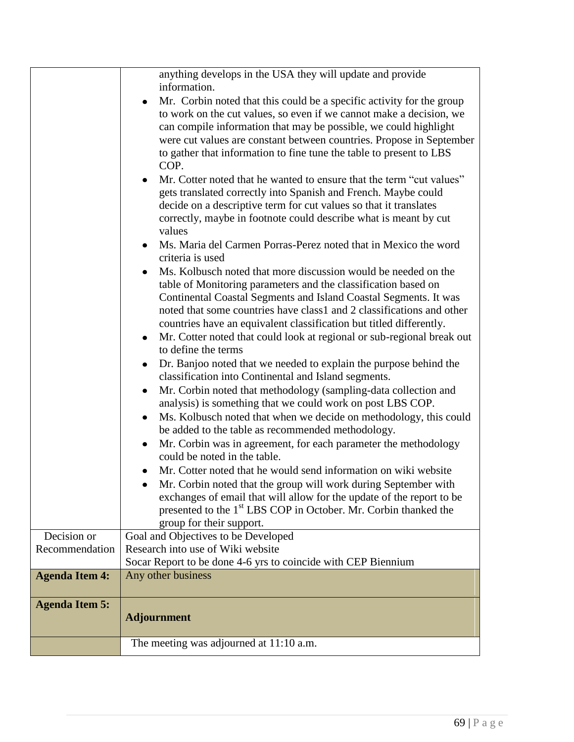|                               | anything develops in the USA they will update and provide<br>information.<br>Mr. Corbin noted that this could be a specific activity for the group<br>to work on the cut values, so even if we cannot make a decision, we<br>can compile information that may be possible, we could highlight<br>were cut values are constant between countries. Propose in September<br>to gather that information to fine tune the table to present to LBS<br>COP.<br>Mr. Cotter noted that he wanted to ensure that the term "cut values"<br>gets translated correctly into Spanish and French. Maybe could<br>decide on a descriptive term for cut values so that it translates<br>correctly, maybe in footnote could describe what is meant by cut<br>values<br>Ms. Maria del Carmen Porras-Perez noted that in Mexico the word<br>criteria is used<br>Ms. Kolbusch noted that more discussion would be needed on the<br>table of Monitoring parameters and the classification based on<br>Continental Coastal Segments and Island Coastal Segments. It was<br>noted that some countries have class1 and 2 classifications and other<br>countries have an equivalent classification but titled differently.<br>Mr. Cotter noted that could look at regional or sub-regional break out<br>to define the terms<br>Dr. Banjoo noted that we needed to explain the purpose behind the<br>classification into Continental and Island segments.<br>Mr. Corbin noted that methodology (sampling-data collection and<br>analysis) is something that we could work on post LBS COP.<br>Ms. Kolbusch noted that when we decide on methodology, this could<br>be added to the table as recommended methodology.<br>Mr. Corbin was in agreement, for each parameter the methodology<br>could be noted in the table.<br>Mr. Cotter noted that he would send information on wiki website<br>Mr. Corbin noted that the group will work during September with<br>exchanges of email that will allow for the update of the report to be<br>presented to the 1 <sup>st</sup> LBS COP in October. Mr. Corbin thanked the<br>group for their support. |  |
|-------------------------------|------------------------------------------------------------------------------------------------------------------------------------------------------------------------------------------------------------------------------------------------------------------------------------------------------------------------------------------------------------------------------------------------------------------------------------------------------------------------------------------------------------------------------------------------------------------------------------------------------------------------------------------------------------------------------------------------------------------------------------------------------------------------------------------------------------------------------------------------------------------------------------------------------------------------------------------------------------------------------------------------------------------------------------------------------------------------------------------------------------------------------------------------------------------------------------------------------------------------------------------------------------------------------------------------------------------------------------------------------------------------------------------------------------------------------------------------------------------------------------------------------------------------------------------------------------------------------------------------------------------------------------------------------------------------------------------------------------------------------------------------------------------------------------------------------------------------------------------------------------------------------------------------------------------------------------------------------------------------------------------------------------------------------------------------------------------------------------------------------------------------|--|
|                               |                                                                                                                                                                                                                                                                                                                                                                                                                                                                                                                                                                                                                                                                                                                                                                                                                                                                                                                                                                                                                                                                                                                                                                                                                                                                                                                                                                                                                                                                                                                                                                                                                                                                                                                                                                                                                                                                                                                                                                                                                                                                                                                        |  |
| Decision or<br>Recommendation | Goal and Objectives to be Developed<br>Research into use of Wiki website<br>Socar Report to be done 4-6 yrs to coincide with CEP Biennium                                                                                                                                                                                                                                                                                                                                                                                                                                                                                                                                                                                                                                                                                                                                                                                                                                                                                                                                                                                                                                                                                                                                                                                                                                                                                                                                                                                                                                                                                                                                                                                                                                                                                                                                                                                                                                                                                                                                                                              |  |
| <b>Agenda Item 4:</b>         | Any other business                                                                                                                                                                                                                                                                                                                                                                                                                                                                                                                                                                                                                                                                                                                                                                                                                                                                                                                                                                                                                                                                                                                                                                                                                                                                                                                                                                                                                                                                                                                                                                                                                                                                                                                                                                                                                                                                                                                                                                                                                                                                                                     |  |
| <b>Agenda Item 5:</b>         | <b>Adjournment</b>                                                                                                                                                                                                                                                                                                                                                                                                                                                                                                                                                                                                                                                                                                                                                                                                                                                                                                                                                                                                                                                                                                                                                                                                                                                                                                                                                                                                                                                                                                                                                                                                                                                                                                                                                                                                                                                                                                                                                                                                                                                                                                     |  |
|                               | The meeting was adjourned at 11:10 a.m.                                                                                                                                                                                                                                                                                                                                                                                                                                                                                                                                                                                                                                                                                                                                                                                                                                                                                                                                                                                                                                                                                                                                                                                                                                                                                                                                                                                                                                                                                                                                                                                                                                                                                                                                                                                                                                                                                                                                                                                                                                                                                |  |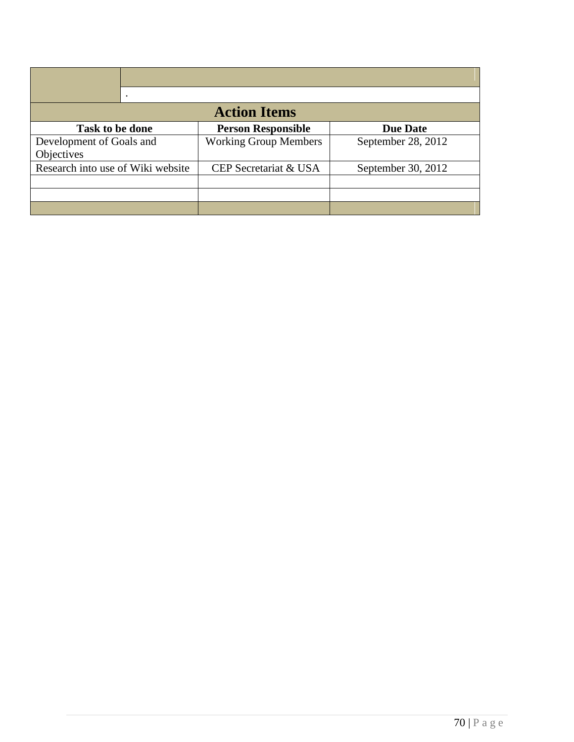| <b>Action Items</b>               |                              |                    |  |  |  |
|-----------------------------------|------------------------------|--------------------|--|--|--|
| Task to be done                   | <b>Person Responsible</b>    | <b>Due Date</b>    |  |  |  |
| Development of Goals and          | <b>Working Group Members</b> | September 28, 2012 |  |  |  |
| Objectives                        |                              |                    |  |  |  |
| Research into use of Wiki website | CEP Secretariat & USA        | September 30, 2012 |  |  |  |
|                                   |                              |                    |  |  |  |
|                                   |                              |                    |  |  |  |
|                                   |                              |                    |  |  |  |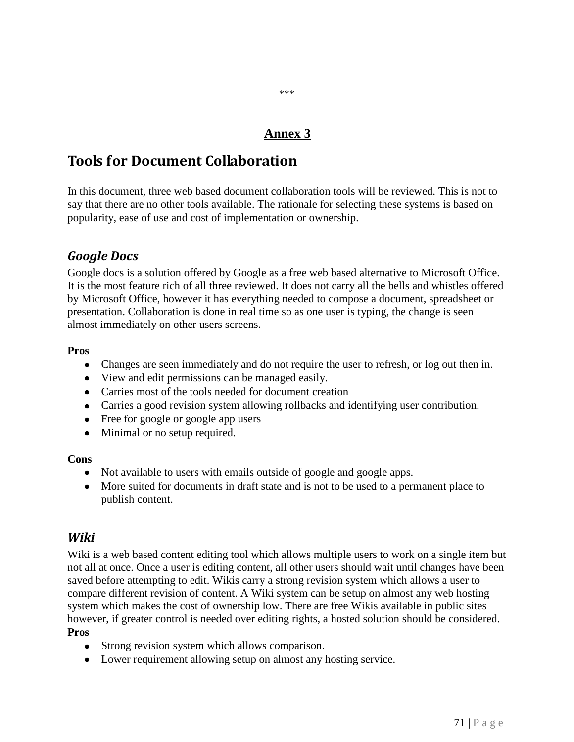### **Annex 3**

\*\*\*

## **Tools for Document Collaboration**

In this document, three web based document collaboration tools will be reviewed. This is not to say that there are no other tools available. The rationale for selecting these systems is based on popularity, ease of use and cost of implementation or ownership.

### *Google Docs*

Google docs is a solution offered by Google as a free web based alternative to Microsoft Office. It is the most feature rich of all three reviewed. It does not carry all the bells and whistles offered by Microsoft Office, however it has everything needed to compose a document, spreadsheet or presentation. Collaboration is done in real time so as one user is typing, the change is seen almost immediately on other users screens.

#### **Pros**

- Changes are seen immediately and do not require the user to refresh, or log out then in.
- View and edit permissions can be managed easily.
- Carries most of the tools needed for document creation
- Carries a good revision system allowing rollbacks and identifying user contribution.
- Free for google or google app users
- Minimal or no setup required.

#### **Cons**

- Not available to users with emails outside of google and google apps.
- More suited for documents in draft state and is not to be used to a permanent place to publish content.

#### *Wiki*

Wiki is a web based content editing tool which allows multiple users to work on a single item but not all at once. Once a user is editing content, all other users should wait until changes have been saved before attempting to edit. Wikis carry a strong revision system which allows a user to compare different revision of content. A Wiki system can be setup on almost any web hosting system which makes the cost of ownership low. There are free Wikis available in public sites however, if greater control is needed over editing rights, a hosted solution should be considered. **Pros**

- Strong revision system which allows comparison.
- Lower requirement allowing setup on almost any hosting service.